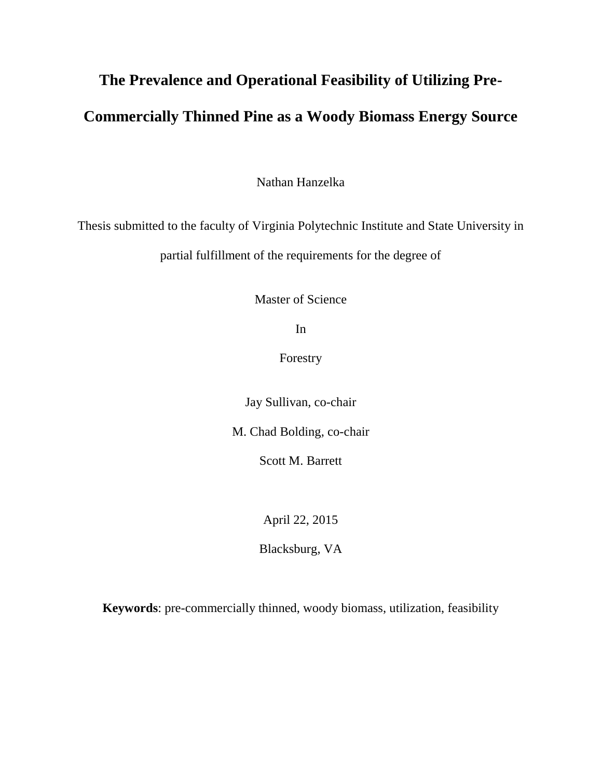# **The Prevalence and Operational Feasibility of Utilizing Pre-Commercially Thinned Pine as a Woody Biomass Energy Source**

Nathan Hanzelka

Thesis submitted to the faculty of Virginia Polytechnic Institute and State University in

partial fulfillment of the requirements for the degree of

Master of Science

In

Forestry

Jay Sullivan, co-chair

M. Chad Bolding, co-chair

Scott M. Barrett

April 22, 2015

Blacksburg, VA

**Keywords**: pre-commercially thinned, woody biomass, utilization, feasibility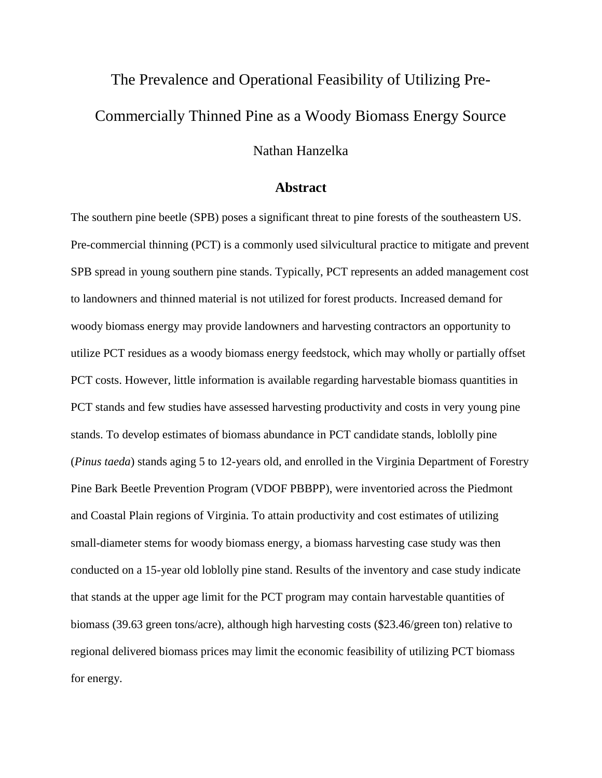# The Prevalence and Operational Feasibility of Utilizing Pre-Commercially Thinned Pine as a Woody Biomass Energy Source Nathan Hanzelka

#### **Abstract**

The southern pine beetle (SPB) poses a significant threat to pine forests of the southeastern US. Pre-commercial thinning (PCT) is a commonly used silvicultural practice to mitigate and prevent SPB spread in young southern pine stands. Typically, PCT represents an added management cost to landowners and thinned material is not utilized for forest products. Increased demand for woody biomass energy may provide landowners and harvesting contractors an opportunity to utilize PCT residues as a woody biomass energy feedstock, which may wholly or partially offset PCT costs. However, little information is available regarding harvestable biomass quantities in PCT stands and few studies have assessed harvesting productivity and costs in very young pine stands. To develop estimates of biomass abundance in PCT candidate stands, loblolly pine (*Pinus taeda*) stands aging 5 to 12-years old, and enrolled in the Virginia Department of Forestry Pine Bark Beetle Prevention Program (VDOF PBBPP), were inventoried across the Piedmont and Coastal Plain regions of Virginia. To attain productivity and cost estimates of utilizing small-diameter stems for woody biomass energy, a biomass harvesting case study was then conducted on a 15-year old loblolly pine stand. Results of the inventory and case study indicate that stands at the upper age limit for the PCT program may contain harvestable quantities of biomass (39.63 green tons/acre), although high harvesting costs (\$23.46/green ton) relative to regional delivered biomass prices may limit the economic feasibility of utilizing PCT biomass for energy.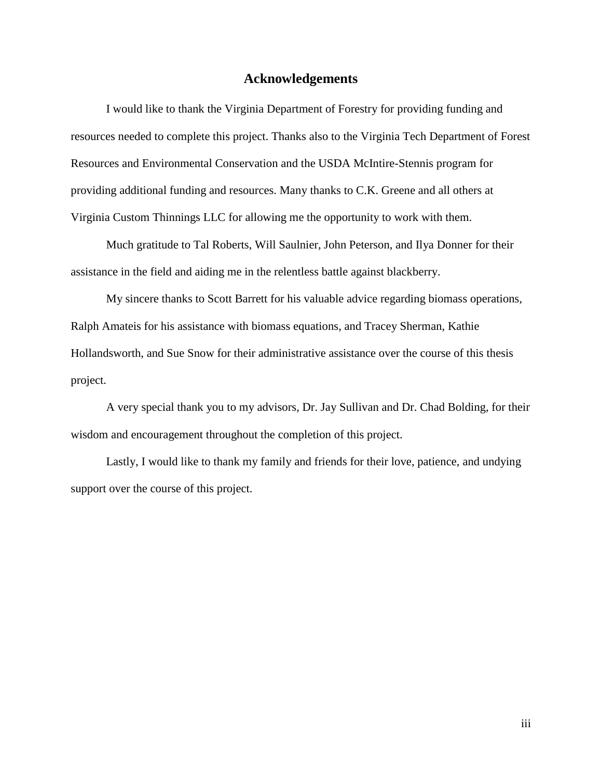#### **Acknowledgements**

I would like to thank the Virginia Department of Forestry for providing funding and resources needed to complete this project. Thanks also to the Virginia Tech Department of Forest Resources and Environmental Conservation and the USDA McIntire-Stennis program for providing additional funding and resources. Many thanks to C.K. Greene and all others at Virginia Custom Thinnings LLC for allowing me the opportunity to work with them.

Much gratitude to Tal Roberts, Will Saulnier, John Peterson, and Ilya Donner for their assistance in the field and aiding me in the relentless battle against blackberry.

My sincere thanks to Scott Barrett for his valuable advice regarding biomass operations, Ralph Amateis for his assistance with biomass equations, and Tracey Sherman, Kathie Hollandsworth, and Sue Snow for their administrative assistance over the course of this thesis project.

A very special thank you to my advisors, Dr. Jay Sullivan and Dr. Chad Bolding, for their wisdom and encouragement throughout the completion of this project.

Lastly, I would like to thank my family and friends for their love, patience, and undying support over the course of this project.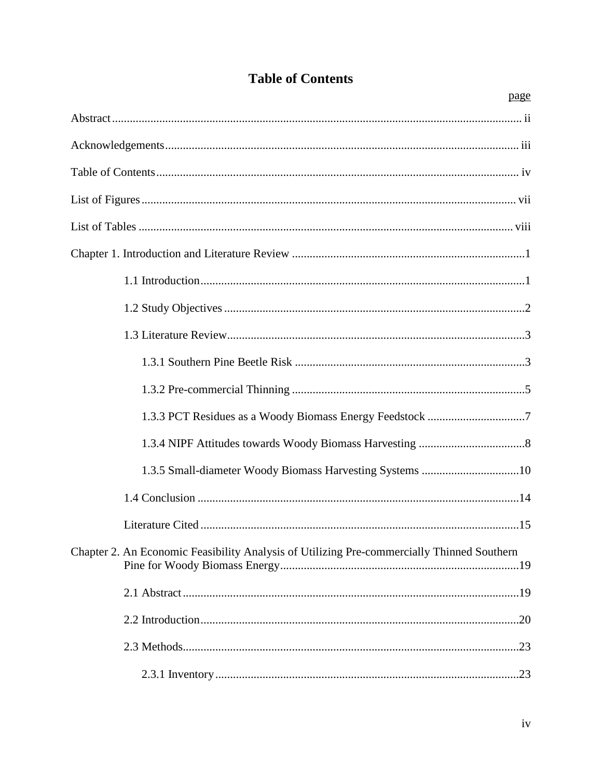| page                                                                                       |
|--------------------------------------------------------------------------------------------|
|                                                                                            |
|                                                                                            |
|                                                                                            |
|                                                                                            |
|                                                                                            |
|                                                                                            |
|                                                                                            |
|                                                                                            |
|                                                                                            |
|                                                                                            |
|                                                                                            |
|                                                                                            |
|                                                                                            |
|                                                                                            |
|                                                                                            |
|                                                                                            |
| Chapter 2. An Economic Feasibility Analysis of Utilizing Pre-commercially Thinned Southern |
|                                                                                            |
|                                                                                            |
|                                                                                            |
|                                                                                            |

## **Table of Contents**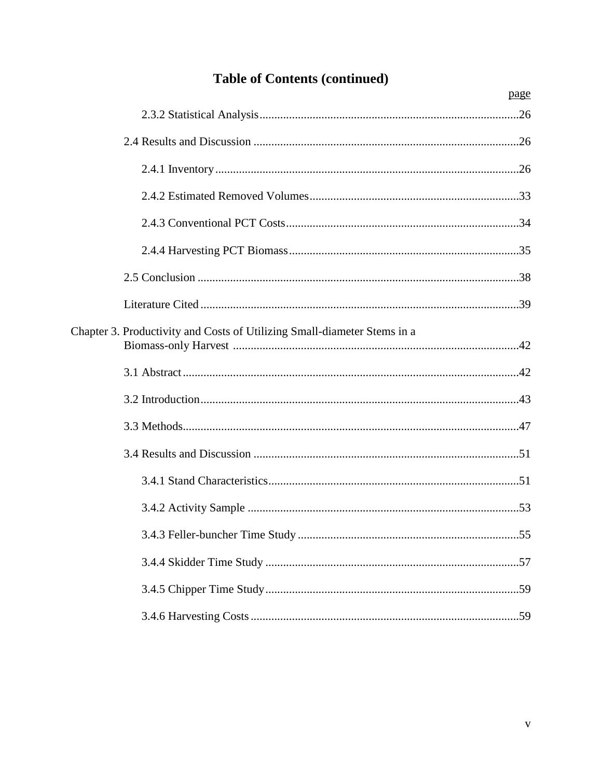# **Table of Contents (continued)**

|                                                                          | page |
|--------------------------------------------------------------------------|------|
|                                                                          |      |
|                                                                          |      |
|                                                                          |      |
|                                                                          |      |
|                                                                          |      |
|                                                                          |      |
|                                                                          |      |
|                                                                          |      |
| Chapter 3. Productivity and Costs of Utilizing Small-diameter Stems in a |      |
|                                                                          |      |
|                                                                          |      |
|                                                                          |      |
|                                                                          |      |
|                                                                          |      |
|                                                                          |      |
|                                                                          |      |
|                                                                          |      |
|                                                                          |      |
|                                                                          |      |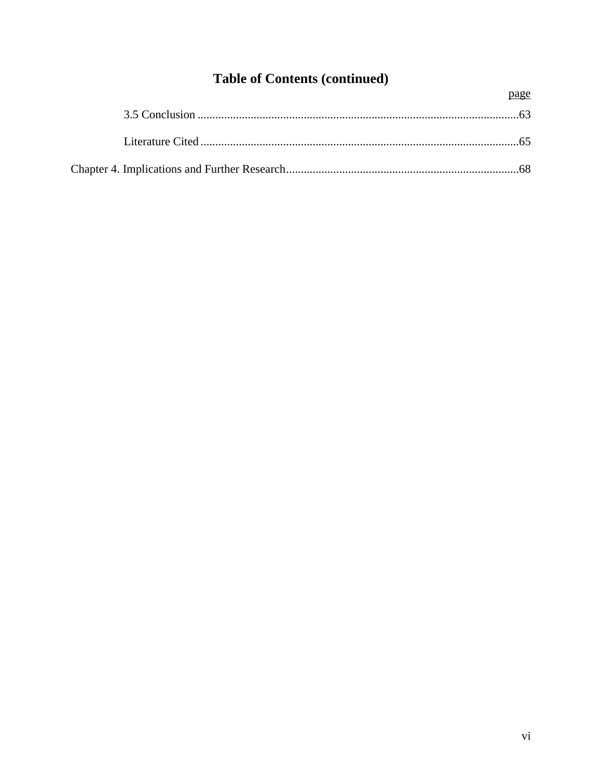# **Table of Contents (continued)**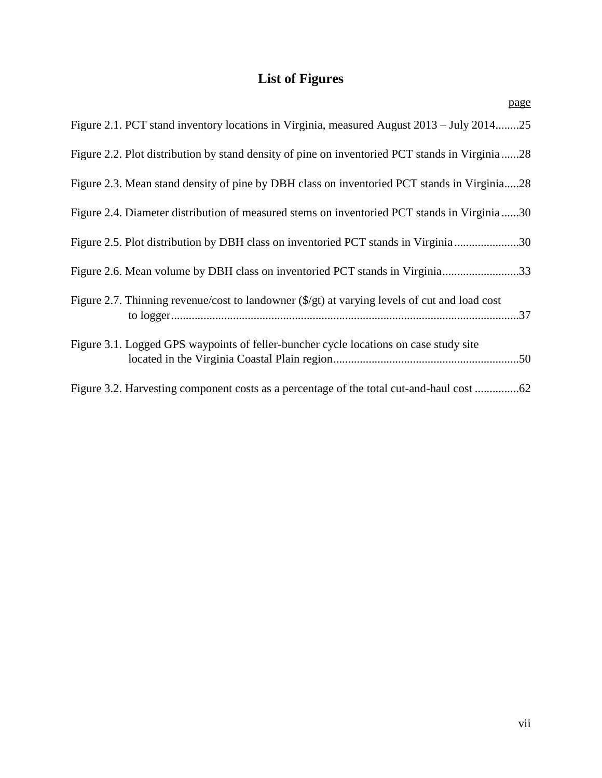## **List of Figures**

| page                                                                                           |
|------------------------------------------------------------------------------------------------|
| Figure 2.1. PCT stand inventory locations in Virginia, measured August 2013 – July 201425      |
| Figure 2.2. Plot distribution by stand density of pine on inventoried PCT stands in Virginia28 |
| Figure 2.3. Mean stand density of pine by DBH class on inventoried PCT stands in Virginia28    |
| Figure 2.4. Diameter distribution of measured stems on inventoried PCT stands in Virginia30    |
| Figure 2.5. Plot distribution by DBH class on inventoried PCT stands in Virginia30             |
| Figure 2.6. Mean volume by DBH class on inventoried PCT stands in Virginia33                   |
| Figure 2.7. Thinning revenue/cost to landowner (\$/gt) at varying levels of cut and load cost  |
| Figure 3.1. Logged GPS waypoints of feller-buncher cycle locations on case study site          |

Figure 3.2. Harvesting component costs as a percentage of the total cut-and-haul cost ...............62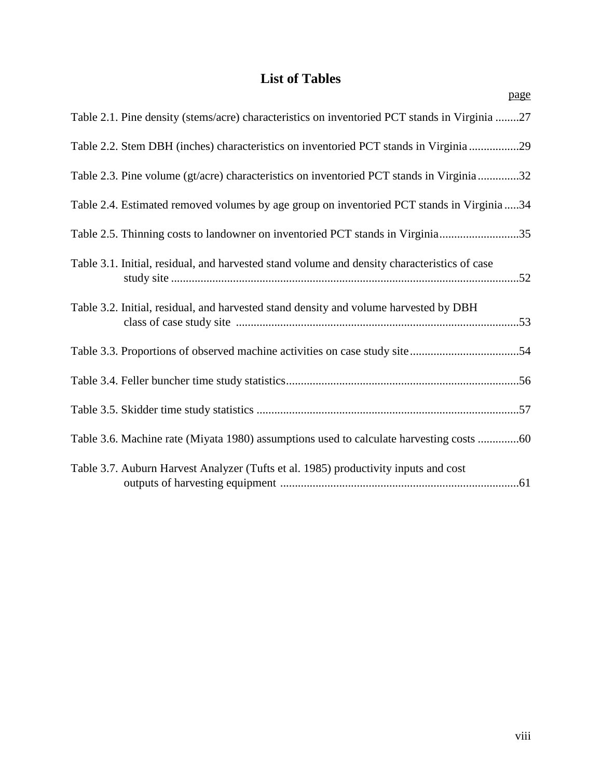### **List of Tables**

| page                                                                                          |
|-----------------------------------------------------------------------------------------------|
| Table 2.1. Pine density (stems/acre) characteristics on inventoried PCT stands in Virginia 27 |
| Table 2.2. Stem DBH (inches) characteristics on inventoried PCT stands in Virginia29          |
| Table 2.3. Pine volume (gt/acre) characteristics on inventoried PCT stands in Virginia32      |
| Table 2.4. Estimated removed volumes by age group on inventoried PCT stands in Virginia34     |
| Table 2.5. Thinning costs to landowner on inventoried PCT stands in Virginia35                |
| Table 3.1. Initial, residual, and harvested stand volume and density characteristics of case  |
| Table 3.2. Initial, residual, and harvested stand density and volume harvested by DBH         |
|                                                                                               |
|                                                                                               |
|                                                                                               |
| Table 3.6. Machine rate (Miyata 1980) assumptions used to calculate harvesting costs 60       |
| Table 3.7. Auburn Harvest Analyzer (Tufts et al. 1985) productivity inputs and cost           |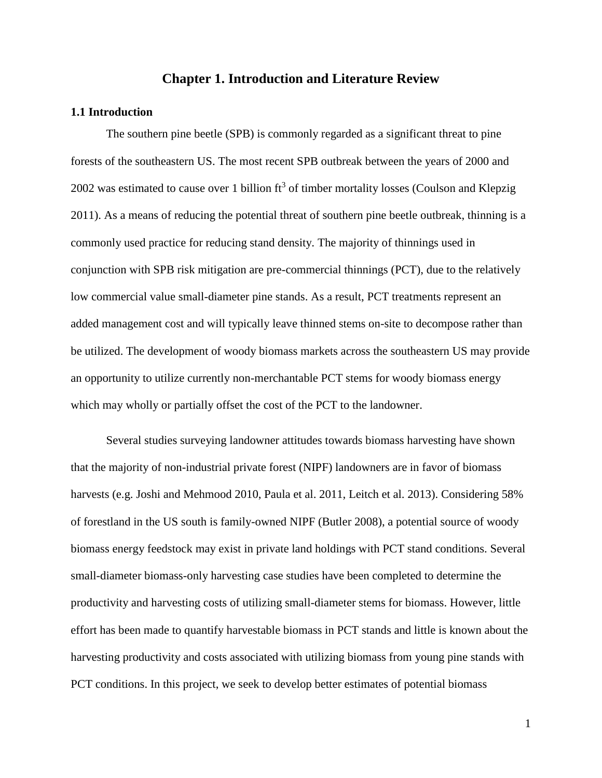#### **Chapter 1. Introduction and Literature Review**

#### **1.1 Introduction**

The southern pine beetle (SPB) is commonly regarded as a significant threat to pine forests of the southeastern US. The most recent SPB outbreak between the years of 2000 and 2002 was estimated to cause over 1 billion  $\text{ft}^3$  of timber mortality losses (Coulson and Klepzig 2011). As a means of reducing the potential threat of southern pine beetle outbreak, thinning is a commonly used practice for reducing stand density. The majority of thinnings used in conjunction with SPB risk mitigation are pre-commercial thinnings (PCT), due to the relatively low commercial value small-diameter pine stands. As a result, PCT treatments represent an added management cost and will typically leave thinned stems on-site to decompose rather than be utilized. The development of woody biomass markets across the southeastern US may provide an opportunity to utilize currently non-merchantable PCT stems for woody biomass energy which may wholly or partially offset the cost of the PCT to the landowner.

Several studies surveying landowner attitudes towards biomass harvesting have shown that the majority of non-industrial private forest (NIPF) landowners are in favor of biomass harvests (e.g. Joshi and Mehmood 2010, Paula et al. 2011, Leitch et al. 2013). Considering 58% of forestland in the US south is family-owned NIPF (Butler 2008), a potential source of woody biomass energy feedstock may exist in private land holdings with PCT stand conditions. Several small-diameter biomass-only harvesting case studies have been completed to determine the productivity and harvesting costs of utilizing small-diameter stems for biomass. However, little effort has been made to quantify harvestable biomass in PCT stands and little is known about the harvesting productivity and costs associated with utilizing biomass from young pine stands with PCT conditions. In this project, we seek to develop better estimates of potential biomass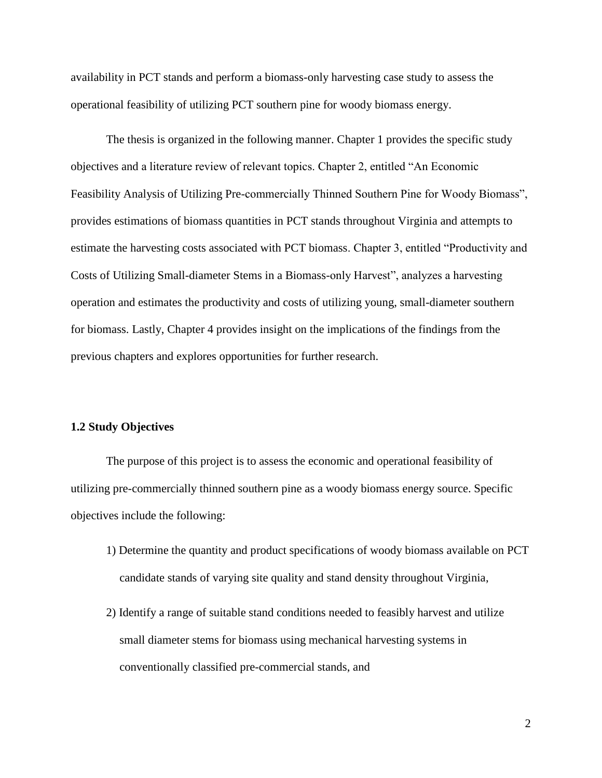availability in PCT stands and perform a biomass-only harvesting case study to assess the operational feasibility of utilizing PCT southern pine for woody biomass energy.

The thesis is organized in the following manner. Chapter 1 provides the specific study objectives and a literature review of relevant topics. Chapter 2, entitled "An Economic Feasibility Analysis of Utilizing Pre-commercially Thinned Southern Pine for Woody Biomass", provides estimations of biomass quantities in PCT stands throughout Virginia and attempts to estimate the harvesting costs associated with PCT biomass. Chapter 3, entitled "Productivity and Costs of Utilizing Small-diameter Stems in a Biomass-only Harvest", analyzes a harvesting operation and estimates the productivity and costs of utilizing young, small-diameter southern for biomass. Lastly, Chapter 4 provides insight on the implications of the findings from the previous chapters and explores opportunities for further research.

#### **1.2 Study Objectives**

The purpose of this project is to assess the economic and operational feasibility of utilizing pre-commercially thinned southern pine as a woody biomass energy source. Specific objectives include the following:

- 1) Determine the quantity and product specifications of woody biomass available on PCT candidate stands of varying site quality and stand density throughout Virginia,
- 2) Identify a range of suitable stand conditions needed to feasibly harvest and utilize small diameter stems for biomass using mechanical harvesting systems in conventionally classified pre-commercial stands, and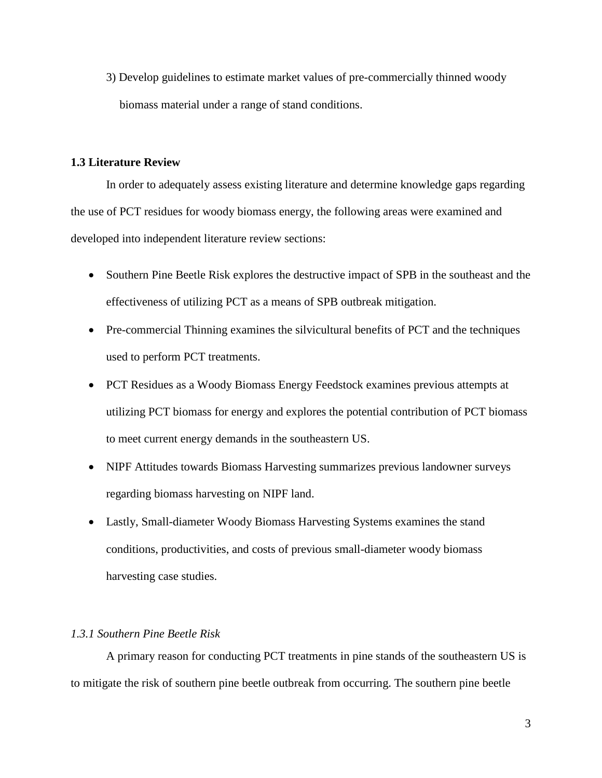3) Develop guidelines to estimate market values of pre-commercially thinned woody biomass material under a range of stand conditions.

#### **1.3 Literature Review**

In order to adequately assess existing literature and determine knowledge gaps regarding the use of PCT residues for woody biomass energy, the following areas were examined and developed into independent literature review sections:

- Southern Pine Beetle Risk explores the destructive impact of SPB in the southeast and the effectiveness of utilizing PCT as a means of SPB outbreak mitigation.
- Pre-commercial Thinning examines the silvicultural benefits of PCT and the techniques used to perform PCT treatments.
- PCT Residues as a Woody Biomass Energy Feedstock examines previous attempts at utilizing PCT biomass for energy and explores the potential contribution of PCT biomass to meet current energy demands in the southeastern US.
- NIPF Attitudes towards Biomass Harvesting summarizes previous landowner surveys regarding biomass harvesting on NIPF land.
- Lastly, Small-diameter Woody Biomass Harvesting Systems examines the stand conditions, productivities, and costs of previous small-diameter woody biomass harvesting case studies.

#### *1.3.1 Southern Pine Beetle Risk*

A primary reason for conducting PCT treatments in pine stands of the southeastern US is to mitigate the risk of southern pine beetle outbreak from occurring. The southern pine beetle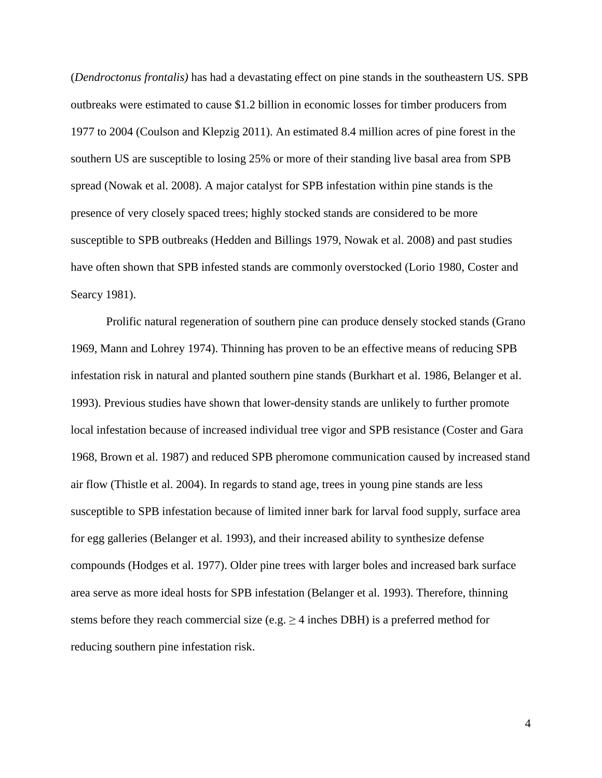(*Dendroctonus frontalis)* has had a devastating effect on pine stands in the southeastern US. SPB outbreaks were estimated to cause \$1.2 billion in economic losses for timber producers from 1977 to 2004 (Coulson and Klepzig 2011). An estimated 8.4 million acres of pine forest in the southern US are susceptible to losing 25% or more of their standing live basal area from SPB spread (Nowak et al. 2008). A major catalyst for SPB infestation within pine stands is the presence of very closely spaced trees; highly stocked stands are considered to be more susceptible to SPB outbreaks (Hedden and Billings 1979, Nowak et al. 2008) and past studies have often shown that SPB infested stands are commonly overstocked (Lorio 1980, Coster and Searcy 1981).

Prolific natural regeneration of southern pine can produce densely stocked stands (Grano 1969, Mann and Lohrey 1974). Thinning has proven to be an effective means of reducing SPB infestation risk in natural and planted southern pine stands (Burkhart et al. 1986, Belanger et al. 1993). Previous studies have shown that lower-density stands are unlikely to further promote local infestation because of increased individual tree vigor and SPB resistance (Coster and Gara 1968, Brown et al. 1987) and reduced SPB pheromone communication caused by increased stand air flow (Thistle et al. 2004). In regards to stand age, trees in young pine stands are less susceptible to SPB infestation because of limited inner bark for larval food supply, surface area for egg galleries (Belanger et al. 1993), and their increased ability to synthesize defense compounds (Hodges et al. 1977). Older pine trees with larger boles and increased bark surface area serve as more ideal hosts for SPB infestation (Belanger et al. 1993). Therefore, thinning stems before they reach commercial size (e.g.  $\geq$  4 inches DBH) is a preferred method for reducing southern pine infestation risk.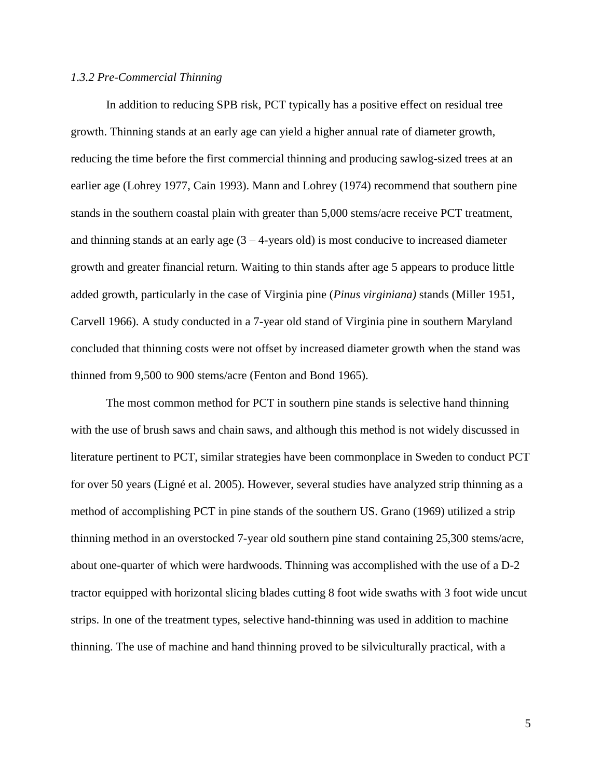#### *1.3.2 Pre-Commercial Thinning*

In addition to reducing SPB risk, PCT typically has a positive effect on residual tree growth. Thinning stands at an early age can yield a higher annual rate of diameter growth, reducing the time before the first commercial thinning and producing sawlog-sized trees at an earlier age (Lohrey 1977, Cain 1993). Mann and Lohrey (1974) recommend that southern pine stands in the southern coastal plain with greater than 5,000 stems/acre receive PCT treatment, and thinning stands at an early age  $(3 - 4$ -years old) is most conducive to increased diameter growth and greater financial return. Waiting to thin stands after age 5 appears to produce little added growth, particularly in the case of Virginia pine (*Pinus virginiana)* stands (Miller 1951, Carvell 1966). A study conducted in a 7-year old stand of Virginia pine in southern Maryland concluded that thinning costs were not offset by increased diameter growth when the stand was thinned from 9,500 to 900 stems/acre (Fenton and Bond 1965).

The most common method for PCT in southern pine stands is selective hand thinning with the use of brush saws and chain saws, and although this method is not widely discussed in literature pertinent to PCT, similar strategies have been commonplace in Sweden to conduct PCT for over 50 years (Ligné et al. 2005). However, several studies have analyzed strip thinning as a method of accomplishing PCT in pine stands of the southern US. Grano (1969) utilized a strip thinning method in an overstocked 7-year old southern pine stand containing 25,300 stems/acre, about one-quarter of which were hardwoods. Thinning was accomplished with the use of a D-2 tractor equipped with horizontal slicing blades cutting 8 foot wide swaths with 3 foot wide uncut strips. In one of the treatment types, selective hand-thinning was used in addition to machine thinning. The use of machine and hand thinning proved to be silviculturally practical, with a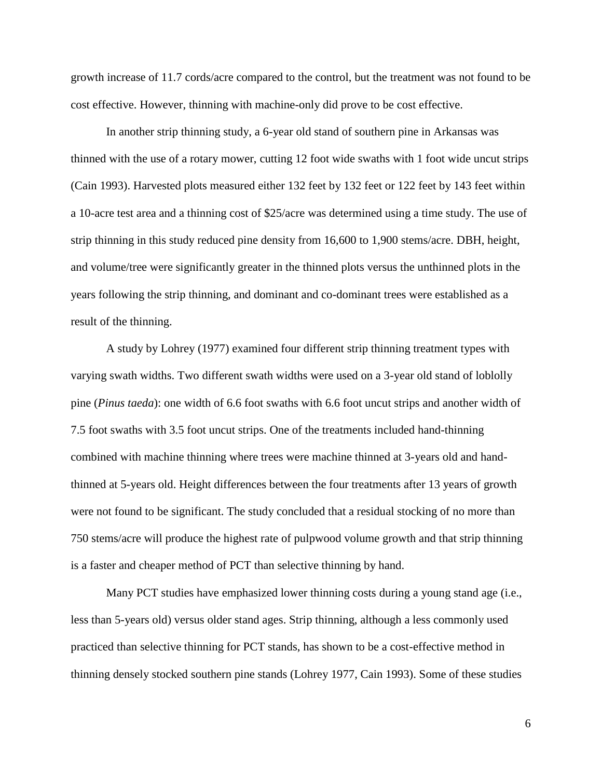growth increase of 11.7 cords/acre compared to the control, but the treatment was not found to be cost effective. However, thinning with machine-only did prove to be cost effective.

In another strip thinning study, a 6-year old stand of southern pine in Arkansas was thinned with the use of a rotary mower, cutting 12 foot wide swaths with 1 foot wide uncut strips (Cain 1993). Harvested plots measured either 132 feet by 132 feet or 122 feet by 143 feet within a 10-acre test area and a thinning cost of \$25/acre was determined using a time study. The use of strip thinning in this study reduced pine density from 16,600 to 1,900 stems/acre. DBH, height, and volume/tree were significantly greater in the thinned plots versus the unthinned plots in the years following the strip thinning, and dominant and co-dominant trees were established as a result of the thinning.

A study by Lohrey (1977) examined four different strip thinning treatment types with varying swath widths. Two different swath widths were used on a 3-year old stand of loblolly pine (*Pinus taeda*): one width of 6.6 foot swaths with 6.6 foot uncut strips and another width of 7.5 foot swaths with 3.5 foot uncut strips. One of the treatments included hand-thinning combined with machine thinning where trees were machine thinned at 3-years old and handthinned at 5-years old. Height differences between the four treatments after 13 years of growth were not found to be significant. The study concluded that a residual stocking of no more than 750 stems/acre will produce the highest rate of pulpwood volume growth and that strip thinning is a faster and cheaper method of PCT than selective thinning by hand.

Many PCT studies have emphasized lower thinning costs during a young stand age (i.e., less than 5-years old) versus older stand ages. Strip thinning, although a less commonly used practiced than selective thinning for PCT stands, has shown to be a cost-effective method in thinning densely stocked southern pine stands (Lohrey 1977, Cain 1993). Some of these studies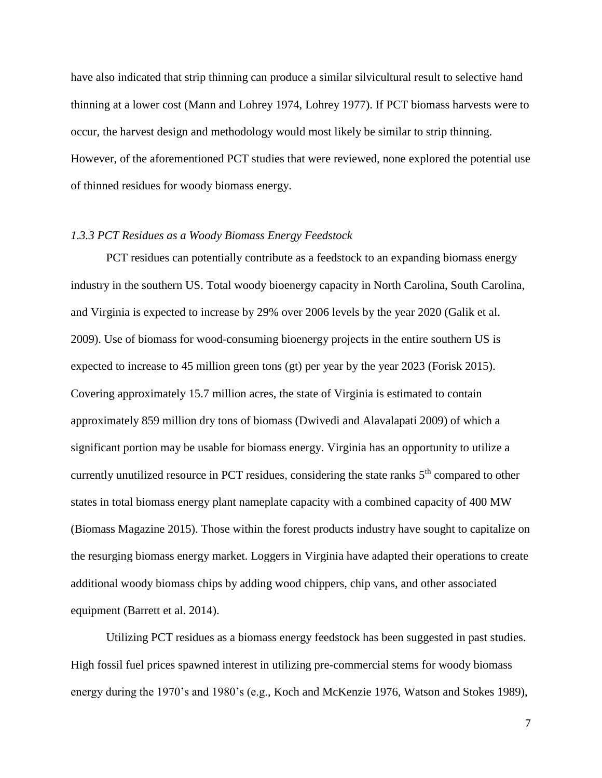have also indicated that strip thinning can produce a similar silvicultural result to selective hand thinning at a lower cost (Mann and Lohrey 1974, Lohrey 1977). If PCT biomass harvests were to occur, the harvest design and methodology would most likely be similar to strip thinning. However, of the aforementioned PCT studies that were reviewed, none explored the potential use of thinned residues for woody biomass energy.

#### *1.3.3 PCT Residues as a Woody Biomass Energy Feedstock*

PCT residues can potentially contribute as a feedstock to an expanding biomass energy industry in the southern US. Total woody bioenergy capacity in North Carolina, South Carolina, and Virginia is expected to increase by 29% over 2006 levels by the year 2020 (Galik et al. 2009). Use of biomass for wood-consuming bioenergy projects in the entire southern US is expected to increase to 45 million green tons (gt) per year by the year 2023 (Forisk 2015). Covering approximately 15.7 million acres, the state of Virginia is estimated to contain approximately 859 million dry tons of biomass (Dwivedi and Alavalapati 2009) of which a significant portion may be usable for biomass energy. Virginia has an opportunity to utilize a currently unutilized resource in PCT residues, considering the state ranks 5<sup>th</sup> compared to other states in total biomass energy plant nameplate capacity with a combined capacity of 400 MW (Biomass Magazine 2015). Those within the forest products industry have sought to capitalize on the resurging biomass energy market. Loggers in Virginia have adapted their operations to create additional woody biomass chips by adding wood chippers, chip vans, and other associated equipment (Barrett et al. 2014).

Utilizing PCT residues as a biomass energy feedstock has been suggested in past studies. High fossil fuel prices spawned interest in utilizing pre-commercial stems for woody biomass energy during the 1970's and 1980's (e.g., Koch and McKenzie 1976, Watson and Stokes 1989),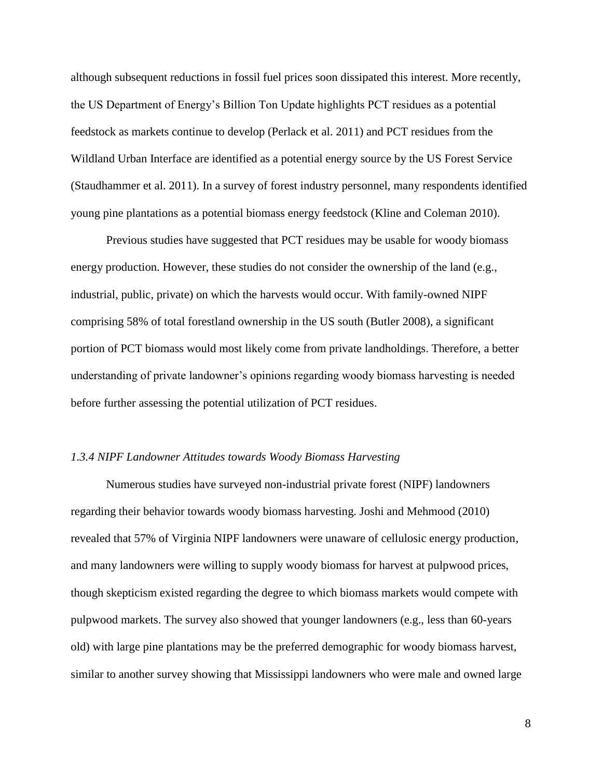although subsequent reductions in fossil fuel prices soon dissipated this interest. More recently, the US Department of Energy's Billion Ton Update highlights PCT residues as a potential feedstock as markets continue to develop (Perlack et al. 2011) and PCT residues from the Wildland Urban Interface are identified as a potential energy source by the US Forest Service (Staudhammer et al. 2011). In a survey of forest industry personnel, many respondents identified young pine plantations as a potential biomass energy feedstock (Kline and Coleman 2010).

Previous studies have suggested that PCT residues may be usable for woody biomass energy production. However, these studies do not consider the ownership of the land (e.g., industrial, public, private) on which the harvests would occur. With family-owned NIPF comprising 58% of total forestland ownership in the US south (Butler 2008), a significant portion of PCT biomass would most likely come from private landholdings. Therefore, a better understanding of private landowner's opinions regarding woody biomass harvesting is needed before further assessing the potential utilization of PCT residues.

#### *1.3.4 NIPF Landowner Attitudes towards Woody Biomass Harvesting*

Numerous studies have surveyed non-industrial private forest (NIPF) landowners regarding their behavior towards woody biomass harvesting. Joshi and Mehmood (2010) revealed that 57% of Virginia NIPF landowners were unaware of cellulosic energy production, and many landowners were willing to supply woody biomass for harvest at pulpwood prices, though skepticism existed regarding the degree to which biomass markets would compete with pulpwood markets. The survey also showed that younger landowners (e.g., less than 60-years old) with large pine plantations may be the preferred demographic for woody biomass harvest, similar to another survey showing that Mississippi landowners who were male and owned large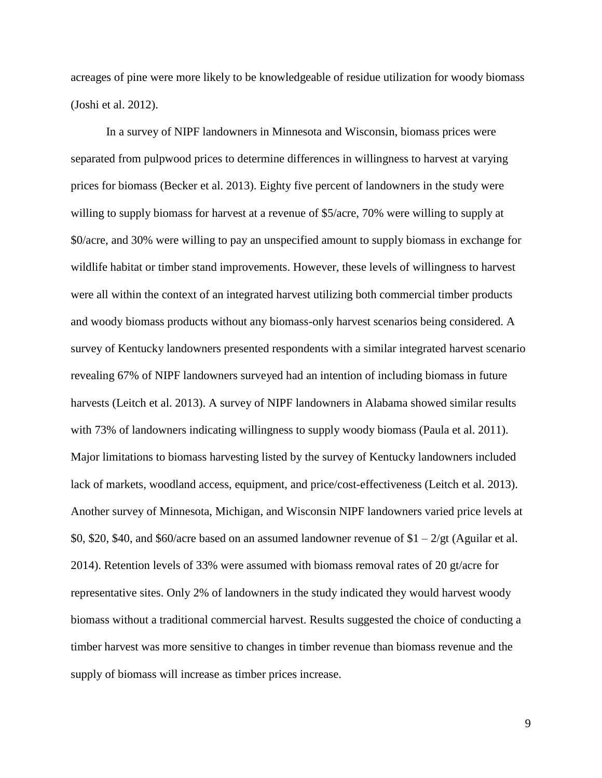acreages of pine were more likely to be knowledgeable of residue utilization for woody biomass (Joshi et al. 2012).

In a survey of NIPF landowners in Minnesota and Wisconsin, biomass prices were separated from pulpwood prices to determine differences in willingness to harvest at varying prices for biomass (Becker et al. 2013). Eighty five percent of landowners in the study were willing to supply biomass for harvest at a revenue of \$5/acre, 70% were willing to supply at \$0/acre, and 30% were willing to pay an unspecified amount to supply biomass in exchange for wildlife habitat or timber stand improvements. However, these levels of willingness to harvest were all within the context of an integrated harvest utilizing both commercial timber products and woody biomass products without any biomass-only harvest scenarios being considered. A survey of Kentucky landowners presented respondents with a similar integrated harvest scenario revealing 67% of NIPF landowners surveyed had an intention of including biomass in future harvests (Leitch et al. 2013). A survey of NIPF landowners in Alabama showed similar results with 73% of landowners indicating willingness to supply woody biomass (Paula et al. 2011). Major limitations to biomass harvesting listed by the survey of Kentucky landowners included lack of markets, woodland access, equipment, and price/cost-effectiveness (Leitch et al. 2013). Another survey of Minnesota, Michigan, and Wisconsin NIPF landowners varied price levels at \$0, \$20, \$40, and \$60/acre based on an assumed landowner revenue of  $$1 - 2$ /gt (Aguilar et al. 2014). Retention levels of 33% were assumed with biomass removal rates of 20 gt/acre for representative sites. Only 2% of landowners in the study indicated they would harvest woody biomass without a traditional commercial harvest. Results suggested the choice of conducting a timber harvest was more sensitive to changes in timber revenue than biomass revenue and the supply of biomass will increase as timber prices increase.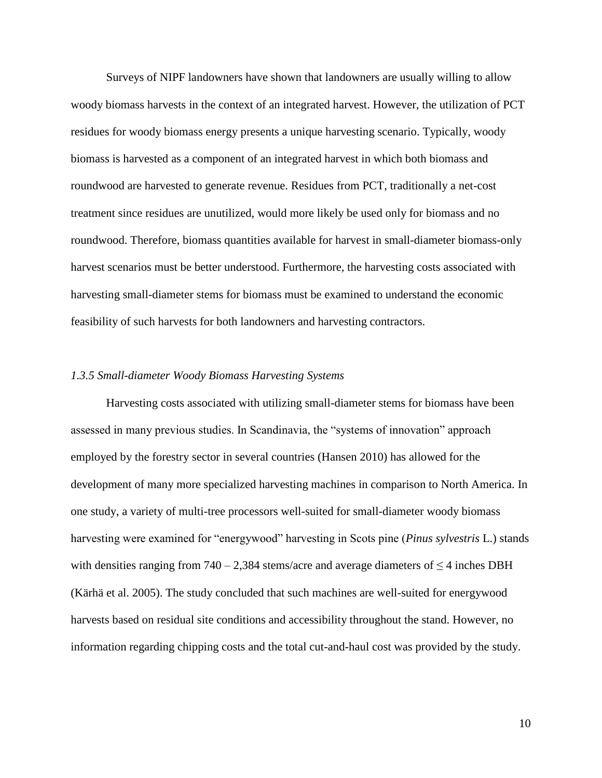Surveys of NIPF landowners have shown that landowners are usually willing to allow woody biomass harvests in the context of an integrated harvest. However, the utilization of PCT residues for woody biomass energy presents a unique harvesting scenario. Typically, woody biomass is harvested as a component of an integrated harvest in which both biomass and roundwood are harvested to generate revenue. Residues from PCT, traditionally a net-cost treatment since residues are unutilized, would more likely be used only for biomass and no roundwood. Therefore, biomass quantities available for harvest in small-diameter biomass-only harvest scenarios must be better understood. Furthermore, the harvesting costs associated with harvesting small-diameter stems for biomass must be examined to understand the economic feasibility of such harvests for both landowners and harvesting contractors.

#### *1.3.5 Small-diameter Woody Biomass Harvesting Systems*

Harvesting costs associated with utilizing small-diameter stems for biomass have been assessed in many previous studies. In Scandinavia, the "systems of innovation" approach employed by the forestry sector in several countries (Hansen 2010) has allowed for the development of many more specialized harvesting machines in comparison to North America. In one study, a variety of multi-tree processors well-suited for small-diameter woody biomass harvesting were examined for "energywood" harvesting in Scots pine (*Pinus sylvestris* L.) stands with densities ranging from  $740 - 2,384$  stems/acre and average diameters of  $\leq 4$  inches DBH (Kärhä et al. 2005). The study concluded that such machines are well-suited for energywood harvests based on residual site conditions and accessibility throughout the stand. However, no information regarding chipping costs and the total cut-and-haul cost was provided by the study.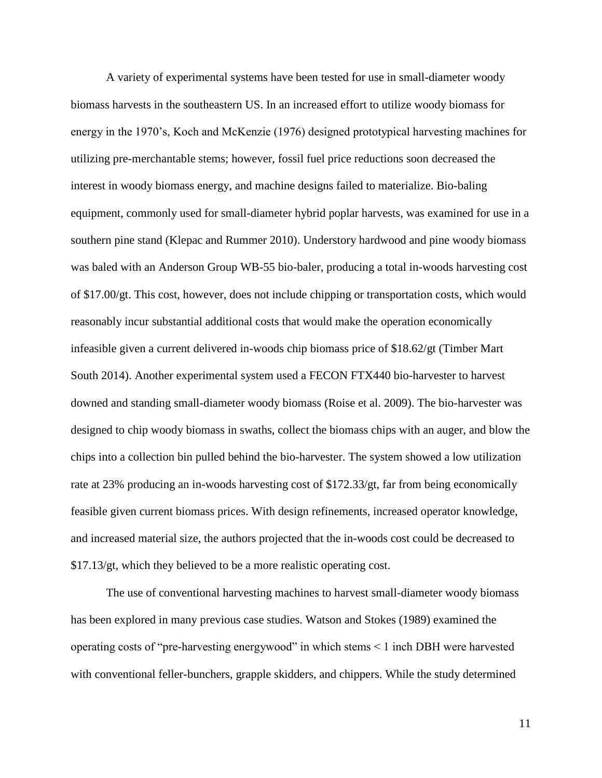A variety of experimental systems have been tested for use in small-diameter woody biomass harvests in the southeastern US. In an increased effort to utilize woody biomass for energy in the 1970's, Koch and McKenzie (1976) designed prototypical harvesting machines for utilizing pre-merchantable stems; however, fossil fuel price reductions soon decreased the interest in woody biomass energy, and machine designs failed to materialize. Bio-baling equipment, commonly used for small-diameter hybrid poplar harvests, was examined for use in a southern pine stand (Klepac and Rummer 2010). Understory hardwood and pine woody biomass was baled with an Anderson Group WB-55 bio-baler, producing a total in-woods harvesting cost of \$17.00/gt. This cost, however, does not include chipping or transportation costs, which would reasonably incur substantial additional costs that would make the operation economically infeasible given a current delivered in-woods chip biomass price of \$18.62/gt (Timber Mart South 2014). Another experimental system used a FECON FTX440 bio-harvester to harvest downed and standing small-diameter woody biomass (Roise et al. 2009). The bio-harvester was designed to chip woody biomass in swaths, collect the biomass chips with an auger, and blow the chips into a collection bin pulled behind the bio-harvester. The system showed a low utilization rate at 23% producing an in-woods harvesting cost of \$172.33/gt, far from being economically feasible given current biomass prices. With design refinements, increased operator knowledge, and increased material size, the authors projected that the in-woods cost could be decreased to \$17.13/gt, which they believed to be a more realistic operating cost.

The use of conventional harvesting machines to harvest small-diameter woody biomass has been explored in many previous case studies. Watson and Stokes (1989) examined the operating costs of "pre-harvesting energywood" in which stems < 1 inch DBH were harvested with conventional feller-bunchers, grapple skidders, and chippers. While the study determined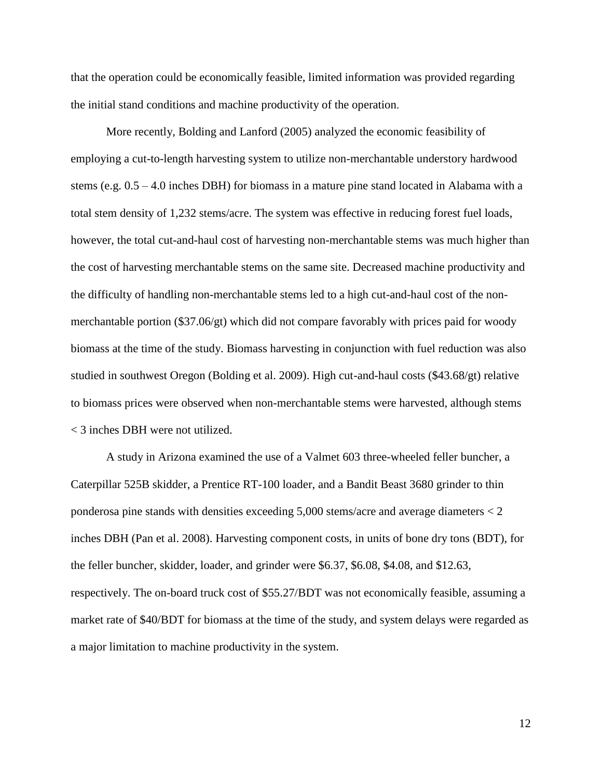that the operation could be economically feasible, limited information was provided regarding the initial stand conditions and machine productivity of the operation.

More recently, Bolding and Lanford (2005) analyzed the economic feasibility of employing a cut-to-length harvesting system to utilize non-merchantable understory hardwood stems (e.g.  $0.5 - 4.0$  inches DBH) for biomass in a mature pine stand located in Alabama with a total stem density of 1,232 stems/acre. The system was effective in reducing forest fuel loads, however, the total cut-and-haul cost of harvesting non-merchantable stems was much higher than the cost of harvesting merchantable stems on the same site. Decreased machine productivity and the difficulty of handling non-merchantable stems led to a high cut-and-haul cost of the nonmerchantable portion  $(\frac{$37.06}{g}t)$  which did not compare favorably with prices paid for woody biomass at the time of the study. Biomass harvesting in conjunction with fuel reduction was also studied in southwest Oregon (Bolding et al. 2009). High cut-and-haul costs (\$43.68/gt) relative to biomass prices were observed when non-merchantable stems were harvested, although stems < 3 inches DBH were not utilized.

A study in Arizona examined the use of a Valmet 603 three-wheeled feller buncher, a Caterpillar 525B skidder, a Prentice RT-100 loader, and a Bandit Beast 3680 grinder to thin ponderosa pine stands with densities exceeding 5,000 stems/acre and average diameters < 2 inches DBH (Pan et al. 2008). Harvesting component costs, in units of bone dry tons (BDT), for the feller buncher, skidder, loader, and grinder were \$6.37, \$6.08, \$4.08, and \$12.63, respectively. The on-board truck cost of \$55.27/BDT was not economically feasible, assuming a market rate of \$40/BDT for biomass at the time of the study, and system delays were regarded as a major limitation to machine productivity in the system.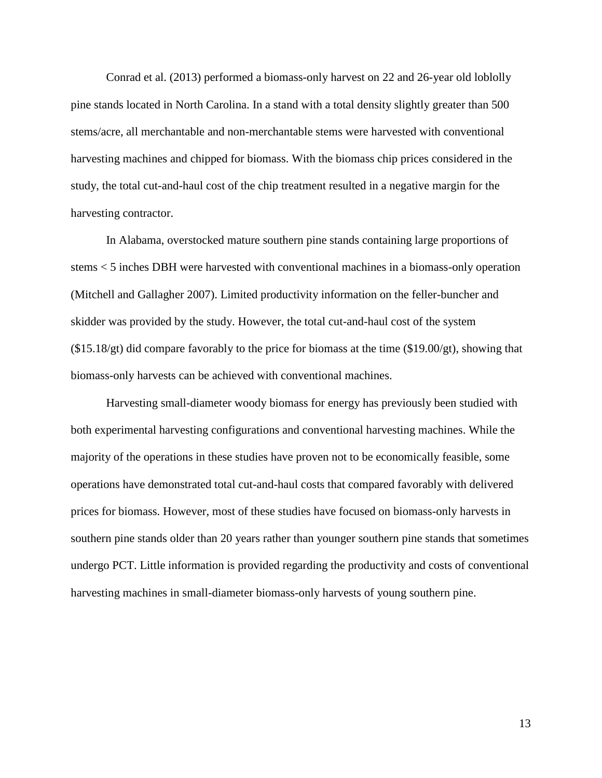Conrad et al. (2013) performed a biomass-only harvest on 22 and 26-year old loblolly pine stands located in North Carolina. In a stand with a total density slightly greater than 500 stems/acre, all merchantable and non-merchantable stems were harvested with conventional harvesting machines and chipped for biomass. With the biomass chip prices considered in the study, the total cut-and-haul cost of the chip treatment resulted in a negative margin for the harvesting contractor.

In Alabama, overstocked mature southern pine stands containing large proportions of stems < 5 inches DBH were harvested with conventional machines in a biomass-only operation (Mitchell and Gallagher 2007). Limited productivity information on the feller-buncher and skidder was provided by the study. However, the total cut-and-haul cost of the system  $($15.18\text{/gt)}$  did compare favorably to the price for biomass at the time  $($19.00\text{/gt})$ , showing that biomass-only harvests can be achieved with conventional machines.

Harvesting small-diameter woody biomass for energy has previously been studied with both experimental harvesting configurations and conventional harvesting machines. While the majority of the operations in these studies have proven not to be economically feasible, some operations have demonstrated total cut-and-haul costs that compared favorably with delivered prices for biomass. However, most of these studies have focused on biomass-only harvests in southern pine stands older than 20 years rather than younger southern pine stands that sometimes undergo PCT. Little information is provided regarding the productivity and costs of conventional harvesting machines in small-diameter biomass-only harvests of young southern pine.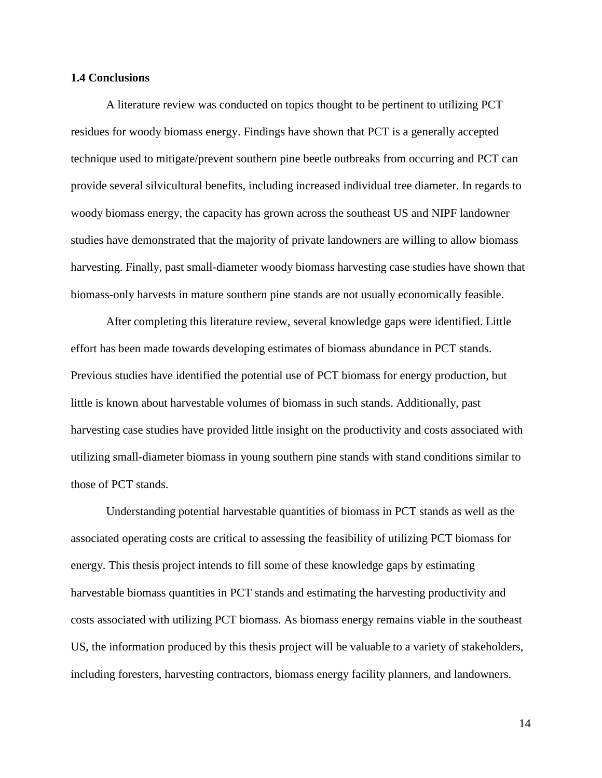#### **1.4 Conclusions**

A literature review was conducted on topics thought to be pertinent to utilizing PCT residues for woody biomass energy. Findings have shown that PCT is a generally accepted technique used to mitigate/prevent southern pine beetle outbreaks from occurring and PCT can provide several silvicultural benefits, including increased individual tree diameter. In regards to woody biomass energy, the capacity has grown across the southeast US and NIPF landowner studies have demonstrated that the majority of private landowners are willing to allow biomass harvesting. Finally, past small-diameter woody biomass harvesting case studies have shown that biomass-only harvests in mature southern pine stands are not usually economically feasible.

After completing this literature review, several knowledge gaps were identified. Little effort has been made towards developing estimates of biomass abundance in PCT stands. Previous studies have identified the potential use of PCT biomass for energy production, but little is known about harvestable volumes of biomass in such stands. Additionally, past harvesting case studies have provided little insight on the productivity and costs associated with utilizing small-diameter biomass in young southern pine stands with stand conditions similar to those of PCT stands.

Understanding potential harvestable quantities of biomass in PCT stands as well as the associated operating costs are critical to assessing the feasibility of utilizing PCT biomass for energy. This thesis project intends to fill some of these knowledge gaps by estimating harvestable biomass quantities in PCT stands and estimating the harvesting productivity and costs associated with utilizing PCT biomass. As biomass energy remains viable in the southeast US, the information produced by this thesis project will be valuable to a variety of stakeholders, including foresters, harvesting contractors, biomass energy facility planners, and landowners.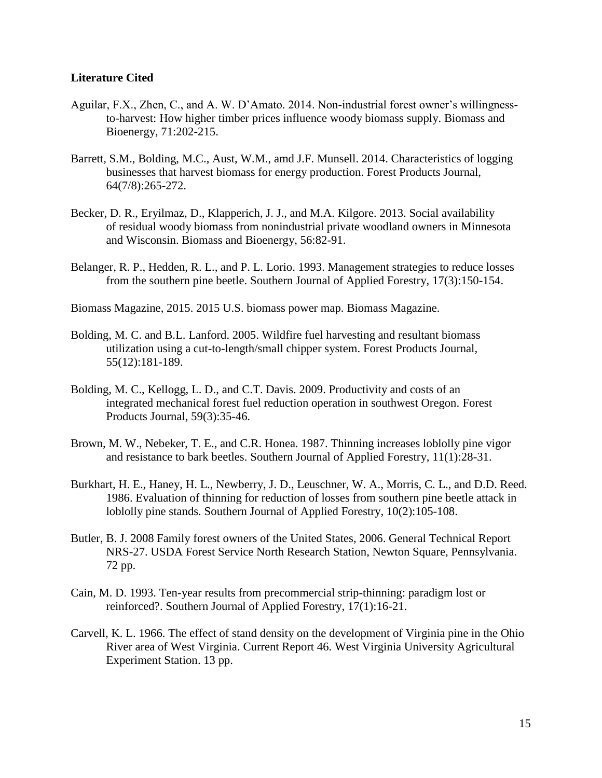#### **Literature Cited**

- Aguilar, F.X., Zhen, C., and A. W. D'Amato. 2014. Non-industrial forest owner's willingnessto-harvest: How higher timber prices influence woody biomass supply. Biomass and Bioenergy, 71:202-215.
- Barrett, S.M., Bolding, M.C., Aust, W.M., amd J.F. Munsell. 2014. Characteristics of logging businesses that harvest biomass for energy production. Forest Products Journal, 64(7/8):265-272.
- Becker, D. R., Eryilmaz, D., Klapperich, J. J., and M.A. Kilgore. 2013. Social availability of residual woody biomass from nonindustrial private woodland owners in Minnesota and Wisconsin. Biomass and Bioenergy, 56:82-91.
- Belanger, R. P., Hedden, R. L., and P. L. Lorio. 1993. Management strategies to reduce losses from the southern pine beetle. Southern Journal of Applied Forestry, 17(3):150-154.

Biomass Magazine, 2015. 2015 U.S. biomass power map. Biomass Magazine.

- Bolding, M. C. and B.L. Lanford. 2005. Wildfire fuel harvesting and resultant biomass utilization using a cut-to-length/small chipper system. Forest Products Journal, 55(12):181-189.
- Bolding, M. C., Kellogg, L. D., and C.T. Davis. 2009. Productivity and costs of an integrated mechanical forest fuel reduction operation in southwest Oregon. Forest Products Journal, 59(3):35-46.
- Brown, M. W., Nebeker, T. E., and C.R. Honea. 1987. Thinning increases loblolly pine vigor and resistance to bark beetles. Southern Journal of Applied Forestry, 11(1):28-31.
- Burkhart, H. E., Haney, H. L., Newberry, J. D., Leuschner, W. A., Morris, C. L., and D.D. Reed. 1986. Evaluation of thinning for reduction of losses from southern pine beetle attack in loblolly pine stands. Southern Journal of Applied Forestry, 10(2):105-108.
- Butler, B. J. 2008 Family forest owners of the United States, 2006. General Technical Report NRS-27. USDA Forest Service North Research Station, Newton Square, Pennsylvania. 72 pp.
- Cain, M. D. 1993. Ten-year results from precommercial strip-thinning: paradigm lost or reinforced?. Southern Journal of Applied Forestry, 17(1):16-21.
- Carvell, K. L. 1966. The effect of stand density on the development of Virginia pine in the Ohio River area of West Virginia. Current Report 46. West Virginia University Agricultural Experiment Station. 13 pp.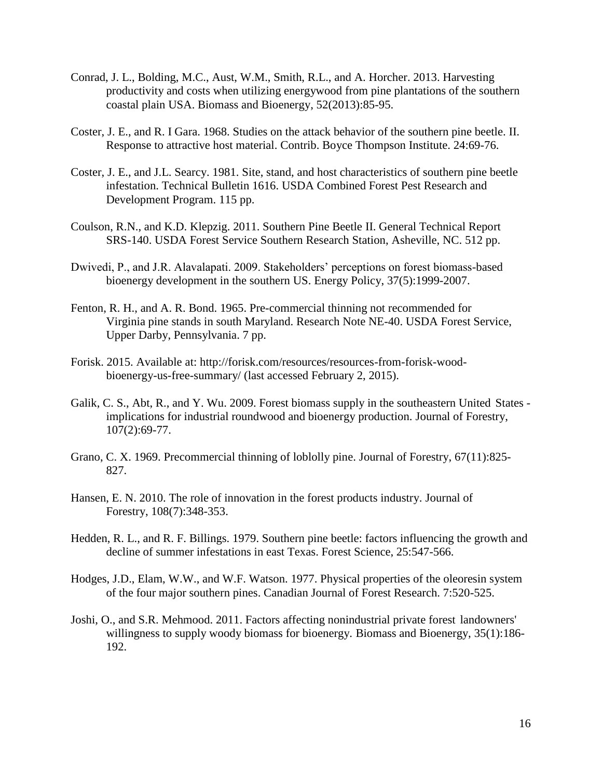- Conrad, J. L., Bolding, M.C., Aust, W.M., Smith, R.L., and A. Horcher. 2013. Harvesting productivity and costs when utilizing energywood from pine plantations of the southern coastal plain USA. Biomass and Bioenergy, 52(2013):85-95.
- Coster, J. E., and R. I Gara. 1968. Studies on the attack behavior of the southern pine beetle. II. Response to attractive host material. Contrib. Boyce Thompson Institute. 24:69-76.
- Coster, J. E., and J.L. Searcy. 1981. Site, stand, and host characteristics of southern pine beetle infestation. Technical Bulletin 1616. USDA Combined Forest Pest Research and Development Program. 115 pp.
- Coulson, R.N., and K.D. Klepzig. 2011. Southern Pine Beetle II. General Technical Report SRS-140. USDA Forest Service Southern Research Station, Asheville, NC. 512 pp.
- Dwivedi, P., and J.R. Alavalapati. 2009. Stakeholders' perceptions on forest biomass-based bioenergy development in the southern US. Energy Policy, 37(5):1999-2007.
- Fenton, R. H., and A. R. Bond. 1965. Pre-commercial thinning not recommended for Virginia pine stands in south Maryland. Research Note NE-40. USDA Forest Service, Upper Darby, Pennsylvania. 7 pp.
- Forisk. 2015. Available at: http://forisk.com/resources/resources-from-forisk-woodbioenergy-us-free-summary/ (last accessed February 2, 2015).
- Galik, C. S., Abt, R., and Y. Wu. 2009. Forest biomass supply in the southeastern United States implications for industrial roundwood and bioenergy production. Journal of Forestry, 107(2):69-77.
- Grano, C. X. 1969. Precommercial thinning of loblolly pine. Journal of Forestry, 67(11):825- 827.
- Hansen, E. N. 2010. The role of innovation in the forest products industry. Journal of Forestry, 108(7):348-353.
- Hedden, R. L., and R. F. Billings. 1979. Southern pine beetle: factors influencing the growth and decline of summer infestations in east Texas. Forest Science, 25:547-566.
- Hodges, J.D., Elam, W.W., and W.F. Watson. 1977. Physical properties of the oleoresin system of the four major southern pines. Canadian Journal of Forest Research. 7:520-525.
- Joshi, O., and S.R. Mehmood. 2011. Factors affecting nonindustrial private forest landowners' willingness to supply woody biomass for bioenergy. Biomass and Bioenergy, 35(1):186- 192.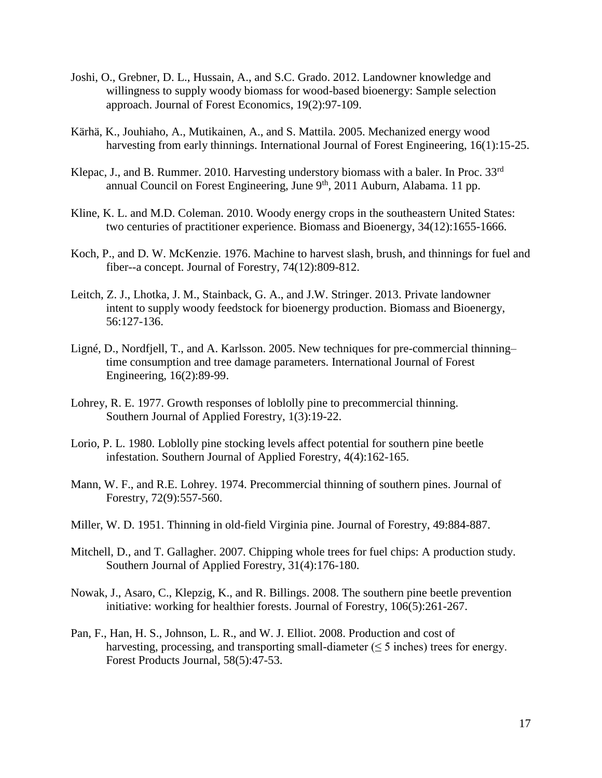- Joshi, O., Grebner, D. L., Hussain, A., and S.C. Grado. 2012. Landowner knowledge and willingness to supply woody biomass for wood-based bioenergy: Sample selection approach. Journal of Forest Economics, 19(2):97-109.
- Kärhä, K., Jouhiaho, A., Mutikainen, A., and S. Mattila. 2005. Mechanized energy wood harvesting from early thinnings. International Journal of Forest Engineering, 16(1):15-25.
- Klepac, J., and B. Rummer. 2010. Harvesting understory biomass with a baler. In Proc. 33<sup>rd</sup> annual Council on Forest Engineering, June 9<sup>th</sup>, 2011 Auburn, Alabama. 11 pp.
- Kline, K. L. and M.D. Coleman. 2010. Woody energy crops in the southeastern United States: two centuries of practitioner experience. Biomass and Bioenergy, 34(12):1655-1666.
- Koch, P., and D. W. McKenzie. 1976. Machine to harvest slash, brush, and thinnings for fuel and fiber--a concept. Journal of Forestry, 74(12):809-812.
- Leitch, Z. J., Lhotka, J. M., Stainback, G. A., and J.W. Stringer. 2013. Private landowner intent to supply woody feedstock for bioenergy production. Biomass and Bioenergy, 56:127-136.
- Ligné, D., Nordfjell, T., and A. Karlsson. 2005. New techniques for pre-commercial thinning– time consumption and tree damage parameters. International Journal of Forest Engineering, 16(2):89-99.
- Lohrey, R. E. 1977. Growth responses of loblolly pine to precommercial thinning. Southern Journal of Applied Forestry, 1(3):19-22.
- Lorio, P. L. 1980. Loblolly pine stocking levels affect potential for southern pine beetle infestation. Southern Journal of Applied Forestry, 4(4):162-165.
- Mann, W. F., and R.E. Lohrey. 1974. Precommercial thinning of southern pines. Journal of Forestry, 72(9):557-560.
- Miller, W. D. 1951. Thinning in old-field Virginia pine. Journal of Forestry, 49:884-887.
- Mitchell, D., and T. Gallagher. 2007. Chipping whole trees for fuel chips: A production study. Southern Journal of Applied Forestry, 31(4):176-180.
- Nowak, J., Asaro, C., Klepzig, K., and R. Billings. 2008. The southern pine beetle prevention initiative: working for healthier forests. Journal of Forestry, 106(5):261-267.
- Pan, F., Han, H. S., Johnson, L. R., and W. J. Elliot. 2008. Production and cost of harvesting, processing, and transporting small-diameter ( $\leq$  5 inches) trees for energy. Forest Products Journal, 58(5):47-53.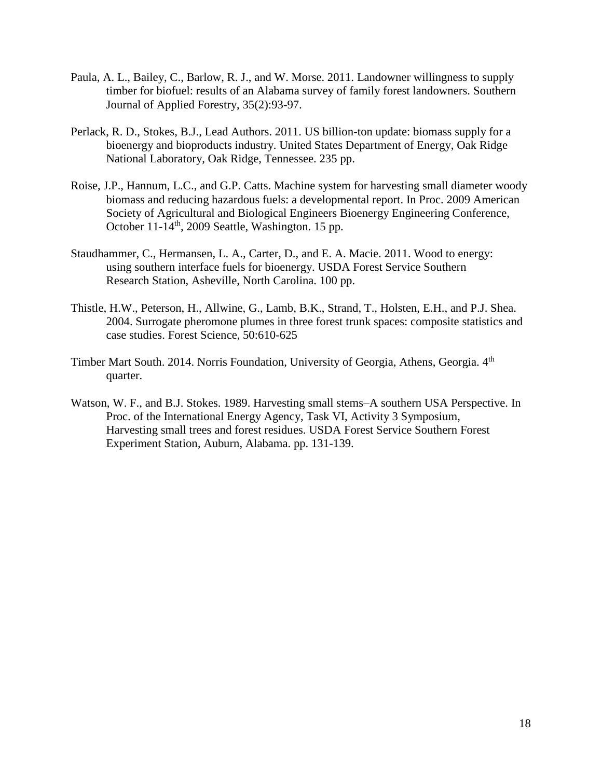- Paula, A. L., Bailey, C., Barlow, R. J., and W. Morse. 2011. Landowner willingness to supply timber for biofuel: results of an Alabama survey of family forest landowners. Southern Journal of Applied Forestry, 35(2):93-97.
- Perlack, R. D., Stokes, B.J., Lead Authors. 2011. US billion-ton update: biomass supply for a bioenergy and bioproducts industry. United States Department of Energy, Oak Ridge National Laboratory, Oak Ridge, Tennessee. 235 pp.
- Roise, J.P., Hannum, L.C., and G.P. Catts. Machine system for harvesting small diameter woody biomass and reducing hazardous fuels: a developmental report. In Proc. 2009 American Society of Agricultural and Biological Engineers Bioenergy Engineering Conference, October 11-14<sup>th</sup>, 2009 Seattle, Washington. 15 pp.
- Staudhammer, C., Hermansen, L. A., Carter, D., and E. A. Macie. 2011. Wood to energy: using southern interface fuels for bioenergy. USDA Forest Service Southern Research Station, Asheville, North Carolina. 100 pp.
- Thistle, H.W., Peterson, H., Allwine, G., Lamb, B.K., Strand, T., Holsten, E.H., and P.J. Shea. 2004. Surrogate pheromone plumes in three forest trunk spaces: composite statistics and case studies. Forest Science, 50:610-625
- Timber Mart South. 2014. Norris Foundation, University of Georgia, Athens, Georgia. 4th quarter.
- Watson, W. F., and B.J. Stokes. 1989. Harvesting small stems–A southern USA Perspective. In Proc. of the International Energy Agency, Task VI, Activity 3 Symposium, Harvesting small trees and forest residues. USDA Forest Service Southern Forest Experiment Station, Auburn, Alabama. pp. 131-139.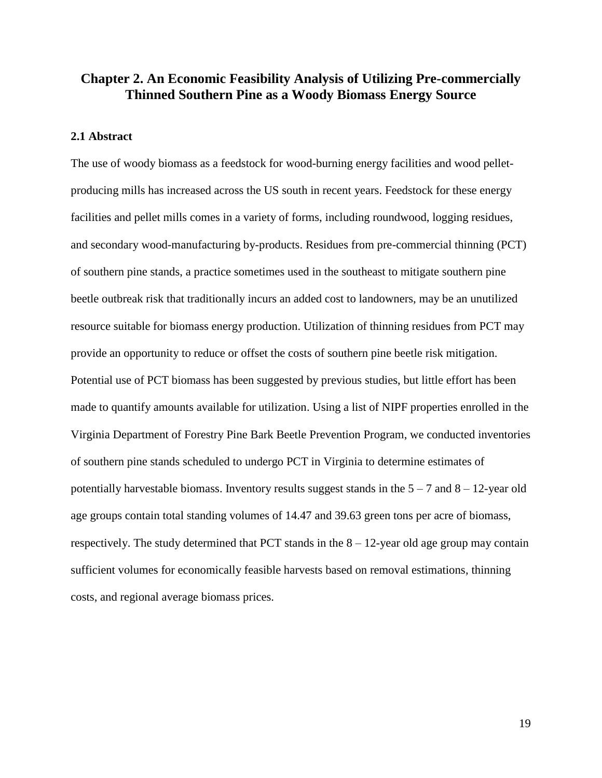### **Chapter 2. An Economic Feasibility Analysis of Utilizing Pre-commercially Thinned Southern Pine as a Woody Biomass Energy Source**

#### **2.1 Abstract**

The use of woody biomass as a feedstock for wood-burning energy facilities and wood pelletproducing mills has increased across the US south in recent years. Feedstock for these energy facilities and pellet mills comes in a variety of forms, including roundwood, logging residues, and secondary wood-manufacturing by-products. Residues from pre-commercial thinning (PCT) of southern pine stands, a practice sometimes used in the southeast to mitigate southern pine beetle outbreak risk that traditionally incurs an added cost to landowners, may be an unutilized resource suitable for biomass energy production. Utilization of thinning residues from PCT may provide an opportunity to reduce or offset the costs of southern pine beetle risk mitigation. Potential use of PCT biomass has been suggested by previous studies, but little effort has been made to quantify amounts available for utilization. Using a list of NIPF properties enrolled in the Virginia Department of Forestry Pine Bark Beetle Prevention Program, we conducted inventories of southern pine stands scheduled to undergo PCT in Virginia to determine estimates of potentially harvestable biomass. Inventory results suggest stands in the  $5 - 7$  and  $8 - 12$ -year old age groups contain total standing volumes of 14.47 and 39.63 green tons per acre of biomass, respectively. The study determined that PCT stands in the  $8 - 12$ -year old age group may contain sufficient volumes for economically feasible harvests based on removal estimations, thinning costs, and regional average biomass prices.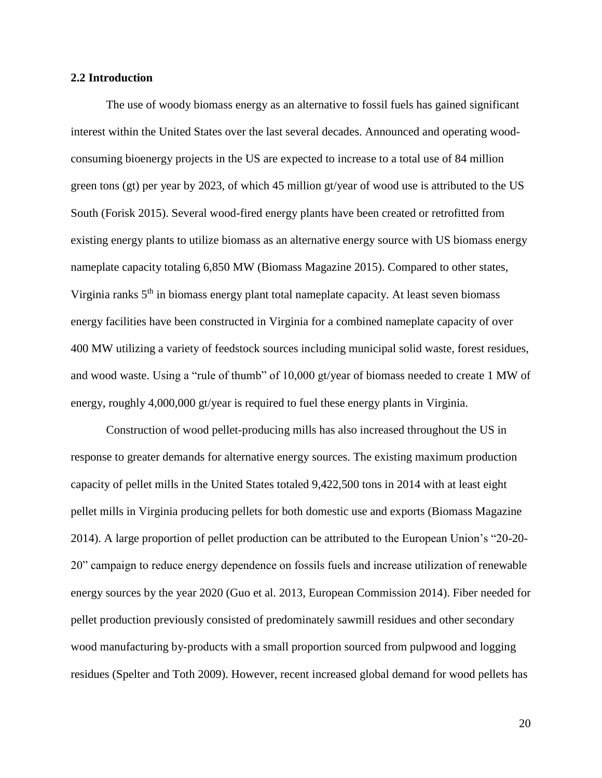#### **2.2 Introduction**

The use of woody biomass energy as an alternative to fossil fuels has gained significant interest within the United States over the last several decades. Announced and operating woodconsuming bioenergy projects in the US are expected to increase to a total use of 84 million green tons (gt) per year by 2023, of which 45 million gt/year of wood use is attributed to the US South (Forisk 2015). Several wood-fired energy plants have been created or retrofitted from existing energy plants to utilize biomass as an alternative energy source with US biomass energy nameplate capacity totaling 6,850 MW (Biomass Magazine 2015). Compared to other states, Virginia ranks 5th in biomass energy plant total nameplate capacity. At least seven biomass energy facilities have been constructed in Virginia for a combined nameplate capacity of over 400 MW utilizing a variety of feedstock sources including municipal solid waste, forest residues, and wood waste. Using a "rule of thumb" of 10,000 gt/year of biomass needed to create 1 MW of energy, roughly 4,000,000 gt/year is required to fuel these energy plants in Virginia.

Construction of wood pellet-producing mills has also increased throughout the US in response to greater demands for alternative energy sources. The existing maximum production capacity of pellet mills in the United States totaled 9,422,500 tons in 2014 with at least eight pellet mills in Virginia producing pellets for both domestic use and exports (Biomass Magazine 2014). A large proportion of pellet production can be attributed to the European Union's "20-20- 20" campaign to reduce energy dependence on fossils fuels and increase utilization of renewable energy sources by the year 2020 (Guo et al. 2013, European Commission 2014). Fiber needed for pellet production previously consisted of predominately sawmill residues and other secondary wood manufacturing by-products with a small proportion sourced from pulpwood and logging residues (Spelter and Toth 2009). However, recent increased global demand for wood pellets has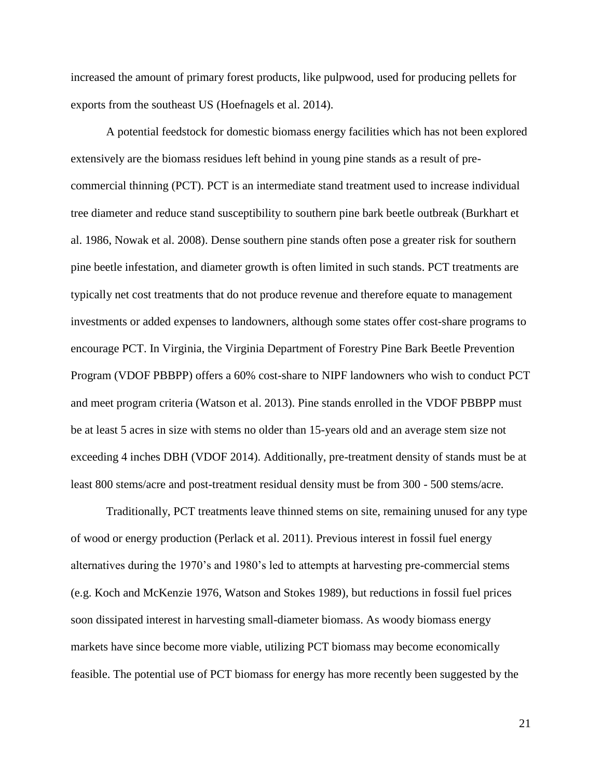increased the amount of primary forest products, like pulpwood, used for producing pellets for exports from the southeast US (Hoefnagels et al. 2014).

A potential feedstock for domestic biomass energy facilities which has not been explored extensively are the biomass residues left behind in young pine stands as a result of precommercial thinning (PCT). PCT is an intermediate stand treatment used to increase individual tree diameter and reduce stand susceptibility to southern pine bark beetle outbreak (Burkhart et al. 1986, Nowak et al. 2008). Dense southern pine stands often pose a greater risk for southern pine beetle infestation, and diameter growth is often limited in such stands. PCT treatments are typically net cost treatments that do not produce revenue and therefore equate to management investments or added expenses to landowners, although some states offer cost-share programs to encourage PCT. In Virginia, the Virginia Department of Forestry Pine Bark Beetle Prevention Program (VDOF PBBPP) offers a 60% cost-share to NIPF landowners who wish to conduct PCT and meet program criteria (Watson et al. 2013). Pine stands enrolled in the VDOF PBBPP must be at least 5 acres in size with stems no older than 15-years old and an average stem size not exceeding 4 inches DBH (VDOF 2014). Additionally, pre-treatment density of stands must be at least 800 stems/acre and post-treatment residual density must be from 300 - 500 stems/acre.

Traditionally, PCT treatments leave thinned stems on site, remaining unused for any type of wood or energy production (Perlack et al. 2011). Previous interest in fossil fuel energy alternatives during the 1970's and 1980's led to attempts at harvesting pre-commercial stems (e.g. Koch and McKenzie 1976, Watson and Stokes 1989), but reductions in fossil fuel prices soon dissipated interest in harvesting small-diameter biomass. As woody biomass energy markets have since become more viable, utilizing PCT biomass may become economically feasible. The potential use of PCT biomass for energy has more recently been suggested by the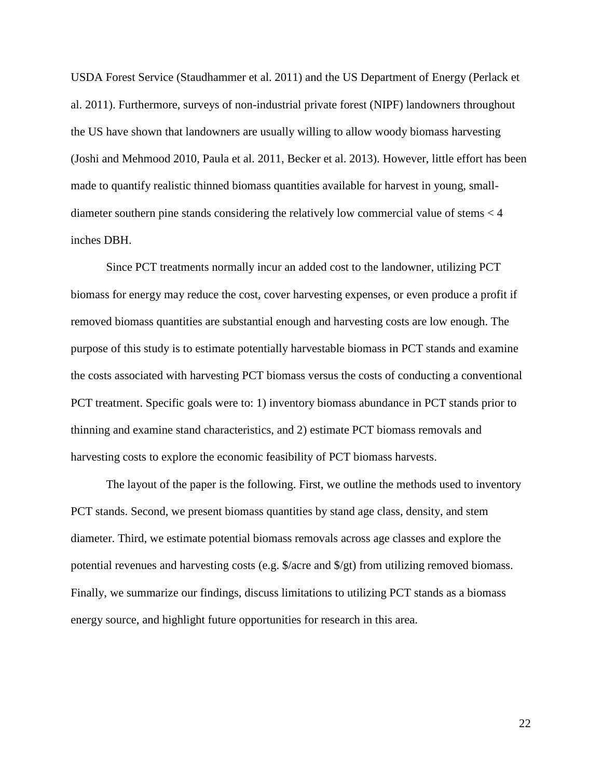USDA Forest Service (Staudhammer et al. 2011) and the US Department of Energy (Perlack et al. 2011). Furthermore, surveys of non-industrial private forest (NIPF) landowners throughout the US have shown that landowners are usually willing to allow woody biomass harvesting (Joshi and Mehmood 2010, Paula et al. 2011, Becker et al. 2013). However, little effort has been made to quantify realistic thinned biomass quantities available for harvest in young, smalldiameter southern pine stands considering the relatively low commercial value of stems < 4 inches DBH.

Since PCT treatments normally incur an added cost to the landowner, utilizing PCT biomass for energy may reduce the cost, cover harvesting expenses, or even produce a profit if removed biomass quantities are substantial enough and harvesting costs are low enough. The purpose of this study is to estimate potentially harvestable biomass in PCT stands and examine the costs associated with harvesting PCT biomass versus the costs of conducting a conventional PCT treatment. Specific goals were to: 1) inventory biomass abundance in PCT stands prior to thinning and examine stand characteristics, and 2) estimate PCT biomass removals and harvesting costs to explore the economic feasibility of PCT biomass harvests.

The layout of the paper is the following. First, we outline the methods used to inventory PCT stands. Second, we present biomass quantities by stand age class, density, and stem diameter. Third, we estimate potential biomass removals across age classes and explore the potential revenues and harvesting costs (e.g. \$/acre and \$/gt) from utilizing removed biomass. Finally, we summarize our findings, discuss limitations to utilizing PCT stands as a biomass energy source, and highlight future opportunities for research in this area.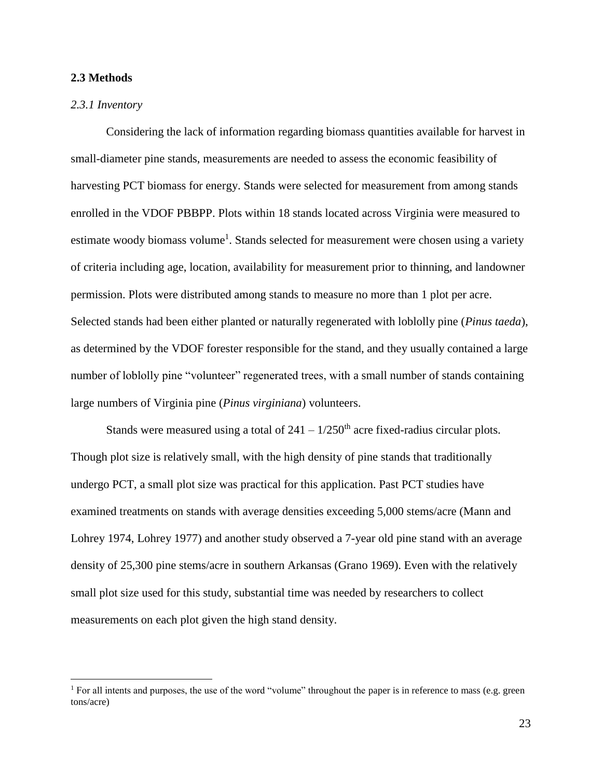#### **2.3 Methods**

#### *2.3.1 Inventory*

 $\overline{\phantom{a}}$ 

Considering the lack of information regarding biomass quantities available for harvest in small-diameter pine stands, measurements are needed to assess the economic feasibility of harvesting PCT biomass for energy. Stands were selected for measurement from among stands enrolled in the VDOF PBBPP. Plots within 18 stands located across Virginia were measured to estimate woody biomass volume<sup>1</sup>. Stands selected for measurement were chosen using a variety of criteria including age, location, availability for measurement prior to thinning, and landowner permission. Plots were distributed among stands to measure no more than 1 plot per acre. Selected stands had been either planted or naturally regenerated with loblolly pine (*Pinus taeda*), as determined by the VDOF forester responsible for the stand, and they usually contained a large number of loblolly pine "volunteer" regenerated trees, with a small number of stands containing large numbers of Virginia pine (*Pinus virginiana*) volunteers.

Stands were measured using a total of  $241 - 1/250$ <sup>th</sup> acre fixed-radius circular plots. Though plot size is relatively small, with the high density of pine stands that traditionally undergo PCT, a small plot size was practical for this application. Past PCT studies have examined treatments on stands with average densities exceeding 5,000 stems/acre (Mann and Lohrey 1974, Lohrey 1977) and another study observed a 7-year old pine stand with an average density of 25,300 pine stems/acre in southern Arkansas (Grano 1969). Even with the relatively small plot size used for this study, substantial time was needed by researchers to collect measurements on each plot given the high stand density.

<sup>&</sup>lt;sup>1</sup> For all intents and purposes, the use of the word "volume" throughout the paper is in reference to mass (e.g. green tons/acre)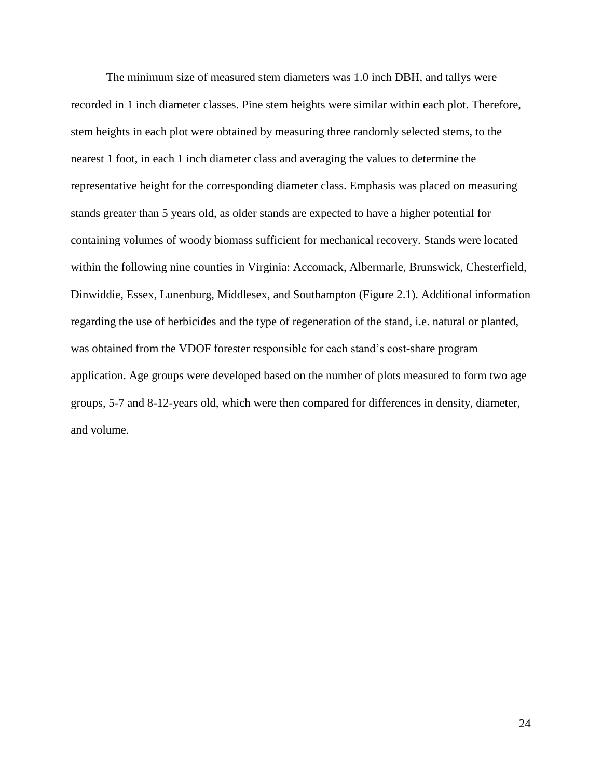The minimum size of measured stem diameters was 1.0 inch DBH, and tallys were recorded in 1 inch diameter classes. Pine stem heights were similar within each plot. Therefore, stem heights in each plot were obtained by measuring three randomly selected stems, to the nearest 1 foot, in each 1 inch diameter class and averaging the values to determine the representative height for the corresponding diameter class. Emphasis was placed on measuring stands greater than 5 years old, as older stands are expected to have a higher potential for containing volumes of woody biomass sufficient for mechanical recovery. Stands were located within the following nine counties in Virginia: Accomack, Albermarle, Brunswick, Chesterfield, Dinwiddie, Essex, Lunenburg, Middlesex, and Southampton (Figure 2.1). Additional information regarding the use of herbicides and the type of regeneration of the stand, i.e. natural or planted, was obtained from the VDOF forester responsible for each stand's cost-share program application. Age groups were developed based on the number of plots measured to form two age groups, 5-7 and 8-12-years old, which were then compared for differences in density, diameter, and volume.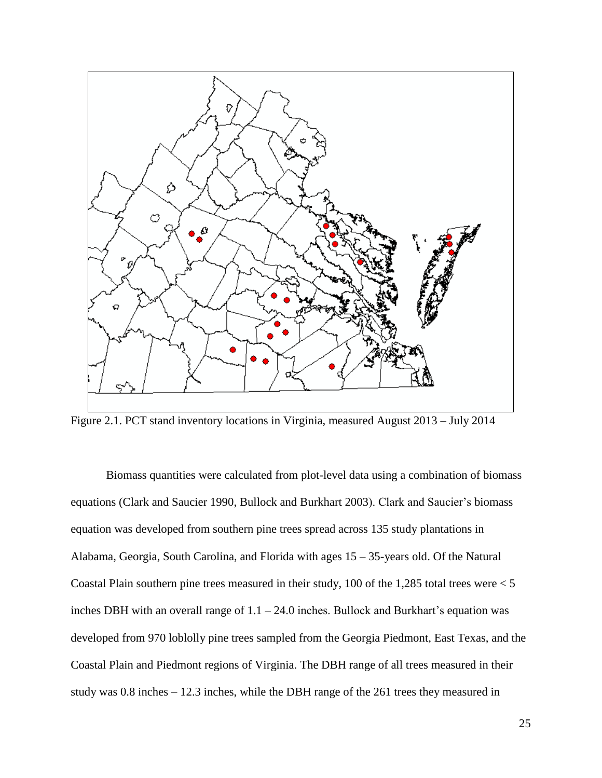

Figure 2.1. PCT stand inventory locations in Virginia, measured August 2013 – July 2014

Biomass quantities were calculated from plot-level data using a combination of biomass equations (Clark and Saucier 1990, Bullock and Burkhart 2003). Clark and Saucier's biomass equation was developed from southern pine trees spread across 135 study plantations in Alabama, Georgia, South Carolina, and Florida with ages 15 – 35-years old. Of the Natural Coastal Plain southern pine trees measured in their study, 100 of the 1,285 total trees were  $<$  5 inches DBH with an overall range of  $1.1 - 24.0$  inches. Bullock and Burkhart's equation was developed from 970 loblolly pine trees sampled from the Georgia Piedmont, East Texas, and the Coastal Plain and Piedmont regions of Virginia. The DBH range of all trees measured in their study was 0.8 inches – 12.3 inches, while the DBH range of the 261 trees they measured in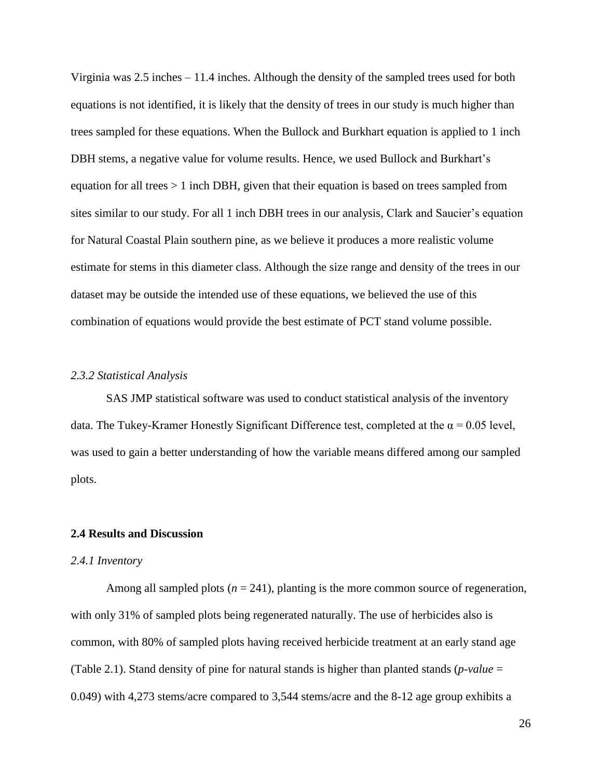Virginia was 2.5 inches – 11.4 inches. Although the density of the sampled trees used for both equations is not identified, it is likely that the density of trees in our study is much higher than trees sampled for these equations. When the Bullock and Burkhart equation is applied to 1 inch DBH stems, a negative value for volume results. Hence, we used Bullock and Burkhart's equation for all trees  $> 1$  inch DBH, given that their equation is based on trees sampled from sites similar to our study. For all 1 inch DBH trees in our analysis, Clark and Saucier's equation for Natural Coastal Plain southern pine, as we believe it produces a more realistic volume estimate for stems in this diameter class. Although the size range and density of the trees in our dataset may be outside the intended use of these equations, we believed the use of this combination of equations would provide the best estimate of PCT stand volume possible.

#### *2.3.2 Statistical Analysis*

SAS JMP statistical software was used to conduct statistical analysis of the inventory data. The Tukey-Kramer Honestly Significant Difference test, completed at the  $\alpha$  = 0.05 level, was used to gain a better understanding of how the variable means differed among our sampled plots.

#### **2.4 Results and Discussion**

#### *2.4.1 Inventory*

Among all sampled plots  $(n = 241)$ , planting is the more common source of regeneration, with only 31% of sampled plots being regenerated naturally. The use of herbicides also is common, with 80% of sampled plots having received herbicide treatment at an early stand age (Table 2.1). Stand density of pine for natural stands is higher than planted stands (*p-value* = 0.049) with 4,273 stems/acre compared to 3,544 stems/acre and the 8-12 age group exhibits a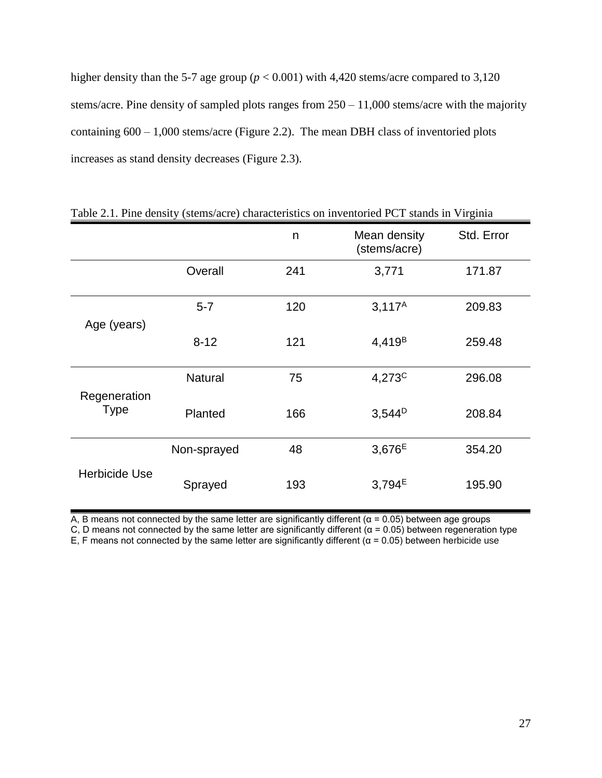higher density than the 5-7 age group ( $p < 0.001$ ) with 4,420 stems/acre compared to 3,120 stems/acre. Pine density of sampled plots ranges from  $250 - 11,000$  stems/acre with the majority containing  $600 - 1,000$  stems/acre (Figure 2.2). The mean DBH class of inventoried plots increases as stand density decreases (Figure 2.3).

|                             | $\sim$         |     |                              | O          |
|-----------------------------|----------------|-----|------------------------------|------------|
|                             |                | n   | Mean density<br>(stems/acre) | Std. Error |
|                             | Overall        | 241 | 3,771                        | 171.87     |
| Age (years)                 | $5 - 7$        | 120 | 3,117 <sup>A</sup>           | 209.83     |
|                             | $8 - 12$       | 121 | 4,419 <sup>B</sup>           | 259.48     |
| Regeneration<br><b>Type</b> | <b>Natural</b> | 75  | $4,273^C$                    | 296.08     |
|                             | Planted        | 166 | $3,544^{D}$                  | 208.84     |
| <b>Herbicide Use</b>        | Non-sprayed    | 48  | 3,676 <sup>E</sup>           | 354.20     |
|                             | Sprayed        | 193 | $3,794^E$                    | 195.90     |

Table 2.1. Pine density (stems/acre) characteristics on inventoried PCT stands in Virginia

A, B means not connected by the same letter are significantly different ( $\alpha$  = 0.05) between age groups

C, D means not connected by the same letter are significantly different ( $\alpha$  = 0.05) between regeneration type

E, F means not connected by the same letter are significantly different  $(α = 0.05)$  between herbicide use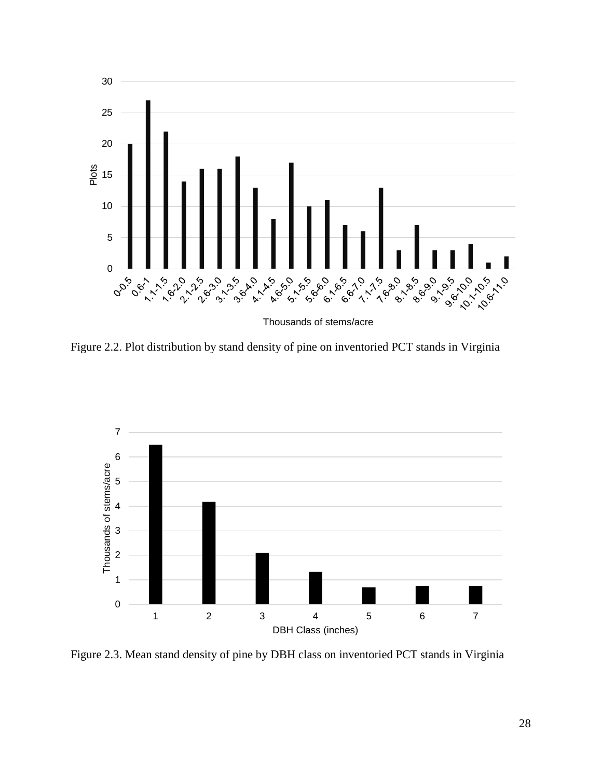

Figure 2.2. Plot distribution by stand density of pine on inventoried PCT stands in Virginia



Figure 2.3. Mean stand density of pine by DBH class on inventoried PCT stands in Virginia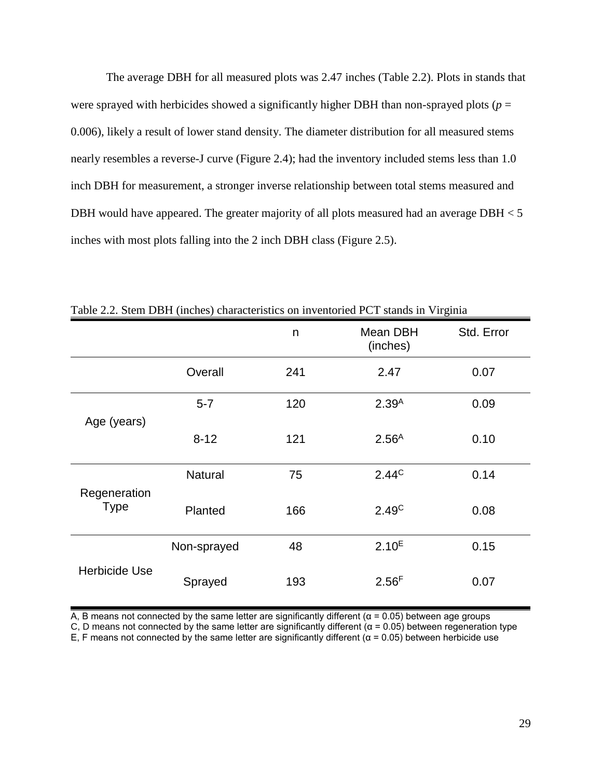The average DBH for all measured plots was 2.47 inches (Table 2.2). Plots in stands that were sprayed with herbicides showed a significantly higher DBH than non-sprayed plots ( $p =$ 0.006), likely a result of lower stand density. The diameter distribution for all measured stems nearly resembles a reverse-J curve (Figure 2.4); had the inventory included stems less than 1.0 inch DBH for measurement, a stronger inverse relationship between total stems measured and DBH would have appeared. The greater majority of all plots measured had an average DBH < 5 inches with most plots falling into the 2 inch DBH class (Figure 2.5).

|                             |                | n   | Mean DBH<br>(inches) | Std. Error |
|-----------------------------|----------------|-----|----------------------|------------|
|                             | Overall        | 241 | 2.47                 | 0.07       |
| Age (years)                 | $5 - 7$        | 120 | 2.39 <sup>A</sup>    | 0.09       |
|                             | $8 - 12$       | 121 | $2.56^{A}$           | 0.10       |
| Regeneration<br><b>Type</b> | <b>Natural</b> | 75  | $2.44^{\circ}$       | 0.14       |
|                             | Planted        | 166 | 2.49 <sup>C</sup>    | 0.08       |
|                             | Non-sprayed    | 48  | 2.10 <sup>E</sup>    | 0.15       |
| <b>Herbicide Use</b>        | Sprayed        | 193 | 2.56 <sup>F</sup>    | 0.07       |

Table 2.2. Stem DBH (inches) characteristics on inventoried PCT stands in Virginia

A, B means not connected by the same letter are significantly different ( $\alpha$  = 0.05) between age groups

C, D means not connected by the same letter are significantly different  $(a = 0.05)$  between regeneration type

E, F means not connected by the same letter are significantly different ( $\alpha$  = 0.05) between herbicide use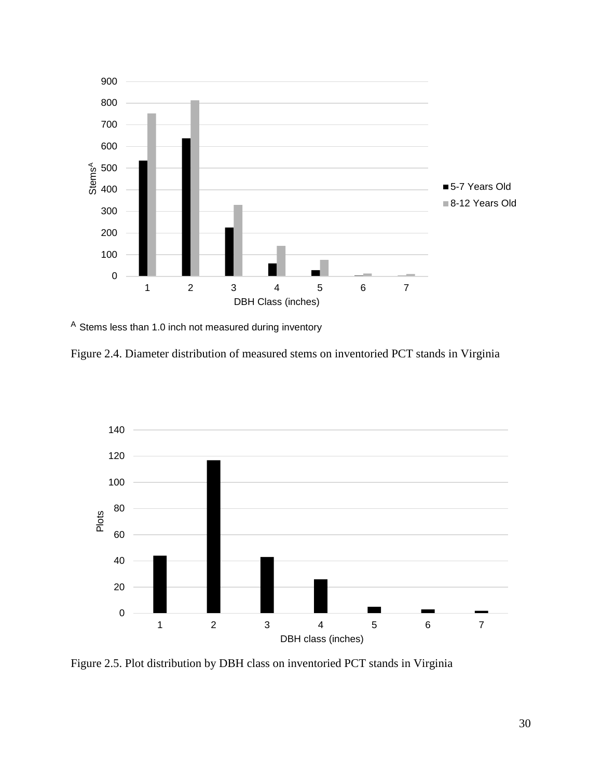

<sup>A</sup> Stems less than 1.0 inch not measured during inventory

Figure 2.4. Diameter distribution of measured stems on inventoried PCT stands in Virginia



Figure 2.5. Plot distribution by DBH class on inventoried PCT stands in Virginia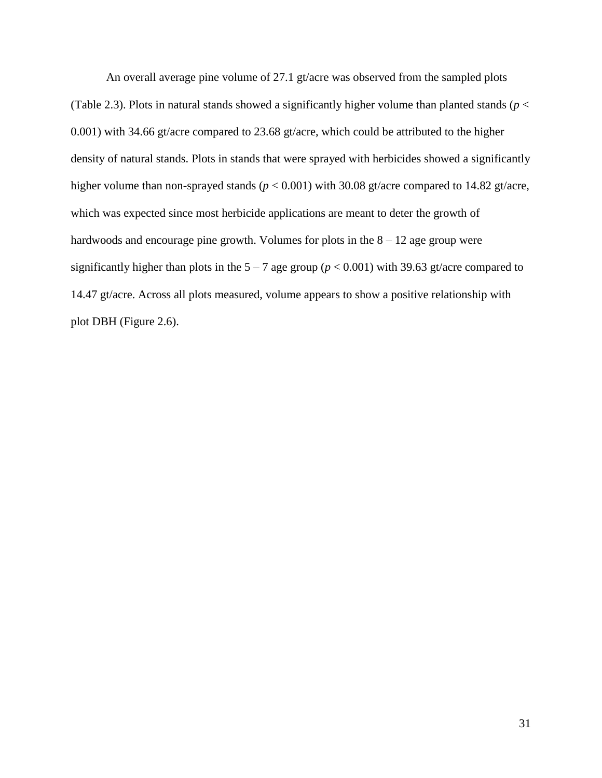An overall average pine volume of 27.1 gt/acre was observed from the sampled plots (Table 2.3). Plots in natural stands showed a significantly higher volume than planted stands ( $p <$ 0.001) with 34.66 gt/acre compared to 23.68 gt/acre, which could be attributed to the higher density of natural stands. Plots in stands that were sprayed with herbicides showed a significantly higher volume than non-sprayed stands ( $p < 0.001$ ) with 30.08 gt/acre compared to 14.82 gt/acre, which was expected since most herbicide applications are meant to deter the growth of hardwoods and encourage pine growth. Volumes for plots in the  $8 - 12$  age group were significantly higher than plots in the  $5 - 7$  age group ( $p < 0.001$ ) with 39.63 gt/acre compared to 14.47 gt/acre. Across all plots measured, volume appears to show a positive relationship with plot DBH (Figure 2.6).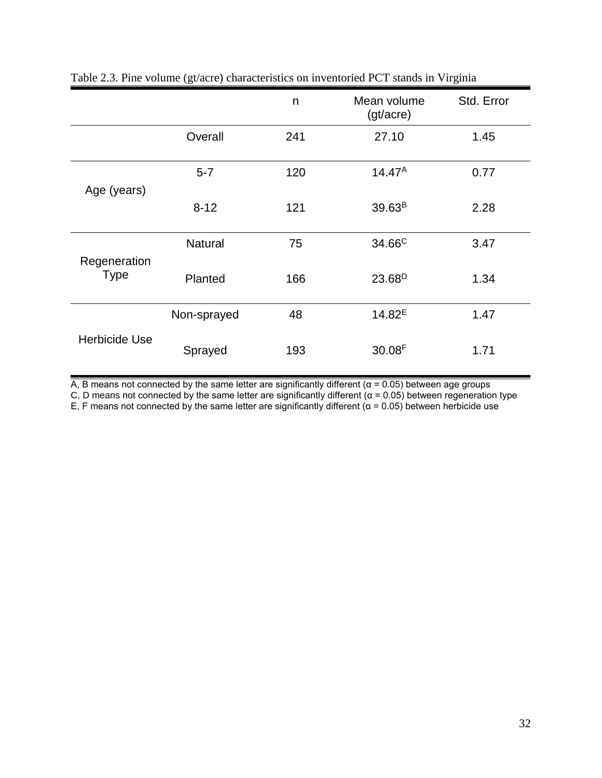|                             |                | n   | Mean volume<br>(gt/acre) | Std. Error |  |
|-----------------------------|----------------|-----|--------------------------|------------|--|
|                             | Overall        | 241 | 27.10                    | 1.45       |  |
| Age (years)                 | $5 - 7$        | 120 | $14.47^A$                | 0.77       |  |
|                             | $8 - 12$       | 121 | 39.63 <sup>B</sup>       | 2.28       |  |
| Regeneration<br><b>Type</b> | <b>Natural</b> | 75  | 34.66 <sup>C</sup>       | 3.47       |  |
|                             | Planted        | 166 | 23.68 <sup>D</sup>       | 1.34       |  |
|                             | Non-sprayed    | 48  | $14.82^{E}$              | 1.47       |  |
| <b>Herbicide Use</b>        | Sprayed        | 193 | 30.08F                   | 1.71       |  |

Table 2.3. Pine volume (gt/acre) characteristics on inventoried PCT stands in Virginia

A, B means not connected by the same letter are significantly different ( $\alpha$  = 0.05) between age groups

C, D means not connected by the same letter are significantly different  $(\alpha = 0.05)$  between regeneration type

E, F means not connected by the same letter are significantly different ( $\alpha$  = 0.05) between herbicide use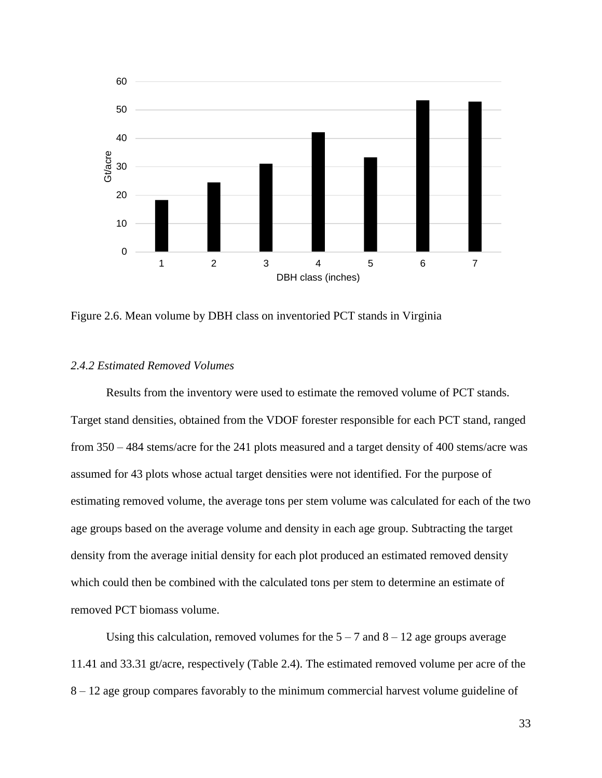

Figure 2.6. Mean volume by DBH class on inventoried PCT stands in Virginia

# *2.4.2 Estimated Removed Volumes*

Results from the inventory were used to estimate the removed volume of PCT stands. Target stand densities, obtained from the VDOF forester responsible for each PCT stand, ranged from 350 – 484 stems/acre for the 241 plots measured and a target density of 400 stems/acre was assumed for 43 plots whose actual target densities were not identified. For the purpose of estimating removed volume, the average tons per stem volume was calculated for each of the two age groups based on the average volume and density in each age group. Subtracting the target density from the average initial density for each plot produced an estimated removed density which could then be combined with the calculated tons per stem to determine an estimate of removed PCT biomass volume.

Using this calculation, removed volumes for the  $5 - 7$  and  $8 - 12$  age groups average 11.41 and 33.31 gt/acre, respectively (Table 2.4). The estimated removed volume per acre of the 8 – 12 age group compares favorably to the minimum commercial harvest volume guideline of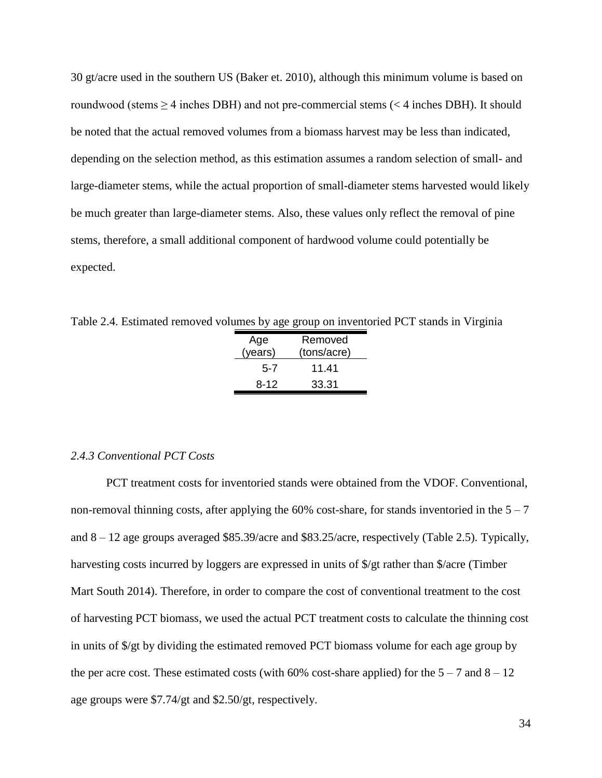30 gt/acre used in the southern US (Baker et. 2010), although this minimum volume is based on roundwood (stems  $\geq$  4 inches DBH) and not pre-commercial stems (< 4 inches DBH). It should be noted that the actual removed volumes from a biomass harvest may be less than indicated, depending on the selection method, as this estimation assumes a random selection of small- and large-diameter stems, while the actual proportion of small-diameter stems harvested would likely be much greater than large-diameter stems. Also, these values only reflect the removal of pine stems, therefore, a small additional component of hardwood volume could potentially be expected.

Table 2.4. Estimated removed volumes by age group on inventoried PCT stands in Virginia

| Age     | Removed     |
|---------|-------------|
| (years) | (tons/acre) |
| 5-7     | 11.41       |
| 8-12    | 33.31       |

## *2.4.3 Conventional PCT Costs*

PCT treatment costs for inventoried stands were obtained from the VDOF. Conventional, non-removal thinning costs, after applying the  $60\%$  cost-share, for stands inventoried in the  $5 - 7$ and 8 – 12 age groups averaged \$85.39/acre and \$83.25/acre, respectively (Table 2.5). Typically, harvesting costs incurred by loggers are expressed in units of \$/gt rather than \$/acre (Timber Mart South 2014). Therefore, in order to compare the cost of conventional treatment to the cost of harvesting PCT biomass, we used the actual PCT treatment costs to calculate the thinning cost in units of \$/gt by dividing the estimated removed PCT biomass volume for each age group by the per acre cost. These estimated costs (with 60% cost-share applied) for the  $5 - 7$  and  $8 - 12$ age groups were \$7.74/gt and \$2.50/gt, respectively.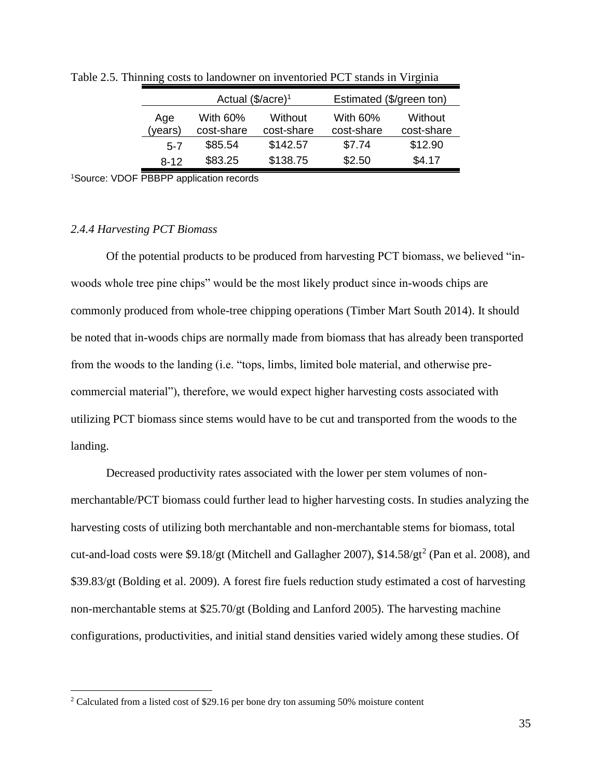|          | Actual $(\frac{5}{\arccos 0})^1$ |            | Estimated (\$/green ton) |            |  |  |
|----------|----------------------------------|------------|--------------------------|------------|--|--|
| Age      | With 60%                         | Without    | With 60%                 | Without    |  |  |
| (years)  | cost-share                       | cost-share | cost-share               | cost-share |  |  |
| $5 - 7$  | \$85.54                          | \$142.57   | \$7.74                   | \$12.90    |  |  |
| $8 - 12$ | \$83.25                          | \$138.75   | \$2.50                   | \$4.17     |  |  |

Table 2.5. Thinning costs to landowner on inventoried PCT stands in Virginia

<sup>1</sup>Source: VDOF PBBPP application records

#### *2.4.4 Harvesting PCT Biomass*

 $\overline{\phantom{a}}$ 

Of the potential products to be produced from harvesting PCT biomass, we believed "inwoods whole tree pine chips" would be the most likely product since in-woods chips are commonly produced from whole-tree chipping operations (Timber Mart South 2014). It should be noted that in-woods chips are normally made from biomass that has already been transported from the woods to the landing (i.e. "tops, limbs, limited bole material, and otherwise precommercial material"), therefore, we would expect higher harvesting costs associated with utilizing PCT biomass since stems would have to be cut and transported from the woods to the landing.

Decreased productivity rates associated with the lower per stem volumes of nonmerchantable/PCT biomass could further lead to higher harvesting costs. In studies analyzing the harvesting costs of utilizing both merchantable and non-merchantable stems for biomass, total cut-and-load costs were \$9.18/gt (Mitchell and Gallagher 2007),  $$14.58/gt^2$  (Pan et al. 2008), and \$39.83/gt (Bolding et al. 2009). A forest fire fuels reduction study estimated a cost of harvesting non-merchantable stems at \$25.70/gt (Bolding and Lanford 2005). The harvesting machine configurations, productivities, and initial stand densities varied widely among these studies. Of

<sup>&</sup>lt;sup>2</sup> Calculated from a listed cost of \$29.16 per bone dry ton assuming 50% moisture content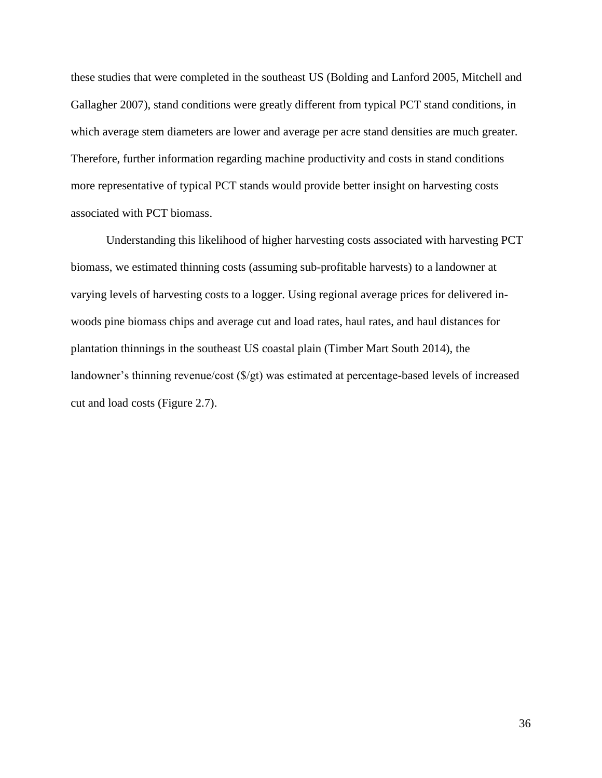these studies that were completed in the southeast US (Bolding and Lanford 2005, Mitchell and Gallagher 2007), stand conditions were greatly different from typical PCT stand conditions, in which average stem diameters are lower and average per acre stand densities are much greater. Therefore, further information regarding machine productivity and costs in stand conditions more representative of typical PCT stands would provide better insight on harvesting costs associated with PCT biomass.

Understanding this likelihood of higher harvesting costs associated with harvesting PCT biomass, we estimated thinning costs (assuming sub-profitable harvests) to a landowner at varying levels of harvesting costs to a logger. Using regional average prices for delivered inwoods pine biomass chips and average cut and load rates, haul rates, and haul distances for plantation thinnings in the southeast US coastal plain (Timber Mart South 2014), the landowner's thinning revenue/cost (\$/gt) was estimated at percentage-based levels of increased cut and load costs (Figure 2.7).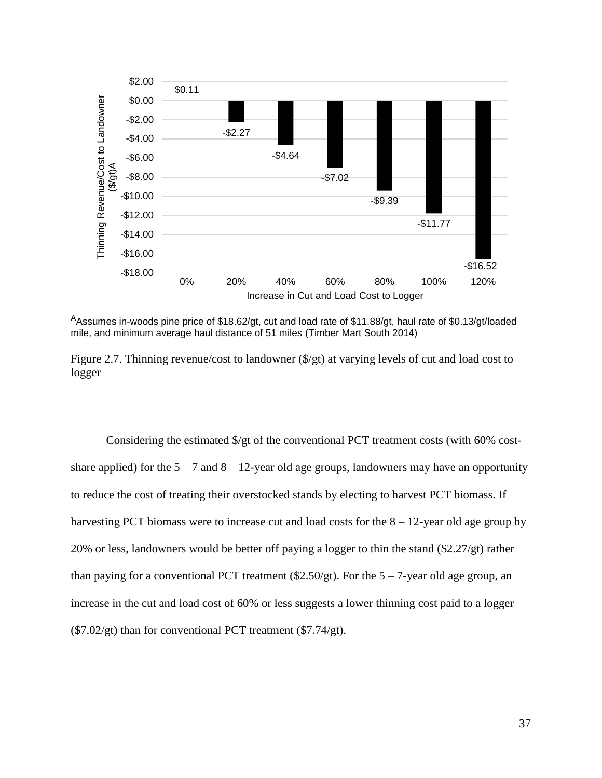

<sup>A</sup>Assumes in-woods pine price of \$18.62/gt, cut and load rate of \$11.88/gt, haul rate of \$0.13/gt/loaded mile, and minimum average haul distance of 51 miles (Timber Mart South 2014)



Considering the estimated \$/gt of the conventional PCT treatment costs (with 60% costshare applied) for the  $5 - 7$  and  $8 - 12$ -year old age groups, landowners may have an opportunity to reduce the cost of treating their overstocked stands by electing to harvest PCT biomass. If harvesting PCT biomass were to increase cut and load costs for the  $8 - 12$ -year old age group by 20% or less, landowners would be better off paying a logger to thin the stand (\$2.27/gt) rather than paying for a conventional PCT treatment (\$2.50/gt). For the  $5 - 7$ -year old age group, an increase in the cut and load cost of 60% or less suggests a lower thinning cost paid to a logger (\$7.02/gt) than for conventional PCT treatment (\$7.74/gt).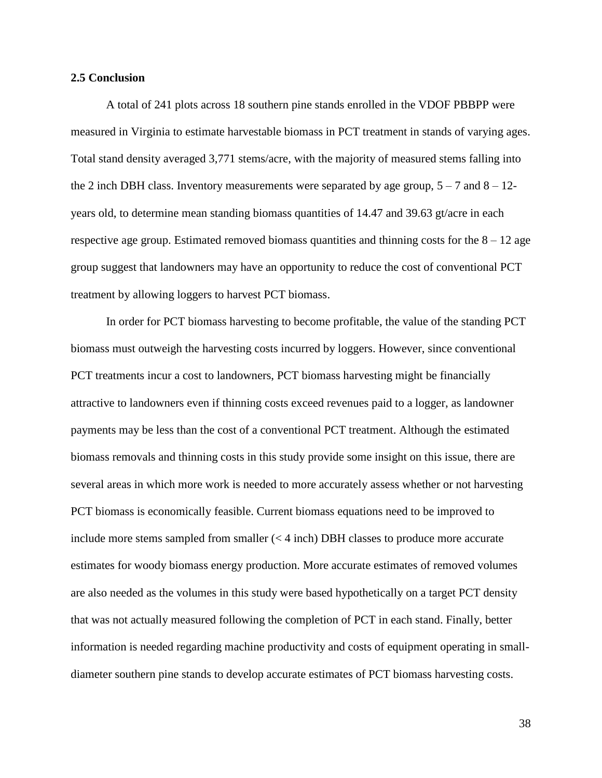#### **2.5 Conclusion**

A total of 241 plots across 18 southern pine stands enrolled in the VDOF PBBPP were measured in Virginia to estimate harvestable biomass in PCT treatment in stands of varying ages. Total stand density averaged 3,771 stems/acre, with the majority of measured stems falling into the 2 inch DBH class. Inventory measurements were separated by age group,  $5 - 7$  and  $8 - 12$ years old, to determine mean standing biomass quantities of 14.47 and 39.63 gt/acre in each respective age group. Estimated removed biomass quantities and thinning costs for the  $8 - 12$  age group suggest that landowners may have an opportunity to reduce the cost of conventional PCT treatment by allowing loggers to harvest PCT biomass.

In order for PCT biomass harvesting to become profitable, the value of the standing PCT biomass must outweigh the harvesting costs incurred by loggers. However, since conventional PCT treatments incur a cost to landowners, PCT biomass harvesting might be financially attractive to landowners even if thinning costs exceed revenues paid to a logger, as landowner payments may be less than the cost of a conventional PCT treatment. Although the estimated biomass removals and thinning costs in this study provide some insight on this issue, there are several areas in which more work is needed to more accurately assess whether or not harvesting PCT biomass is economically feasible. Current biomass equations need to be improved to include more stems sampled from smaller  $( $4$  inch) DBH classes to produce more accurate$ estimates for woody biomass energy production. More accurate estimates of removed volumes are also needed as the volumes in this study were based hypothetically on a target PCT density that was not actually measured following the completion of PCT in each stand. Finally, better information is needed regarding machine productivity and costs of equipment operating in smalldiameter southern pine stands to develop accurate estimates of PCT biomass harvesting costs.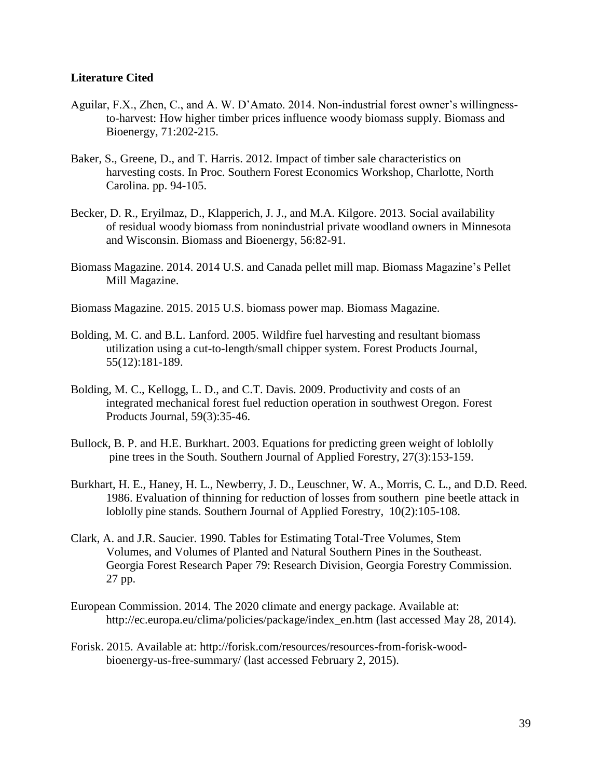# **Literature Cited**

- Aguilar, F.X., Zhen, C., and A. W. D'Amato. 2014. Non-industrial forest owner's willingnessto-harvest: How higher timber prices influence woody biomass supply. Biomass and Bioenergy, 71:202-215.
- Baker, S., Greene, D., and T. Harris. 2012. Impact of timber sale characteristics on harvesting costs. In Proc. Southern Forest Economics Workshop, Charlotte, North Carolina. pp. 94-105.
- Becker, D. R., Eryilmaz, D., Klapperich, J. J., and M.A. Kilgore. 2013. Social availability of residual woody biomass from nonindustrial private woodland owners in Minnesota and Wisconsin. Biomass and Bioenergy, 56:82-91.
- Biomass Magazine. 2014. 2014 U.S. and Canada pellet mill map. Biomass Magazine's Pellet Mill Magazine.
- Biomass Magazine. 2015. 2015 U.S. biomass power map. Biomass Magazine.
- Bolding, M. C. and B.L. Lanford. 2005. Wildfire fuel harvesting and resultant biomass utilization using a cut-to-length/small chipper system. Forest Products Journal, 55(12):181-189.
- Bolding, M. C., Kellogg, L. D., and C.T. Davis. 2009. Productivity and costs of an integrated mechanical forest fuel reduction operation in southwest Oregon. Forest Products Journal, 59(3):35-46.
- Bullock, B. P. and H.E. Burkhart. 2003. Equations for predicting green weight of loblolly pine trees in the South. Southern Journal of Applied Forestry, 27(3):153-159.
- Burkhart, H. E., Haney, H. L., Newberry, J. D., Leuschner, W. A., Morris, C. L., and D.D. Reed. 1986. Evaluation of thinning for reduction of losses from southern pine beetle attack in loblolly pine stands. Southern Journal of Applied Forestry, 10(2):105-108.
- Clark, A. and J.R. Saucier. 1990. Tables for Estimating Total-Tree Volumes, Stem Volumes, and Volumes of Planted and Natural Southern Pines in the Southeast. Georgia Forest Research Paper 79: Research Division, Georgia Forestry Commission. 27 pp.
- European Commission. 2014. The 2020 climate and energy package. Available at: http://ec.europa.eu/clima/policies/package/index\_en.htm (last accessed May 28, 2014).
- Forisk. 2015. Available at: http://forisk.com/resources/resources-from-forisk-woodbioenergy-us-free-summary/ (last accessed February 2, 2015).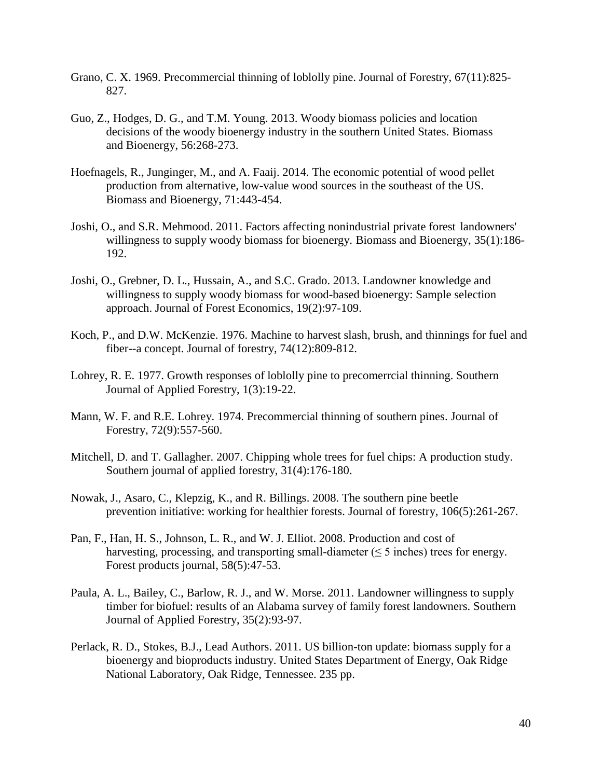- Grano, C. X. 1969. Precommercial thinning of loblolly pine. Journal of Forestry, 67(11):825- 827.
- Guo, Z., Hodges, D. G., and T.M. Young. 2013. Woody biomass policies and location decisions of the woody bioenergy industry in the southern United States. Biomass and Bioenergy, 56:268-273.
- Hoefnagels, R., Junginger, M., and A. Faaij. 2014. The economic potential of wood pellet production from alternative, low-value wood sources in the southeast of the US. Biomass and Bioenergy, 71:443-454.
- Joshi, O., and S.R. Mehmood. 2011. Factors affecting nonindustrial private forest landowners' willingness to supply woody biomass for bioenergy. Biomass and Bioenergy, 35(1):186- 192.
- Joshi, O., Grebner, D. L., Hussain, A., and S.C. Grado. 2013. Landowner knowledge and willingness to supply woody biomass for wood-based bioenergy: Sample selection approach. Journal of Forest Economics, 19(2):97-109.
- Koch, P., and D.W. McKenzie. 1976. Machine to harvest slash, brush, and thinnings for fuel and fiber--a concept. Journal of forestry, 74(12):809-812.
- Lohrey, R. E. 1977. Growth responses of loblolly pine to precomerrcial thinning. Southern Journal of Applied Forestry, 1(3):19-22.
- Mann, W. F. and R.E. Lohrey. 1974. Precommercial thinning of southern pines. Journal of Forestry, 72(9):557-560.
- Mitchell, D. and T. Gallagher. 2007. Chipping whole trees for fuel chips: A production study. Southern journal of applied forestry, 31(4):176-180.
- Nowak, J., Asaro, C., Klepzig, K., and R. Billings. 2008. The southern pine beetle prevention initiative: working for healthier forests. Journal of forestry, 106(5):261-267.
- Pan, F., Han, H. S., Johnson, L. R., and W. J. Elliot. 2008. Production and cost of harvesting, processing, and transporting small-diameter  $(< 5$  inches) trees for energy. Forest products journal, 58(5):47-53.
- Paula, A. L., Bailey, C., Barlow, R. J., and W. Morse. 2011. Landowner willingness to supply timber for biofuel: results of an Alabama survey of family forest landowners. Southern Journal of Applied Forestry, 35(2):93-97.
- Perlack, R. D., Stokes, B.J., Lead Authors. 2011. US billion-ton update: biomass supply for a bioenergy and bioproducts industry. United States Department of Energy, Oak Ridge National Laboratory, Oak Ridge, Tennessee. 235 pp.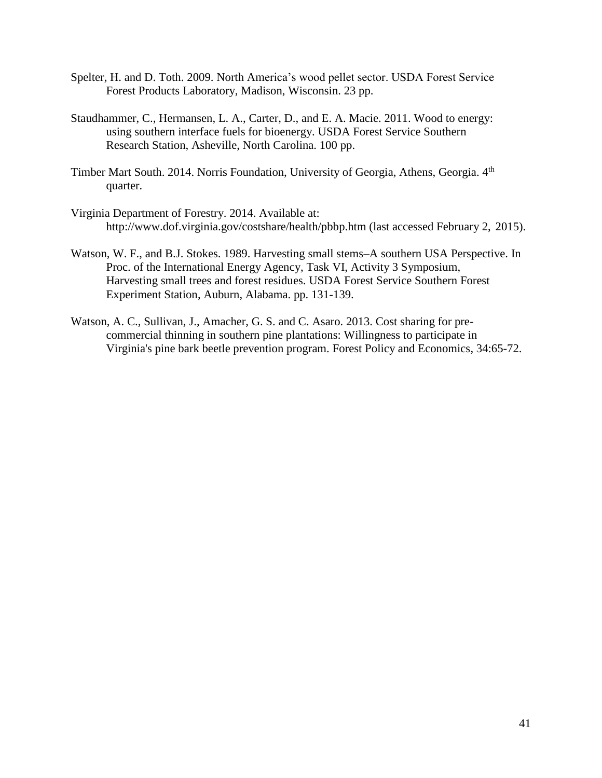- Spelter, H. and D. Toth. 2009. North America's wood pellet sector. USDA Forest Service Forest Products Laboratory, Madison, Wisconsin. 23 pp.
- Staudhammer, C., Hermansen, L. A., Carter, D., and E. A. Macie. 2011. Wood to energy: using southern interface fuels for bioenergy. USDA Forest Service Southern Research Station, Asheville, North Carolina. 100 pp.
- Timber Mart South. 2014. Norris Foundation, University of Georgia, Athens, Georgia. 4<sup>th</sup> quarter.
- Virginia Department of Forestry. 2014. Available at: http://www.dof.virginia.gov/costshare/health/pbbp.htm (last accessed February 2, 2015).
- Watson, W. F., and B.J. Stokes. 1989. Harvesting small stems–A southern USA Perspective. In Proc. of the International Energy Agency, Task VI, Activity 3 Symposium, Harvesting small trees and forest residues. USDA Forest Service Southern Forest Experiment Station, Auburn, Alabama. pp. 131-139.
- Watson, A. C., Sullivan, J., Amacher, G. S. and C. Asaro. 2013. Cost sharing for precommercial thinning in southern pine plantations: Willingness to participate in Virginia's pine bark beetle prevention program. Forest Policy and Economics, 34:65-72.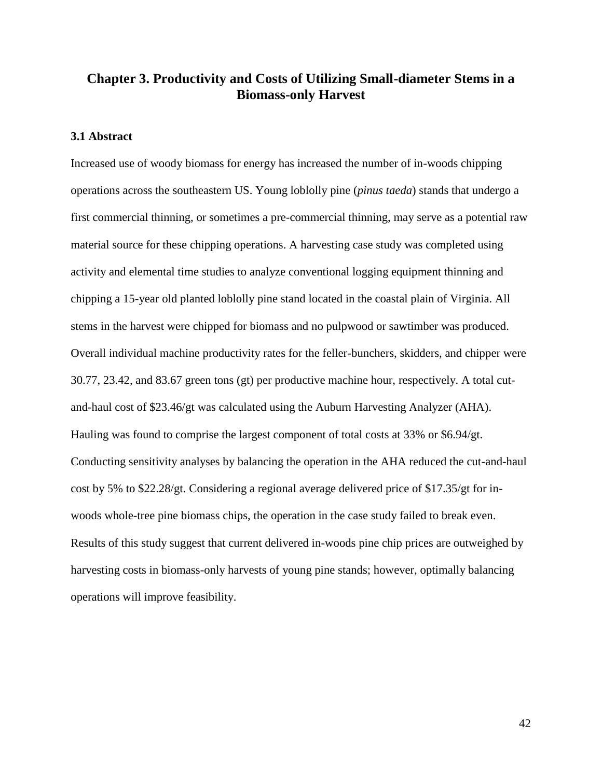# **Chapter 3. Productivity and Costs of Utilizing Small-diameter Stems in a Biomass-only Harvest**

# **3.1 Abstract**

Increased use of woody biomass for energy has increased the number of in-woods chipping operations across the southeastern US. Young loblolly pine (*pinus taeda*) stands that undergo a first commercial thinning, or sometimes a pre-commercial thinning, may serve as a potential raw material source for these chipping operations. A harvesting case study was completed using activity and elemental time studies to analyze conventional logging equipment thinning and chipping a 15-year old planted loblolly pine stand located in the coastal plain of Virginia. All stems in the harvest were chipped for biomass and no pulpwood or sawtimber was produced. Overall individual machine productivity rates for the feller-bunchers, skidders, and chipper were 30.77, 23.42, and 83.67 green tons (gt) per productive machine hour, respectively. A total cutand-haul cost of \$23.46/gt was calculated using the Auburn Harvesting Analyzer (AHA). Hauling was found to comprise the largest component of total costs at 33% or \$6.94/gt. Conducting sensitivity analyses by balancing the operation in the AHA reduced the cut-and-haul cost by 5% to \$22.28/gt. Considering a regional average delivered price of \$17.35/gt for inwoods whole-tree pine biomass chips, the operation in the case study failed to break even. Results of this study suggest that current delivered in-woods pine chip prices are outweighed by harvesting costs in biomass-only harvests of young pine stands; however, optimally balancing operations will improve feasibility.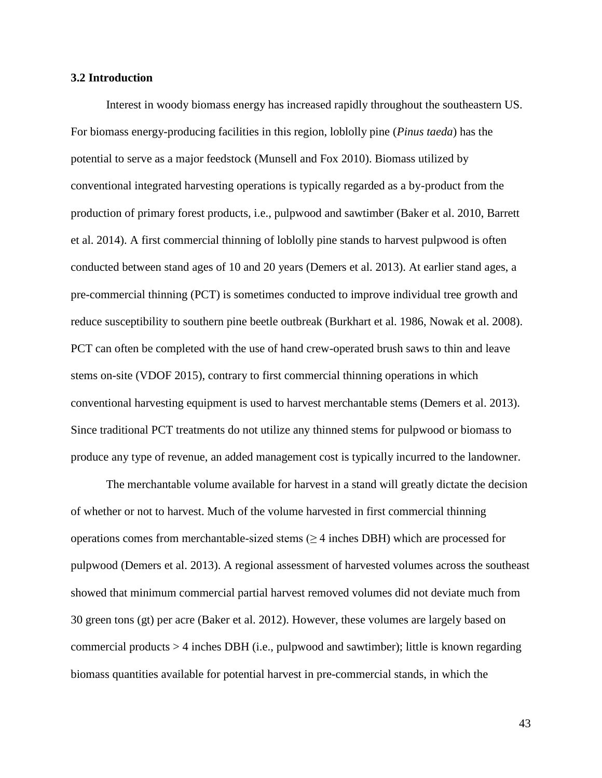#### **3.2 Introduction**

Interest in woody biomass energy has increased rapidly throughout the southeastern US. For biomass energy-producing facilities in this region, loblolly pine (*Pinus taeda*) has the potential to serve as a major feedstock (Munsell and Fox 2010). Biomass utilized by conventional integrated harvesting operations is typically regarded as a by-product from the production of primary forest products, i.e., pulpwood and sawtimber (Baker et al. 2010, Barrett et al. 2014). A first commercial thinning of loblolly pine stands to harvest pulpwood is often conducted between stand ages of 10 and 20 years (Demers et al. 2013). At earlier stand ages, a pre-commercial thinning (PCT) is sometimes conducted to improve individual tree growth and reduce susceptibility to southern pine beetle outbreak (Burkhart et al. 1986, Nowak et al. 2008). PCT can often be completed with the use of hand crew-operated brush saws to thin and leave stems on-site (VDOF 2015), contrary to first commercial thinning operations in which conventional harvesting equipment is used to harvest merchantable stems (Demers et al. 2013). Since traditional PCT treatments do not utilize any thinned stems for pulpwood or biomass to produce any type of revenue, an added management cost is typically incurred to the landowner.

The merchantable volume available for harvest in a stand will greatly dictate the decision of whether or not to harvest. Much of the volume harvested in first commercial thinning operations comes from merchantable-sized stems  $(\geq 4$  inches DBH) which are processed for pulpwood (Demers et al. 2013). A regional assessment of harvested volumes across the southeast showed that minimum commercial partial harvest removed volumes did not deviate much from 30 green tons (gt) per acre (Baker et al. 2012). However, these volumes are largely based on commercial products > 4 inches DBH (i.e., pulpwood and sawtimber); little is known regarding biomass quantities available for potential harvest in pre-commercial stands, in which the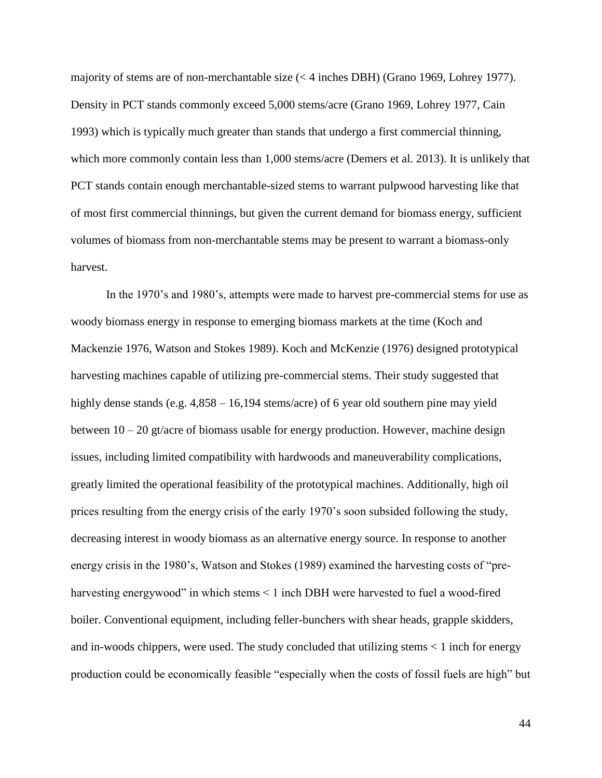majority of stems are of non-merchantable size (< 4 inches DBH) (Grano 1969, Lohrey 1977). Density in PCT stands commonly exceed 5,000 stems/acre (Grano 1969, Lohrey 1977, Cain 1993) which is typically much greater than stands that undergo a first commercial thinning, which more commonly contain less than 1,000 stems/acre (Demers et al. 2013). It is unlikely that PCT stands contain enough merchantable-sized stems to warrant pulpwood harvesting like that of most first commercial thinnings, but given the current demand for biomass energy, sufficient volumes of biomass from non-merchantable stems may be present to warrant a biomass-only harvest.

In the 1970's and 1980's, attempts were made to harvest pre-commercial stems for use as woody biomass energy in response to emerging biomass markets at the time (Koch and Mackenzie 1976, Watson and Stokes 1989). Koch and McKenzie (1976) designed prototypical harvesting machines capable of utilizing pre-commercial stems. Their study suggested that highly dense stands (e.g.  $4,858 - 16,194$  stems/acre) of 6 year old southern pine may yield between  $10 - 20$  gt/acre of biomass usable for energy production. However, machine design issues, including limited compatibility with hardwoods and maneuverability complications, greatly limited the operational feasibility of the prototypical machines. Additionally, high oil prices resulting from the energy crisis of the early 1970's soon subsided following the study, decreasing interest in woody biomass as an alternative energy source. In response to another energy crisis in the 1980's, Watson and Stokes (1989) examined the harvesting costs of "preharvesting energywood" in which stems < 1 inch DBH were harvested to fuel a wood-fired boiler. Conventional equipment, including feller-bunchers with shear heads, grapple skidders, and in-woods chippers, were used. The study concluded that utilizing stems  $\lt 1$  inch for energy production could be economically feasible "especially when the costs of fossil fuels are high" but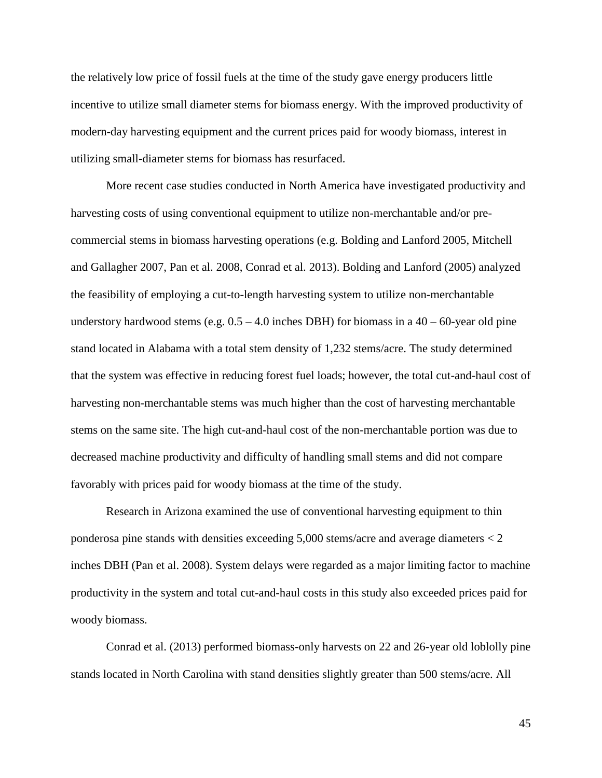the relatively low price of fossil fuels at the time of the study gave energy producers little incentive to utilize small diameter stems for biomass energy. With the improved productivity of modern-day harvesting equipment and the current prices paid for woody biomass, interest in utilizing small-diameter stems for biomass has resurfaced.

More recent case studies conducted in North America have investigated productivity and harvesting costs of using conventional equipment to utilize non-merchantable and/or precommercial stems in biomass harvesting operations (e.g. Bolding and Lanford 2005, Mitchell and Gallagher 2007, Pan et al. 2008, Conrad et al. 2013). Bolding and Lanford (2005) analyzed the feasibility of employing a cut-to-length harvesting system to utilize non-merchantable understory hardwood stems (e.g.  $0.5 - 4.0$  inches DBH) for biomass in a  $40 - 60$ -year old pine stand located in Alabama with a total stem density of 1,232 stems/acre. The study determined that the system was effective in reducing forest fuel loads; however, the total cut-and-haul cost of harvesting non-merchantable stems was much higher than the cost of harvesting merchantable stems on the same site. The high cut-and-haul cost of the non-merchantable portion was due to decreased machine productivity and difficulty of handling small stems and did not compare favorably with prices paid for woody biomass at the time of the study.

Research in Arizona examined the use of conventional harvesting equipment to thin ponderosa pine stands with densities exceeding 5,000 stems/acre and average diameters < 2 inches DBH (Pan et al. 2008). System delays were regarded as a major limiting factor to machine productivity in the system and total cut-and-haul costs in this study also exceeded prices paid for woody biomass.

Conrad et al. (2013) performed biomass-only harvests on 22 and 26-year old loblolly pine stands located in North Carolina with stand densities slightly greater than 500 stems/acre. All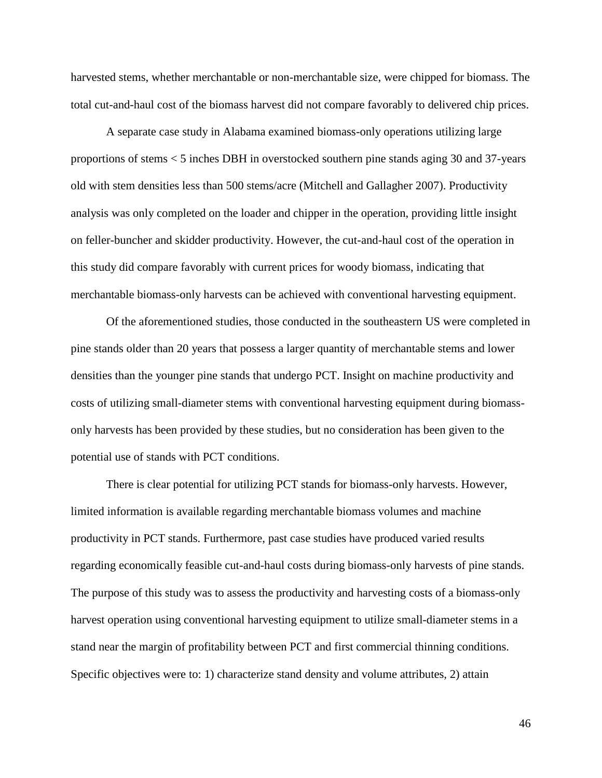harvested stems, whether merchantable or non-merchantable size, were chipped for biomass. The total cut-and-haul cost of the biomass harvest did not compare favorably to delivered chip prices.

A separate case study in Alabama examined biomass-only operations utilizing large proportions of stems < 5 inches DBH in overstocked southern pine stands aging 30 and 37-years old with stem densities less than 500 stems/acre (Mitchell and Gallagher 2007). Productivity analysis was only completed on the loader and chipper in the operation, providing little insight on feller-buncher and skidder productivity. However, the cut-and-haul cost of the operation in this study did compare favorably with current prices for woody biomass, indicating that merchantable biomass-only harvests can be achieved with conventional harvesting equipment.

Of the aforementioned studies, those conducted in the southeastern US were completed in pine stands older than 20 years that possess a larger quantity of merchantable stems and lower densities than the younger pine stands that undergo PCT. Insight on machine productivity and costs of utilizing small-diameter stems with conventional harvesting equipment during biomassonly harvests has been provided by these studies, but no consideration has been given to the potential use of stands with PCT conditions.

There is clear potential for utilizing PCT stands for biomass-only harvests. However, limited information is available regarding merchantable biomass volumes and machine productivity in PCT stands. Furthermore, past case studies have produced varied results regarding economically feasible cut-and-haul costs during biomass-only harvests of pine stands. The purpose of this study was to assess the productivity and harvesting costs of a biomass-only harvest operation using conventional harvesting equipment to utilize small-diameter stems in a stand near the margin of profitability between PCT and first commercial thinning conditions. Specific objectives were to: 1) characterize stand density and volume attributes, 2) attain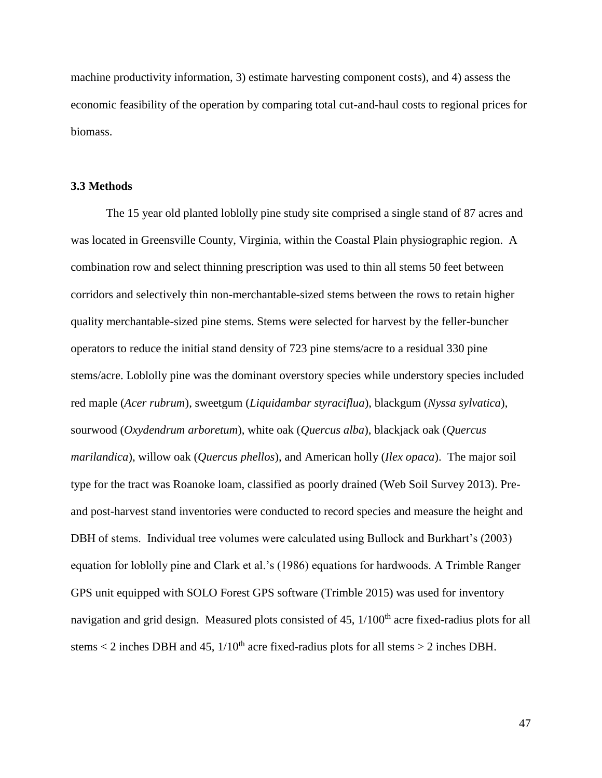machine productivity information, 3) estimate harvesting component costs), and 4) assess the economic feasibility of the operation by comparing total cut-and-haul costs to regional prices for biomass.

#### **3.3 Methods**

The 15 year old planted loblolly pine study site comprised a single stand of 87 acres and was located in Greensville County, Virginia, within the Coastal Plain physiographic region. A combination row and select thinning prescription was used to thin all stems 50 feet between corridors and selectively thin non-merchantable-sized stems between the rows to retain higher quality merchantable-sized pine stems. Stems were selected for harvest by the feller-buncher operators to reduce the initial stand density of 723 pine stems/acre to a residual 330 pine stems/acre. Loblolly pine was the dominant overstory species while understory species included red maple (*Acer rubrum*), sweetgum (*Liquidambar styraciflua*), blackgum (*Nyssa sylvatica*), sourwood (*Oxydendrum arboretum*), white oak (*Quercus alba*), blackjack oak (*Quercus marilandica*), willow oak (*Quercus phellos*), and American holly (*Ilex opaca*). The major soil type for the tract was Roanoke loam, classified as poorly drained (Web Soil Survey 2013). Preand post-harvest stand inventories were conducted to record species and measure the height and DBH of stems. Individual tree volumes were calculated using Bullock and Burkhart's (2003) equation for loblolly pine and Clark et al.'s (1986) equations for hardwoods. A Trimble Ranger GPS unit equipped with SOLO Forest GPS software (Trimble 2015) was used for inventory navigation and grid design. Measured plots consisted of  $45$ ,  $1/100<sup>th</sup>$  acre fixed-radius plots for all stems  $<$  2 inches DBH and 45,  $1/10<sup>th</sup>$  acre fixed-radius plots for all stems  $>$  2 inches DBH.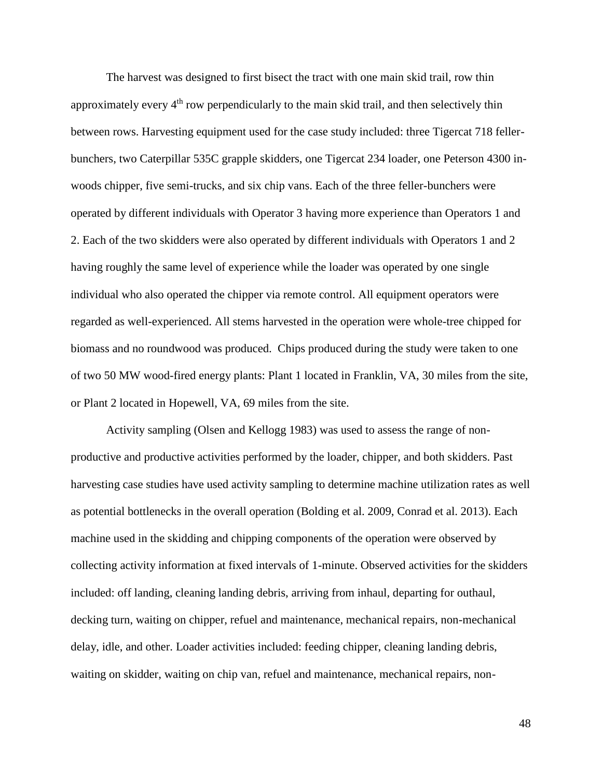The harvest was designed to first bisect the tract with one main skid trail, row thin approximately every  $4<sup>th</sup>$  row perpendicularly to the main skid trail, and then selectively thin between rows. Harvesting equipment used for the case study included: three Tigercat 718 fellerbunchers, two Caterpillar 535C grapple skidders, one Tigercat 234 loader, one Peterson 4300 inwoods chipper, five semi-trucks, and six chip vans. Each of the three feller-bunchers were operated by different individuals with Operator 3 having more experience than Operators 1 and 2. Each of the two skidders were also operated by different individuals with Operators 1 and 2 having roughly the same level of experience while the loader was operated by one single individual who also operated the chipper via remote control. All equipment operators were regarded as well-experienced. All stems harvested in the operation were whole-tree chipped for biomass and no roundwood was produced. Chips produced during the study were taken to one of two 50 MW wood-fired energy plants: Plant 1 located in Franklin, VA, 30 miles from the site, or Plant 2 located in Hopewell, VA, 69 miles from the site.

Activity sampling (Olsen and Kellogg 1983) was used to assess the range of nonproductive and productive activities performed by the loader, chipper, and both skidders. Past harvesting case studies have used activity sampling to determine machine utilization rates as well as potential bottlenecks in the overall operation (Bolding et al. 2009, Conrad et al. 2013). Each machine used in the skidding and chipping components of the operation were observed by collecting activity information at fixed intervals of 1-minute. Observed activities for the skidders included: off landing, cleaning landing debris, arriving from inhaul, departing for outhaul, decking turn, waiting on chipper, refuel and maintenance, mechanical repairs, non-mechanical delay, idle, and other. Loader activities included: feeding chipper, cleaning landing debris, waiting on skidder, waiting on chip van, refuel and maintenance, mechanical repairs, non-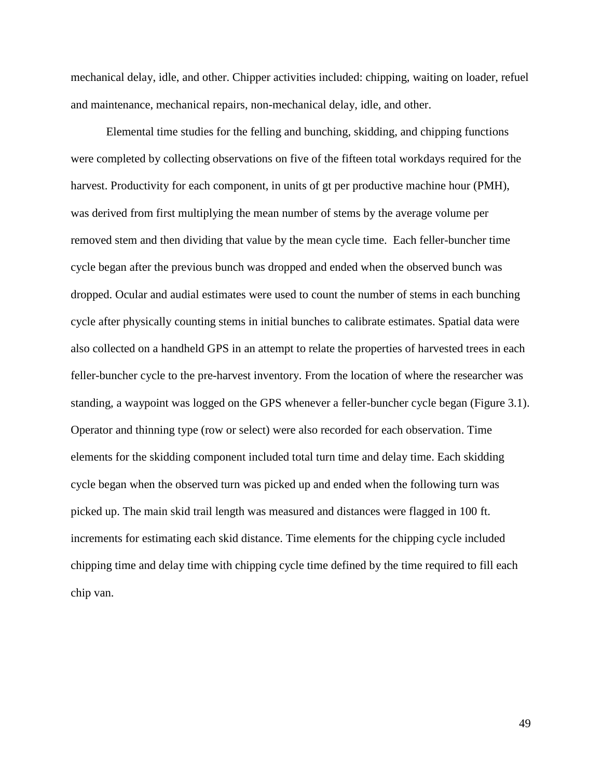mechanical delay, idle, and other. Chipper activities included: chipping, waiting on loader, refuel and maintenance, mechanical repairs, non-mechanical delay, idle, and other.

Elemental time studies for the felling and bunching, skidding, and chipping functions were completed by collecting observations on five of the fifteen total workdays required for the harvest. Productivity for each component, in units of gt per productive machine hour (PMH), was derived from first multiplying the mean number of stems by the average volume per removed stem and then dividing that value by the mean cycle time. Each feller-buncher time cycle began after the previous bunch was dropped and ended when the observed bunch was dropped. Ocular and audial estimates were used to count the number of stems in each bunching cycle after physically counting stems in initial bunches to calibrate estimates. Spatial data were also collected on a handheld GPS in an attempt to relate the properties of harvested trees in each feller-buncher cycle to the pre-harvest inventory. From the location of where the researcher was standing, a waypoint was logged on the GPS whenever a feller-buncher cycle began (Figure 3.1). Operator and thinning type (row or select) were also recorded for each observation. Time elements for the skidding component included total turn time and delay time. Each skidding cycle began when the observed turn was picked up and ended when the following turn was picked up. The main skid trail length was measured and distances were flagged in 100 ft. increments for estimating each skid distance. Time elements for the chipping cycle included chipping time and delay time with chipping cycle time defined by the time required to fill each chip van.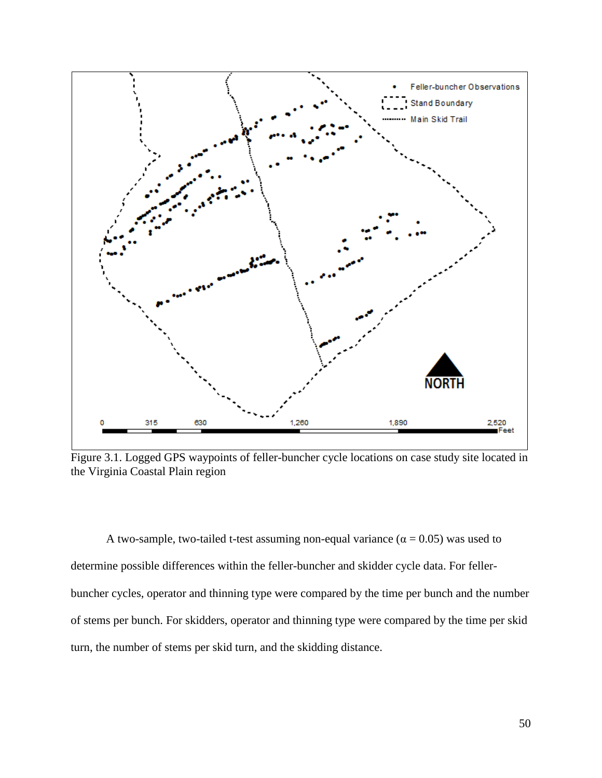

Figure 3.1. Logged GPS waypoints of feller-buncher cycle locations on case study site located in the Virginia Coastal Plain region

A two-sample, two-tailed t-test assuming non-equal variance  $(\alpha = 0.05)$  was used to determine possible differences within the feller-buncher and skidder cycle data. For fellerbuncher cycles, operator and thinning type were compared by the time per bunch and the number of stems per bunch. For skidders, operator and thinning type were compared by the time per skid turn, the number of stems per skid turn, and the skidding distance.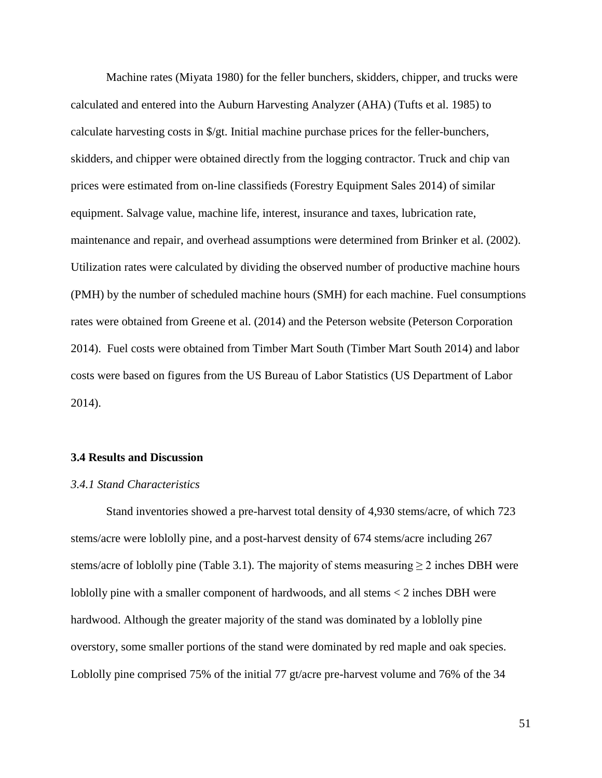Machine rates (Miyata 1980) for the feller bunchers, skidders, chipper, and trucks were calculated and entered into the Auburn Harvesting Analyzer (AHA) (Tufts et al. 1985) to calculate harvesting costs in \$/gt. Initial machine purchase prices for the feller-bunchers, skidders, and chipper were obtained directly from the logging contractor. Truck and chip van prices were estimated from on-line classifieds (Forestry Equipment Sales 2014) of similar equipment. Salvage value, machine life, interest, insurance and taxes, lubrication rate, maintenance and repair, and overhead assumptions were determined from Brinker et al. (2002). Utilization rates were calculated by dividing the observed number of productive machine hours (PMH) by the number of scheduled machine hours (SMH) for each machine. Fuel consumptions rates were obtained from Greene et al. (2014) and the Peterson website (Peterson Corporation 2014). Fuel costs were obtained from Timber Mart South (Timber Mart South 2014) and labor costs were based on figures from the US Bureau of Labor Statistics (US Department of Labor 2014).

#### **3.4 Results and Discussion**

## *3.4.1 Stand Characteristics*

Stand inventories showed a pre-harvest total density of 4,930 stems/acre, of which 723 stems/acre were loblolly pine, and a post-harvest density of 674 stems/acre including 267 stems/acre of loblolly pine (Table 3.1). The majority of stems measuring  $\geq 2$  inches DBH were loblolly pine with a smaller component of hardwoods, and all stems < 2 inches DBH were hardwood. Although the greater majority of the stand was dominated by a loblolly pine overstory, some smaller portions of the stand were dominated by red maple and oak species. Loblolly pine comprised 75% of the initial 77 gt/acre pre-harvest volume and 76% of the 34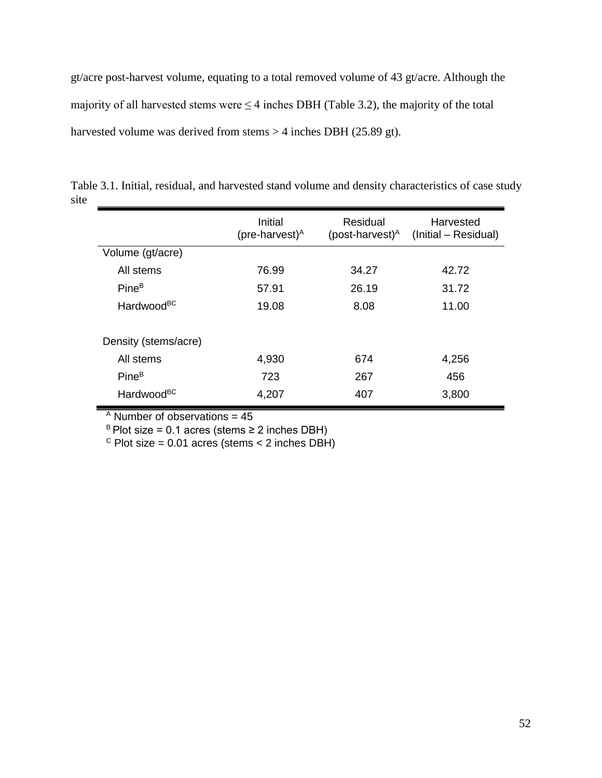gt/acre post-harvest volume, equating to a total removed volume of 43 gt/acre. Although the majority of all harvested stems were  $\leq$  4 inches DBH (Table 3.2), the majority of the total harvested volume was derived from stems > 4 inches DBH (25.89 gt).

|                        | Initial<br>(pre-harvest) $^A$ | Residual<br>(post-harvest) <sup>A</sup> | Harvested<br>(Initial – Residual) |
|------------------------|-------------------------------|-----------------------------------------|-----------------------------------|
| Volume (gt/acre)       |                               |                                         |                                   |
| All stems              | 76.99                         | 34.27                                   | 42.72                             |
| $Pine^B$               | 57.91                         | 26.19                                   | 31.72                             |
| Hardwood <sup>BC</sup> | 19.08                         | 8.08                                    | 11.00                             |
| Density (stems/acre)   |                               |                                         |                                   |
| All stems              | 4,930                         | 674                                     | 4,256                             |
| $Pine^B$               | 723                           | 267                                     | 456                               |
| Hardwood <sup>BC</sup> | 4,207                         | 407                                     | 3,800                             |

Table 3.1. Initial, residual, and harvested stand volume and density characteristics of case study site

 $^{\circ}$  Number of observations = 45

 $B$  Plot size = 0.1 acres (stems  $\geq$  2 inches DBH)

 $\textdegree$  Plot size = 0.01 acres (stems < 2 inches DBH)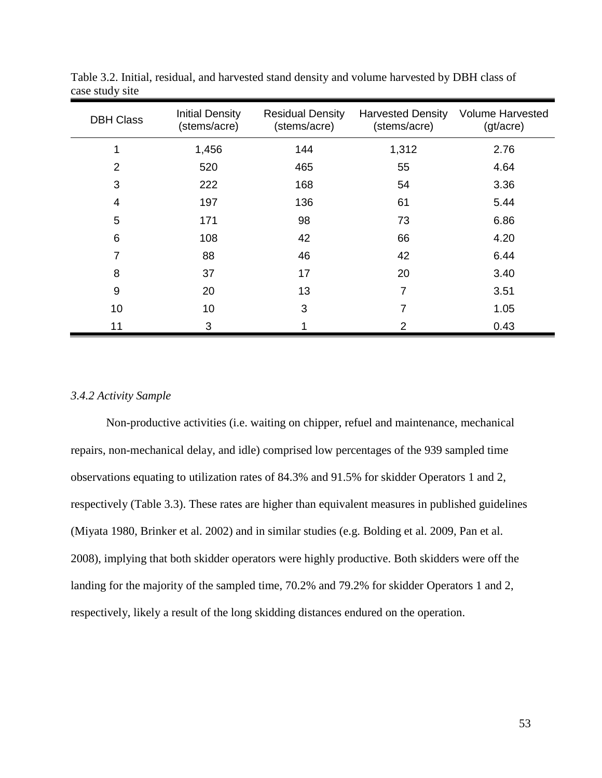| <b>DBH Class</b> | <b>Initial Density</b><br>(stems/acre) | <b>Residual Density</b><br>(stems/acre) | <b>Harvested Density</b><br>(stems/acre) | <b>Volume Harvested</b><br>(gt/acre) |
|------------------|----------------------------------------|-----------------------------------------|------------------------------------------|--------------------------------------|
| ◢                | 1,456                                  | 144                                     | 1,312                                    | 2.76                                 |
| $\overline{2}$   | 520                                    | 465                                     | 55                                       | 4.64                                 |
| 3                | 222                                    | 168                                     | 54                                       | 3.36                                 |
| 4                | 197                                    | 136                                     | 61                                       | 5.44                                 |
| 5                | 171                                    | 98                                      | 73                                       | 6.86                                 |
| 6                | 108                                    | 42                                      | 66                                       | 4.20                                 |
| 7                | 88                                     | 46                                      | 42                                       | 6.44                                 |
| 8                | 37                                     | 17                                      | 20                                       | 3.40                                 |
| 9                | 20                                     | 13                                      | 7                                        | 3.51                                 |
| 10               | 10                                     | 3                                       | 7                                        | 1.05                                 |
| 11               | 3                                      |                                         | 2                                        | 0.43                                 |

Table 3.2. Initial, residual, and harvested stand density and volume harvested by DBH class of case study site

# *3.4.2 Activity Sample*

Non-productive activities (i.e. waiting on chipper, refuel and maintenance, mechanical repairs, non-mechanical delay, and idle) comprised low percentages of the 939 sampled time observations equating to utilization rates of 84.3% and 91.5% for skidder Operators 1 and 2, respectively (Table 3.3). These rates are higher than equivalent measures in published guidelines (Miyata 1980, Brinker et al. 2002) and in similar studies (e.g. Bolding et al. 2009, Pan et al. 2008), implying that both skidder operators were highly productive. Both skidders were off the landing for the majority of the sampled time, 70.2% and 79.2% for skidder Operators 1 and 2, respectively, likely a result of the long skidding distances endured on the operation.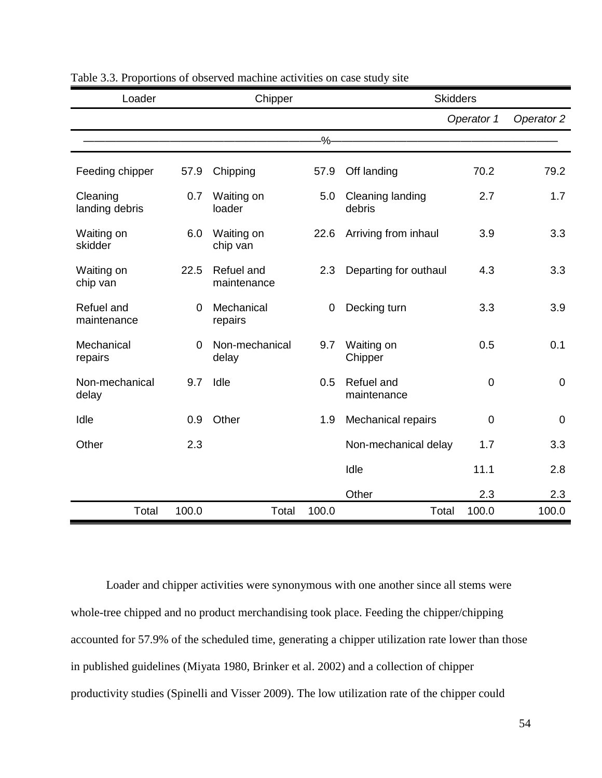| Loader                     |       | Chipper                   |         | <b>Skidders</b>            |                |                |  |
|----------------------------|-------|---------------------------|---------|----------------------------|----------------|----------------|--|
|                            |       |                           |         |                            | Operator 1     | Operator 2     |  |
|                            |       |                           | $-\%$ - |                            |                |                |  |
| Feeding chipper            | 57.9  | Chipping                  | 57.9    | Off landing                | 70.2           | 79.2           |  |
| Cleaning<br>landing debris | 0.7   | Waiting on<br>loader      | 5.0     | Cleaning landing<br>debris | 2.7            | 1.7            |  |
| Waiting on<br>skidder      | 6.0   | Waiting on<br>chip van    | 22.6    | Arriving from inhaul       | 3.9            | 3.3            |  |
| Waiting on<br>chip van     | 22.5  | Refuel and<br>maintenance | 2.3     | Departing for outhaul      | 4.3            | 3.3            |  |
| Refuel and<br>maintenance  | 0     | Mechanical<br>repairs     | 0       | Decking turn               | 3.3            | 3.9            |  |
| Mechanical<br>repairs      | 0     | Non-mechanical<br>delay   | 9.7     | Waiting on<br>Chipper      | 0.5            | 0.1            |  |
| Non-mechanical<br>delay    | 9.7   | Idle                      | 0.5     | Refuel and<br>maintenance  | $\mathbf 0$    | $\mathbf 0$    |  |
| Idle                       | 0.9   | Other                     | 1.9     | Mechanical repairs         | $\overline{0}$ | $\overline{0}$ |  |
| Other                      | 2.3   |                           |         | Non-mechanical delay       | 1.7            | 3.3            |  |
|                            |       |                           |         | Idle                       | 11.1           | 2.8            |  |
|                            |       |                           |         | Other                      | 2.3            | 2.3            |  |
| Total                      | 100.0 | Total                     | 100.0   | Total                      | 100.0          | 100.0          |  |

Table 3.3. Proportions of observed machine activities on case study site

Loader and chipper activities were synonymous with one another since all stems were whole-tree chipped and no product merchandising took place. Feeding the chipper/chipping accounted for 57.9% of the scheduled time, generating a chipper utilization rate lower than those in published guidelines (Miyata 1980, Brinker et al. 2002) and a collection of chipper productivity studies (Spinelli and Visser 2009). The low utilization rate of the chipper could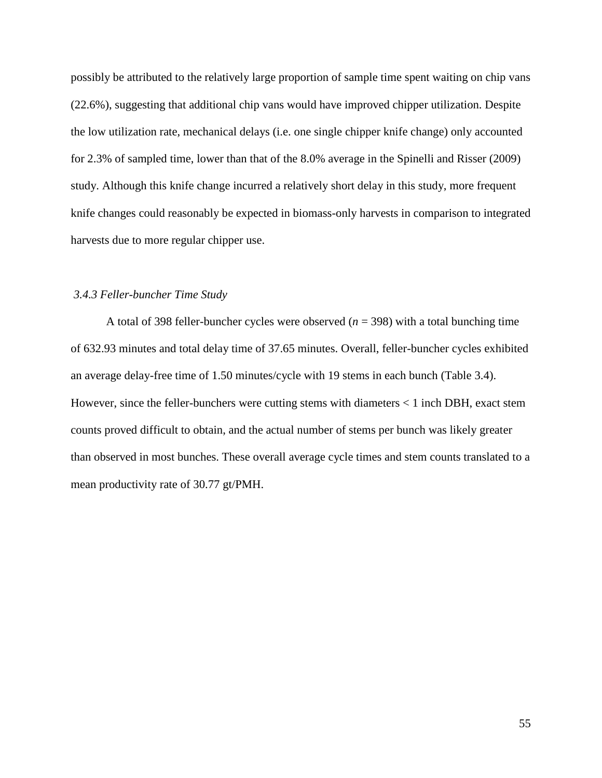possibly be attributed to the relatively large proportion of sample time spent waiting on chip vans (22.6%), suggesting that additional chip vans would have improved chipper utilization. Despite the low utilization rate, mechanical delays (i.e. one single chipper knife change) only accounted for 2.3% of sampled time, lower than that of the 8.0% average in the Spinelli and Risser (2009) study. Although this knife change incurred a relatively short delay in this study, more frequent knife changes could reasonably be expected in biomass-only harvests in comparison to integrated harvests due to more regular chipper use.

# *3.4.3 Feller-buncher Time Study*

A total of 398 feller-buncher cycles were observed (*n* = 398) with a total bunching time of 632.93 minutes and total delay time of 37.65 minutes. Overall, feller-buncher cycles exhibited an average delay-free time of 1.50 minutes/cycle with 19 stems in each bunch (Table 3.4). However, since the feller-bunchers were cutting stems with diameters < 1 inch DBH, exact stem counts proved difficult to obtain, and the actual number of stems per bunch was likely greater than observed in most bunches. These overall average cycle times and stem counts translated to a mean productivity rate of 30.77 gt/PMH.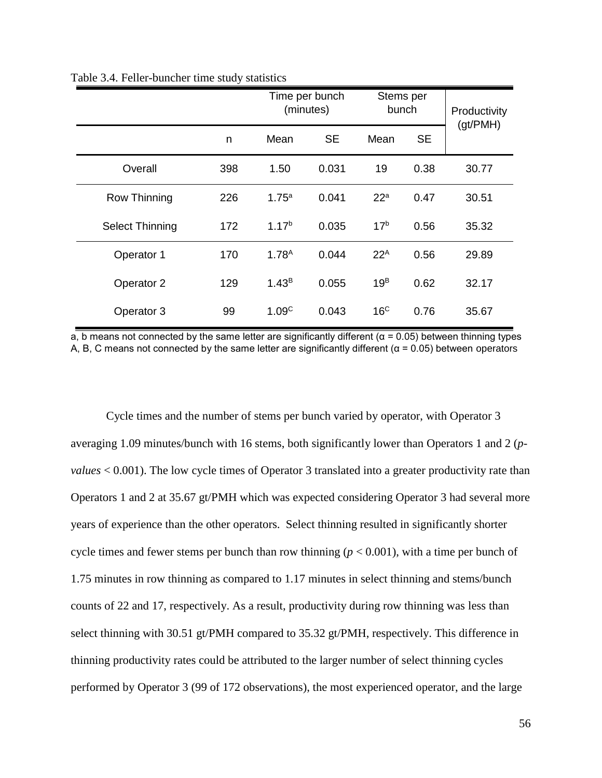|                        |     |                   | Time per bunch<br>(minutes) | Stems per<br>bunch |           | Productivity<br>(gt/PMH) |  |
|------------------------|-----|-------------------|-----------------------------|--------------------|-----------|--------------------------|--|
|                        | n   | Mean              | <b>SE</b>                   | Mean               | <b>SE</b> |                          |  |
| Overall                | 398 | 1.50              | 0.031                       | 19                 | 0.38      | 30.77                    |  |
| Row Thinning           | 226 | 1.75 <sup>a</sup> | 0.041                       | 22 <sup>a</sup>    | 0.47      | 30.51                    |  |
| <b>Select Thinning</b> | 172 | 1.17 <sup>b</sup> | 0.035                       | 17 <sup>b</sup>    | 0.56      | 35.32                    |  |
| Operator 1             | 170 | 1.78 <sup>A</sup> | 0.044                       | $22^A$             | 0.56      | 29.89                    |  |
| Operator 2             | 129 | $1.43^{B}$        | 0.055                       | 19 <sup>B</sup>    | 0.62      | 32.17                    |  |
| Operator 3             | 99  | 1.09 <sup>C</sup> | 0.043                       | 16 <sup>C</sup>    | 0.76      | 35.67                    |  |

#### Table 3.4. Feller-buncher time study statistics

a, b means not connected by the same letter are significantly different ( $\alpha$  = 0.05) between thinning types A, B, C means not connected by the same letter are significantly different ( $\alpha$  = 0.05) between operators

Cycle times and the number of stems per bunch varied by operator, with Operator 3 averaging 1.09 minutes/bunch with 16 stems, both significantly lower than Operators 1 and 2 (*pvalues* < 0.001). The low cycle times of Operator 3 translated into a greater productivity rate than Operators 1 and 2 at 35.67 gt/PMH which was expected considering Operator 3 had several more years of experience than the other operators. Select thinning resulted in significantly shorter cycle times and fewer stems per bunch than row thinning ( $p < 0.001$ ), with a time per bunch of 1.75 minutes in row thinning as compared to 1.17 minutes in select thinning and stems/bunch counts of 22 and 17, respectively. As a result, productivity during row thinning was less than select thinning with 30.51 gt/PMH compared to 35.32 gt/PMH, respectively. This difference in thinning productivity rates could be attributed to the larger number of select thinning cycles performed by Operator 3 (99 of 172 observations), the most experienced operator, and the large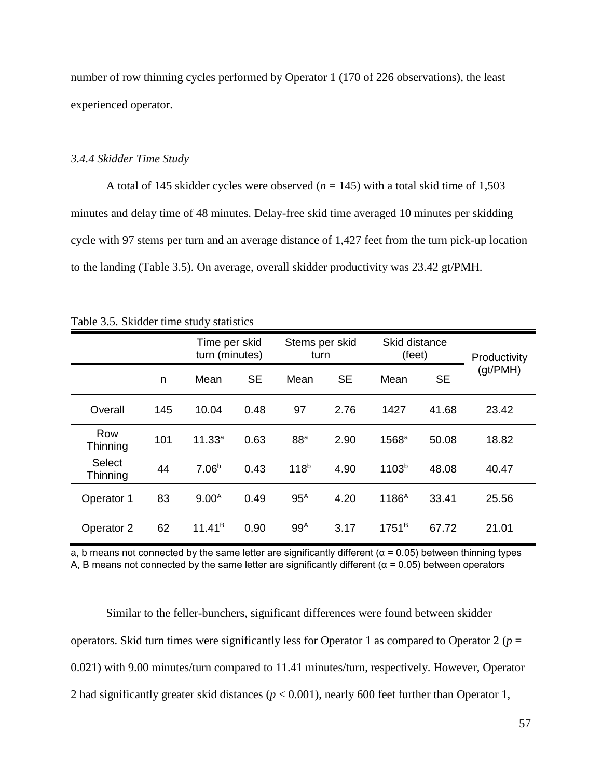number of row thinning cycles performed by Operator 1 (170 of 226 observations), the least experienced operator.

### *3.4.4 Skidder Time Study*

A total of 145 skidder cycles were observed  $(n = 145)$  with a total skid time of 1,503 minutes and delay time of 48 minutes. Delay-free skid time averaged 10 minutes per skidding cycle with 97 stems per turn and an average distance of 1,427 feet from the turn pick-up location to the landing (Table 3.5). On average, overall skidder productivity was 23.42 gt/PMH.

|                           |     |                    | Time per skid<br>turn (minutes) |                  | Stems per skid<br>turn |                   | Skid distance<br>(feet) | Productivity |  |
|---------------------------|-----|--------------------|---------------------------------|------------------|------------------------|-------------------|-------------------------|--------------|--|
|                           | n   | Mean               | <b>SE</b>                       | Mean             | <b>SE</b>              | Mean              | <b>SE</b>               | (qt/PMH)     |  |
| Overall                   | 145 | 10.04              | 0.48                            | 97               | 2.76                   | 1427              | 41.68                   | 23.42        |  |
| Row<br>Thinning           | 101 | 11.33 <sup>a</sup> | 0.63                            | 88 <sup>a</sup>  | 2.90                   | 1568 <sup>a</sup> | 50.08                   | 18.82        |  |
| <b>Select</b><br>Thinning | 44  | 7.06 <sup>b</sup>  | 0.43                            | 118 <sup>b</sup> | 4.90                   | 1103 <sup>b</sup> | 48.08                   | 40.47        |  |
| Operator 1                | 83  | 9.00 <sup>A</sup>  | 0.49                            | $95^A$           | 4.20                   | 1186 <sup>A</sup> | 33.41                   | 25.56        |  |
| Operator 2                | 62  | $11.41^{B}$        | 0.90                            | 99 <sup>A</sup>  | 3.17                   | $1751^B$          | 67.72                   | 21.01        |  |

Table 3.5. Skidder time study statistics

a, b means not connected by the same letter are significantly different ( $\alpha$  = 0.05) between thinning types A, B means not connected by the same letter are significantly different ( $\alpha$  = 0.05) between operators

Similar to the feller-bunchers, significant differences were found between skidder operators. Skid turn times were significantly less for Operator 1 as compared to Operator 2 ( $p =$ 0.021) with 9.00 minutes/turn compared to 11.41 minutes/turn, respectively. However, Operator 2 had significantly greater skid distances (*p* < 0.001), nearly 600 feet further than Operator 1,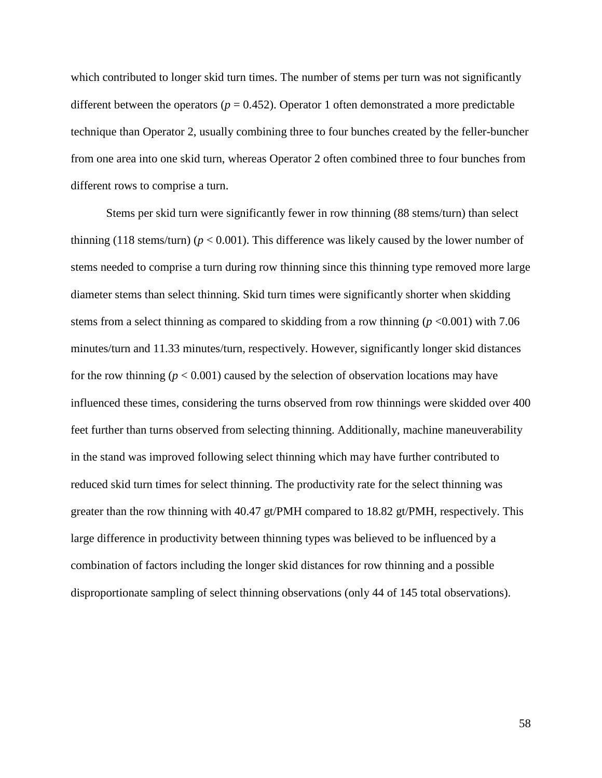which contributed to longer skid turn times. The number of stems per turn was not significantly different between the operators ( $p = 0.452$ ). Operator 1 often demonstrated a more predictable technique than Operator 2, usually combining three to four bunches created by the feller-buncher from one area into one skid turn, whereas Operator 2 often combined three to four bunches from different rows to comprise a turn.

Stems per skid turn were significantly fewer in row thinning (88 stems/turn) than select thinning (118 stems/turn) ( $p < 0.001$ ). This difference was likely caused by the lower number of stems needed to comprise a turn during row thinning since this thinning type removed more large diameter stems than select thinning. Skid turn times were significantly shorter when skidding stems from a select thinning as compared to skidding from a row thinning (*p* <0.001) with 7.06 minutes/turn and 11.33 minutes/turn, respectively. However, significantly longer skid distances for the row thinning  $(p < 0.001)$  caused by the selection of observation locations may have influenced these times, considering the turns observed from row thinnings were skidded over 400 feet further than turns observed from selecting thinning. Additionally, machine maneuverability in the stand was improved following select thinning which may have further contributed to reduced skid turn times for select thinning. The productivity rate for the select thinning was greater than the row thinning with 40.47 gt/PMH compared to 18.82 gt/PMH, respectively. This large difference in productivity between thinning types was believed to be influenced by a combination of factors including the longer skid distances for row thinning and a possible disproportionate sampling of select thinning observations (only 44 of 145 total observations).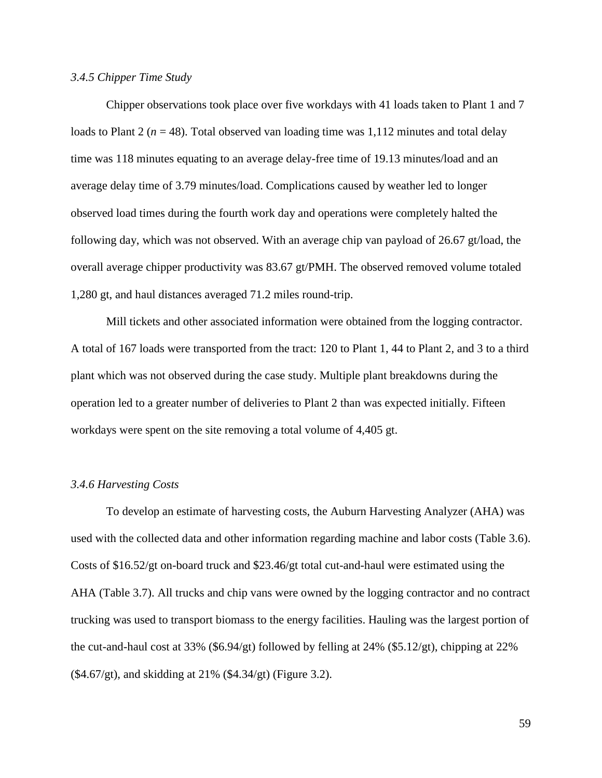## *3.4.5 Chipper Time Study*

Chipper observations took place over five workdays with 41 loads taken to Plant 1 and 7 loads to Plant 2 ( $n = 48$ ). Total observed van loading time was 1,112 minutes and total delay time was 118 minutes equating to an average delay-free time of 19.13 minutes/load and an average delay time of 3.79 minutes/load. Complications caused by weather led to longer observed load times during the fourth work day and operations were completely halted the following day, which was not observed. With an average chip van payload of 26.67 gt/load, the overall average chipper productivity was 83.67 gt/PMH. The observed removed volume totaled 1,280 gt, and haul distances averaged 71.2 miles round-trip.

Mill tickets and other associated information were obtained from the logging contractor. A total of 167 loads were transported from the tract: 120 to Plant 1, 44 to Plant 2, and 3 to a third plant which was not observed during the case study. Multiple plant breakdowns during the operation led to a greater number of deliveries to Plant 2 than was expected initially. Fifteen workdays were spent on the site removing a total volume of 4,405 gt.

## *3.4.6 Harvesting Costs*

To develop an estimate of harvesting costs, the Auburn Harvesting Analyzer (AHA) was used with the collected data and other information regarding machine and labor costs (Table 3.6). Costs of \$16.52/gt on-board truck and \$23.46/gt total cut-and-haul were estimated using the AHA (Table 3.7). All trucks and chip vans were owned by the logging contractor and no contract trucking was used to transport biomass to the energy facilities. Hauling was the largest portion of the cut-and-haul cost at 33% (\$6.94/gt) followed by felling at 24% (\$5.12/gt), chipping at 22% (\$4.67/gt), and skidding at 21% (\$4.34/gt) (Figure 3.2).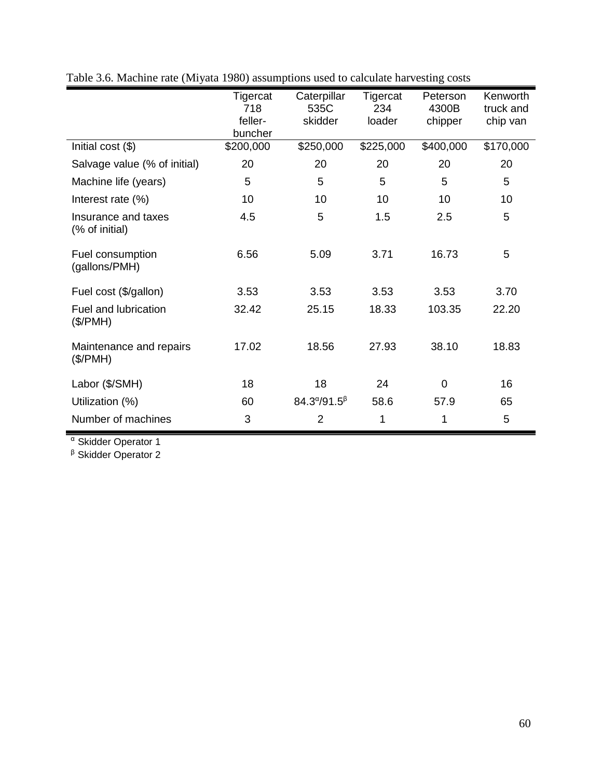|                                       | Tigercat<br>718<br>feller-<br>buncher | Caterpillar<br>535C<br>skidder | Tigercat<br>234<br>loader | Peterson<br>4300B<br>chipper | Kenworth<br>truck and<br>chip van |
|---------------------------------------|---------------------------------------|--------------------------------|---------------------------|------------------------------|-----------------------------------|
| Initial cost (\$)                     | \$200,000                             | \$250,000                      | \$225,000                 | \$400,000                    | \$170,000                         |
| Salvage value (% of initial)          | 20                                    | 20                             | 20                        | 20                           | 20                                |
| Machine life (years)                  | 5                                     | 5                              | 5                         | 5                            | 5                                 |
| Interest rate (%)                     | 10                                    | 10                             | 10                        | 10                           | 10                                |
| Insurance and taxes<br>(% of initial) | 4.5                                   | 5                              | 1.5                       | 2.5                          | 5                                 |
| Fuel consumption<br>(gallons/PMH)     | 6.56                                  | 5.09                           | 3.71                      | 16.73                        | 5                                 |
| Fuel cost (\$/gallon)                 | 3.53                                  | 3.53                           | 3.53                      | 3.53                         | 3.70                              |
| Fuel and lubrication<br>(\$/PMH)      | 32.42                                 | 25.15                          | 18.33                     | 103.35                       | 22.20                             |
| Maintenance and repairs<br>(\$/PMH)   | 17.02                                 | 18.56                          | 27.93                     | 38.10                        | 18.83                             |
| Labor (\$/SMH)                        | 18                                    | 18                             | 24                        | $\Omega$                     | 16                                |
| Utilization (%)                       | 60                                    | $84.3^{\circ}/91.5^{\circ}$    | 58.6                      | 57.9                         | 65                                |
| Number of machines                    | 3                                     | $\overline{2}$                 | 1                         | 1                            | 5                                 |

Table 3.6. Machine rate (Miyata 1980) assumptions used to calculate harvesting costs

α Skidder Operator 1

<sup>β</sup> Skidder Operator 2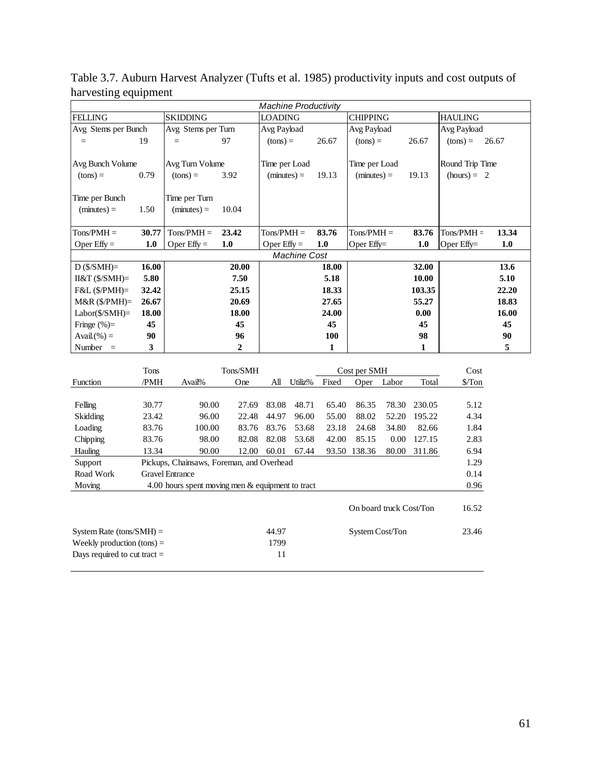| <b>Machine Productivity</b>                   |                |                                                    |                |                |                     |                |                         |       |                 |                 |                |
|-----------------------------------------------|----------------|----------------------------------------------------|----------------|----------------|---------------------|----------------|-------------------------|-------|-----------------|-----------------|----------------|
| <b>FELLING</b>                                |                | <b>SKIDDING</b>                                    |                | <b>LOADING</b> |                     |                | <b>CHIPPING</b>         |       |                 | <b>HAULING</b>  |                |
| Avg Stems per Bunch                           |                | Avg Stems per Turn                                 |                | Avg Payload    |                     |                | Avg Payload             |       |                 | Avg Payload     |                |
| $=$                                           | 19             | $=$                                                | 97             | $(tons) =$     |                     | 26.67          | $(tons) =$              |       | 26.67           | $(tons) =$      | 26.67          |
|                                               |                |                                                    |                |                |                     |                |                         |       |                 |                 |                |
| Avg Bunch Volume                              |                | Avg Turn Volume                                    |                | Time per Load  |                     |                | Time per Load           |       |                 | Round Trip Time |                |
| $(tons) =$                                    | 0.79           | $(tons) =$                                         | 3.92           |                | $(minutes) =$       | 19.13          | $(minutes) =$           |       | 19.13           | $(hours) = 2$   |                |
|                                               |                |                                                    |                |                |                     |                |                         |       |                 |                 |                |
| Time per Bunch                                |                | Time per Turn                                      |                |                |                     |                |                         |       |                 |                 |                |
| $(minutes) =$                                 | 1.50           | $(minutes) =$                                      | 10.04          |                |                     |                |                         |       |                 |                 |                |
|                                               |                |                                                    |                |                |                     |                |                         |       |                 |                 |                |
| $Tons/PMH =$                                  | 30.77          | $Tons/PMH =$                                       | 23.42          | $Tons/PMH =$   |                     | 83.76          | $Tons/PMH =$            |       | 83.76           | $Tons/PMH =$    | 13.34          |
| Oper Effy $=$                                 | 1.0            | Oper $Effy =$                                      | 1.0            | Oper Effy $=$  |                     | 1.0            | Oper Effy=              |       | $1.0$           | Oper Effy=      | 1.0            |
|                                               |                |                                                    |                |                | <b>Machine Cost</b> |                |                         |       |                 |                 |                |
| $D$ (\$/SMH)=                                 | 16.00          |                                                    | 20.00          |                |                     | 18.00          |                         |       | 32.00           |                 | 13.6           |
| $II&T(S/SMH)=$                                | 5.80           |                                                    | 7.50           |                |                     | 5.18           |                         |       | 10.00           |                 | 5.10           |
| $F&L(S/PMH)=$                                 | 32.42          |                                                    | 25.15          |                |                     | 18.33          |                         |       | 103.35<br>55,27 |                 | 22.20          |
| $M&R(S/PMH)=$<br>$Labor(\frac{C}{S} / SMH) =$ | 26.67<br>18.00 |                                                    | 20.69<br>18.00 |                |                     | 27.65<br>24.00 |                         |       | 0.00            |                 | 18.83<br>16.00 |
| Fringe $(\%)=$                                | 45             |                                                    | 45             |                |                     | 45             |                         |       | 45              |                 | 45             |
| Avail. $(\%)$ =                               | 90             |                                                    | 96             |                |                     | 100            |                         |       | 98              |                 | 90             |
| Number $=$                                    | 3              |                                                    | $\overline{2}$ |                |                     | 1              |                         |       | 1               |                 | 5              |
|                                               |                |                                                    |                |                |                     |                |                         |       |                 |                 |                |
|                                               | <b>Tons</b>    |                                                    | Tons/SMH       |                |                     |                | Cost per SMH            |       |                 | Cost            |                |
| Function                                      | /PMH           | Avail%                                             | One            | All            | Utiliz%             | Fixed          | Oper                    | Labor | Total           | \$/Ton          |                |
|                                               |                |                                                    |                |                |                     |                |                         |       |                 |                 |                |
| Felling                                       | 30.77          | 90.00                                              | 27.69          | 83.08          | 48.71               | 65.40          | 86.35                   | 78.30 | 230.05          | 5.12            |                |
| Skidding                                      | 23.42          | 96.00                                              | 22.48          | 44.97          | 96.00               | 55.00          | 88.02                   | 52.20 | 195.22          | 4.34            |                |
| Loading                                       | 83.76          | 100.00                                             | 83.76          | 83.76          | 53.68               | 23.18          | 24.68                   | 34.80 | 82.66           | 1.84            |                |
| Chipping                                      | 83.76          | 98.00                                              | 82.08          | 82.08          | 53.68               | 42.00          | 85.15                   | 0.00  | 127.15          | 2.83            |                |
| Hauling                                       | 13.34          | 90.00                                              | 12.00          | 60.01          | 67.44               |                | 93.50 138.36            | 80.00 | 311.86          | 6.94            |                |
| Support                                       |                | Pickups, Chainsaws, Foreman, and Overhead          |                |                |                     |                |                         |       |                 | 1.29            |                |
| Road Work                                     |                | <b>Gravel Entrance</b>                             |                |                |                     |                |                         |       |                 | 0.14            |                |
| Moving                                        |                | 4.00 hours spent moving men $&$ equipment to tract |                |                |                     |                |                         |       |                 | 0.96            |                |
|                                               |                |                                                    |                |                |                     |                |                         |       |                 |                 |                |
|                                               |                |                                                    |                |                |                     |                | On board truck Cost/Ton |       |                 | 16.52           |                |
| System Rate (tons/SMH) $=$                    |                |                                                    |                | 44.97          |                     |                | System Cost/Ton         |       |                 | 23.46           |                |
| Weekly production $(tons)$ =                  |                |                                                    |                | 1799           |                     |                |                         |       |                 |                 |                |
| Days required to cut tract $=$                |                |                                                    |                | 11             |                     |                |                         |       |                 |                 |                |
|                                               |                |                                                    |                |                |                     |                |                         |       |                 |                 |                |

Table 3.7. Auburn Harvest Analyzer (Tufts et al. 1985) productivity inputs and cost outputs of harvesting equipment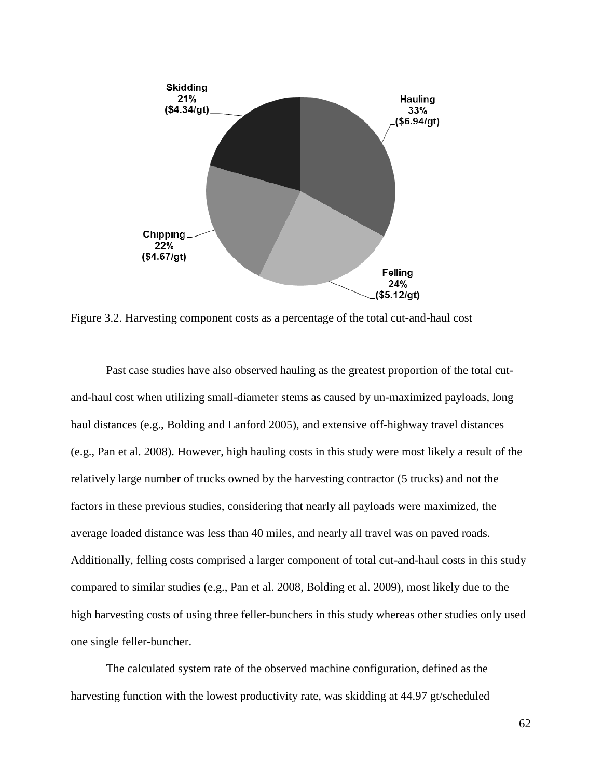

Figure 3.2. Harvesting component costs as a percentage of the total cut-and-haul cost

Past case studies have also observed hauling as the greatest proportion of the total cutand-haul cost when utilizing small-diameter stems as caused by un-maximized payloads, long haul distances (e.g., Bolding and Lanford 2005), and extensive off-highway travel distances (e.g., Pan et al. 2008). However, high hauling costs in this study were most likely a result of the relatively large number of trucks owned by the harvesting contractor (5 trucks) and not the factors in these previous studies, considering that nearly all payloads were maximized, the average loaded distance was less than 40 miles, and nearly all travel was on paved roads. Additionally, felling costs comprised a larger component of total cut-and-haul costs in this study compared to similar studies (e.g., Pan et al. 2008, Bolding et al. 2009), most likely due to the high harvesting costs of using three feller-bunchers in this study whereas other studies only used one single feller-buncher.

The calculated system rate of the observed machine configuration, defined as the harvesting function with the lowest productivity rate, was skidding at 44.97 gt/scheduled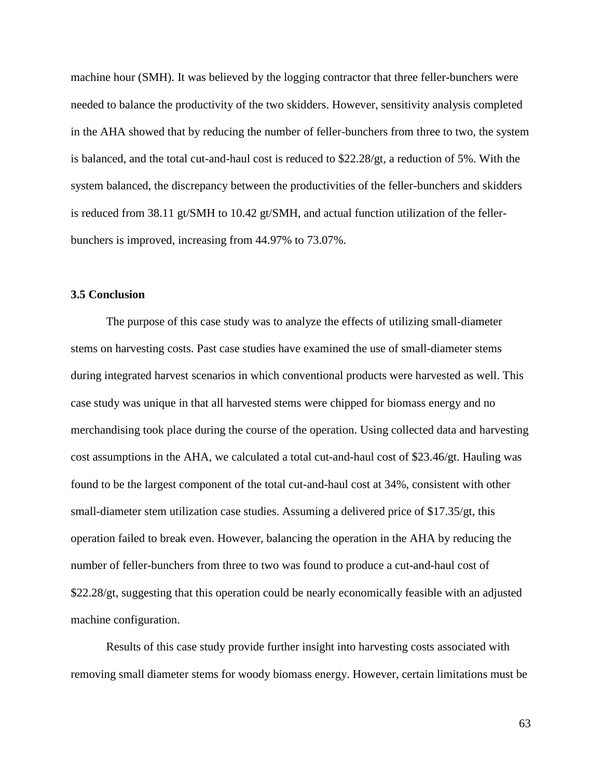machine hour (SMH). It was believed by the logging contractor that three feller-bunchers were needed to balance the productivity of the two skidders. However, sensitivity analysis completed in the AHA showed that by reducing the number of feller-bunchers from three to two, the system is balanced, and the total cut-and-haul cost is reduced to \$22.28/gt, a reduction of 5%. With the system balanced, the discrepancy between the productivities of the feller-bunchers and skidders is reduced from 38.11 gt/SMH to 10.42 gt/SMH, and actual function utilization of the fellerbunchers is improved, increasing from 44.97% to 73.07%.

## **3.5 Conclusion**

The purpose of this case study was to analyze the effects of utilizing small-diameter stems on harvesting costs. Past case studies have examined the use of small-diameter stems during integrated harvest scenarios in which conventional products were harvested as well. This case study was unique in that all harvested stems were chipped for biomass energy and no merchandising took place during the course of the operation. Using collected data and harvesting cost assumptions in the AHA, we calculated a total cut-and-haul cost of \$23.46/gt. Hauling was found to be the largest component of the total cut-and-haul cost at 34%, consistent with other small-diameter stem utilization case studies. Assuming a delivered price of \$17.35/gt, this operation failed to break even. However, balancing the operation in the AHA by reducing the number of feller-bunchers from three to two was found to produce a cut-and-haul cost of \$22.28/gt, suggesting that this operation could be nearly economically feasible with an adjusted machine configuration.

Results of this case study provide further insight into harvesting costs associated with removing small diameter stems for woody biomass energy. However, certain limitations must be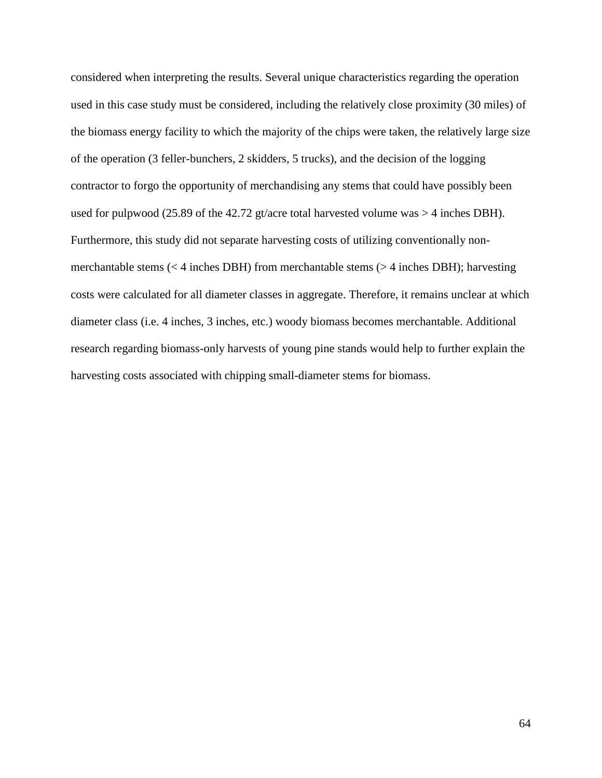considered when interpreting the results. Several unique characteristics regarding the operation used in this case study must be considered, including the relatively close proximity (30 miles) of the biomass energy facility to which the majority of the chips were taken, the relatively large size of the operation (3 feller-bunchers, 2 skidders, 5 trucks), and the decision of the logging contractor to forgo the opportunity of merchandising any stems that could have possibly been used for pulpwood (25.89 of the 42.72 gt/acre total harvested volume was  $>$  4 inches DBH). Furthermore, this study did not separate harvesting costs of utilizing conventionally nonmerchantable stems (< 4 inches DBH) from merchantable stems (> 4 inches DBH); harvesting costs were calculated for all diameter classes in aggregate. Therefore, it remains unclear at which diameter class (i.e. 4 inches, 3 inches, etc.) woody biomass becomes merchantable. Additional research regarding biomass-only harvests of young pine stands would help to further explain the harvesting costs associated with chipping small-diameter stems for biomass.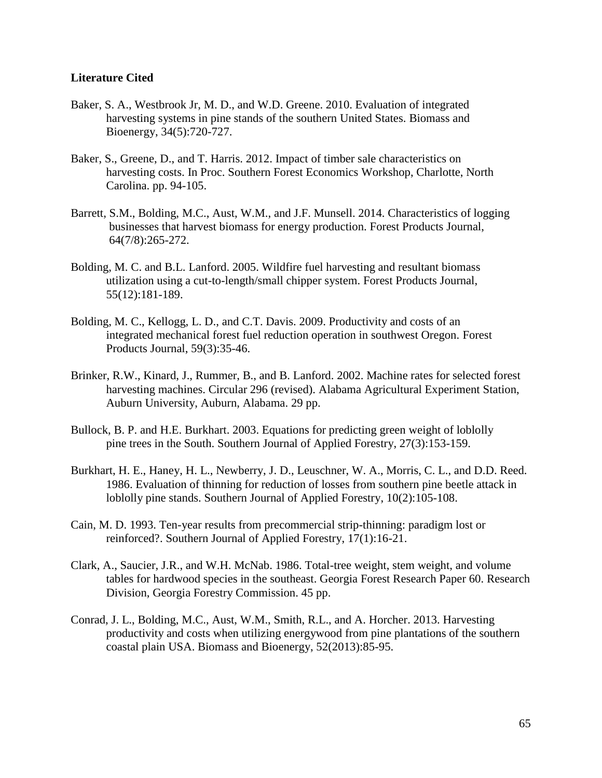## **Literature Cited**

- Baker, S. A., Westbrook Jr, M. D., and W.D. Greene. 2010. Evaluation of integrated harvesting systems in pine stands of the southern United States. Biomass and Bioenergy, 34(5):720-727.
- Baker, S., Greene, D., and T. Harris. 2012. Impact of timber sale characteristics on harvesting costs. In Proc. Southern Forest Economics Workshop, Charlotte, North Carolina. pp. 94-105.
- Barrett, S.M., Bolding, M.C., Aust, W.M., and J.F. Munsell. 2014. Characteristics of logging businesses that harvest biomass for energy production. Forest Products Journal, 64(7/8):265-272.
- Bolding, M. C. and B.L. Lanford. 2005. Wildfire fuel harvesting and resultant biomass utilization using a cut-to-length/small chipper system. Forest Products Journal, 55(12):181-189.
- Bolding, M. C., Kellogg, L. D., and C.T. Davis. 2009. Productivity and costs of an integrated mechanical forest fuel reduction operation in southwest Oregon. Forest Products Journal, 59(3):35-46.
- Brinker, R.W., Kinard, J., Rummer, B., and B. Lanford. 2002. Machine rates for selected forest harvesting machines. Circular 296 (revised). Alabama Agricultural Experiment Station, Auburn University, Auburn, Alabama. 29 pp.
- Bullock, B. P. and H.E. Burkhart. 2003. Equations for predicting green weight of loblolly pine trees in the South. Southern Journal of Applied Forestry, 27(3):153-159.
- Burkhart, H. E., Haney, H. L., Newberry, J. D., Leuschner, W. A., Morris, C. L., and D.D. Reed. 1986. Evaluation of thinning for reduction of losses from southern pine beetle attack in loblolly pine stands. Southern Journal of Applied Forestry, 10(2):105-108.
- Cain, M. D. 1993. Ten-year results from precommercial strip-thinning: paradigm lost or reinforced?. Southern Journal of Applied Forestry, 17(1):16-21.
- Clark, A., Saucier, J.R., and W.H. McNab. 1986. Total-tree weight, stem weight, and volume tables for hardwood species in the southeast. Georgia Forest Research Paper 60. Research Division, Georgia Forestry Commission. 45 pp.
- Conrad, J. L., Bolding, M.C., Aust, W.M., Smith, R.L., and A. Horcher. 2013. Harvesting productivity and costs when utilizing energywood from pine plantations of the southern coastal plain USA. Biomass and Bioenergy, 52(2013):85-95.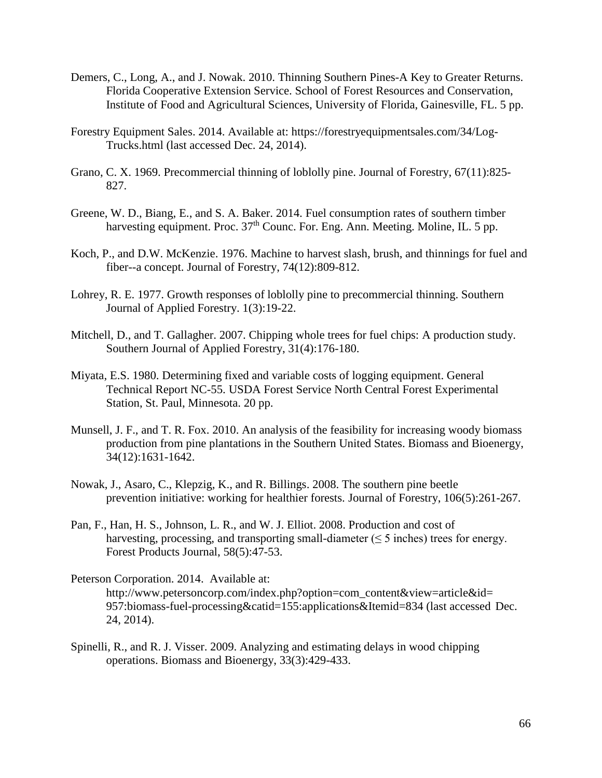- Demers, C., Long, A., and J. Nowak. 2010. Thinning Southern Pines-A Key to Greater Returns. Florida Cooperative Extension Service. School of Forest Resources and Conservation, Institute of Food and Agricultural Sciences, University of Florida, Gainesville, FL. 5 pp.
- Forestry Equipment Sales. 2014. Available at: https://forestryequipmentsales.com/34/Log-Trucks.html (last accessed Dec. 24, 2014).
- Grano, C. X. 1969. Precommercial thinning of loblolly pine. Journal of Forestry, 67(11):825- 827.
- Greene, W. D., Biang, E., and S. A. Baker. 2014. Fuel consumption rates of southern timber harvesting equipment. Proc. 37<sup>th</sup> Counc. For. Eng. Ann. Meeting. Moline, IL. 5 pp.
- Koch, P., and D.W. McKenzie. 1976. Machine to harvest slash, brush, and thinnings for fuel and fiber--a concept. Journal of Forestry, 74(12):809-812.
- Lohrey, R. E. 1977. Growth responses of loblolly pine to precommercial thinning. Southern Journal of Applied Forestry. 1(3):19-22.
- Mitchell, D., and T. Gallagher. 2007. Chipping whole trees for fuel chips: A production study. Southern Journal of Applied Forestry, 31(4):176-180.
- Miyata, E.S. 1980. Determining fixed and variable costs of logging equipment. General Technical Report NC-55. USDA Forest Service North Central Forest Experimental Station, St. Paul, Minnesota. 20 pp.
- Munsell, J. F., and T. R. Fox. 2010. An analysis of the feasibility for increasing woody biomass production from pine plantations in the Southern United States. Biomass and Bioenergy, 34(12):1631-1642.
- Nowak, J., Asaro, C., Klepzig, K., and R. Billings. 2008. The southern pine beetle prevention initiative: working for healthier forests. Journal of Forestry, 106(5):261-267.
- Pan, F., Han, H. S., Johnson, L. R., and W. J. Elliot. 2008. Production and cost of harvesting, processing, and transporting small-diameter ( $\leq$  5 inches) trees for energy. Forest Products Journal, 58(5):47-53.
- Peterson Corporation. 2014. Available at: http://www.petersoncorp.com/index.php?option=com\_content&view=article&id= 957:biomass-fuel-processing&catid=155:applications&Itemid=834 (last accessed Dec. 24, 2014).
- Spinelli, R., and R. J. Visser. 2009. Analyzing and estimating delays in wood chipping operations. Biomass and Bioenergy, 33(3):429-433.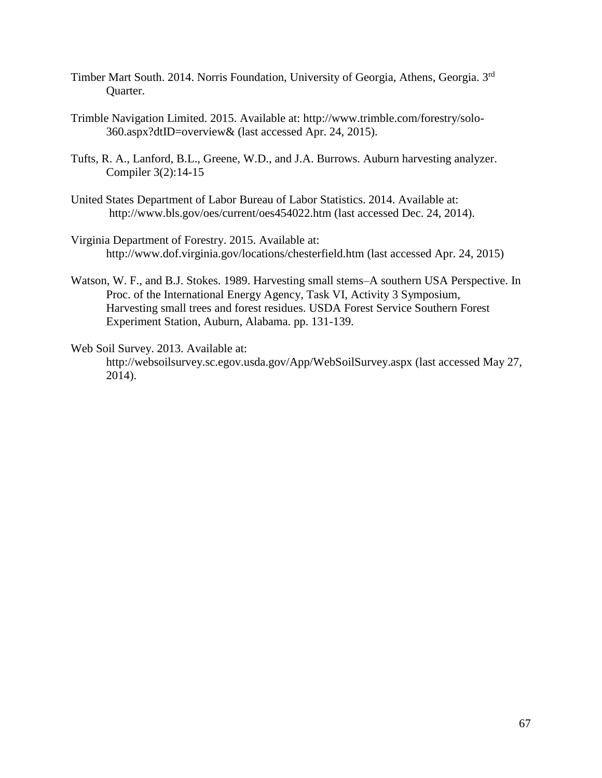- Timber Mart South. 2014. Norris Foundation, University of Georgia, Athens, Georgia. 3rd Quarter.
- Trimble Navigation Limited. 2015. Available at: http://www.trimble.com/forestry/solo-360.aspx?dtID=overview& (last accessed Apr. 24, 2015).
- Tufts, R. A., Lanford, B.L., Greene, W.D., and J.A. Burrows. Auburn harvesting analyzer. Compiler 3(2):14-15
- United States Department of Labor Bureau of Labor Statistics. 2014. Available at: http://www.bls.gov/oes/current/oes454022.htm (last accessed Dec. 24, 2014).
- Virginia Department of Forestry. 2015. Available at: http://www.dof.virginia.gov/locations/chesterfield.htm (last accessed Apr. 24, 2015)
- Watson, W. F., and B.J. Stokes. 1989. Harvesting small stems–A southern USA Perspective. In Proc. of the International Energy Agency, Task VI, Activity 3 Symposium, Harvesting small trees and forest residues. USDA Forest Service Southern Forest Experiment Station, Auburn, Alabama. pp. 131-139.
- Web Soil Survey. 2013. Available at: http://websoilsurvey.sc.egov.usda.gov/App/WebSoilSurvey.aspx (last accessed May 27, 2014).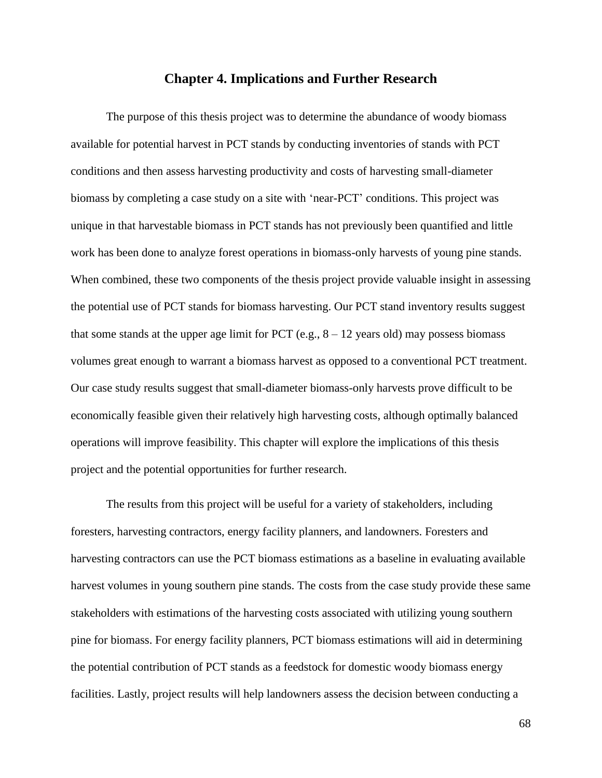## **Chapter 4. Implications and Further Research**

The purpose of this thesis project was to determine the abundance of woody biomass available for potential harvest in PCT stands by conducting inventories of stands with PCT conditions and then assess harvesting productivity and costs of harvesting small-diameter biomass by completing a case study on a site with 'near-PCT' conditions. This project was unique in that harvestable biomass in PCT stands has not previously been quantified and little work has been done to analyze forest operations in biomass-only harvests of young pine stands. When combined, these two components of the thesis project provide valuable insight in assessing the potential use of PCT stands for biomass harvesting. Our PCT stand inventory results suggest that some stands at the upper age limit for PCT (e.g.,  $8 - 12$  years old) may possess biomass volumes great enough to warrant a biomass harvest as opposed to a conventional PCT treatment. Our case study results suggest that small-diameter biomass-only harvests prove difficult to be economically feasible given their relatively high harvesting costs, although optimally balanced operations will improve feasibility. This chapter will explore the implications of this thesis project and the potential opportunities for further research.

The results from this project will be useful for a variety of stakeholders, including foresters, harvesting contractors, energy facility planners, and landowners. Foresters and harvesting contractors can use the PCT biomass estimations as a baseline in evaluating available harvest volumes in young southern pine stands. The costs from the case study provide these same stakeholders with estimations of the harvesting costs associated with utilizing young southern pine for biomass. For energy facility planners, PCT biomass estimations will aid in determining the potential contribution of PCT stands as a feedstock for domestic woody biomass energy facilities. Lastly, project results will help landowners assess the decision between conducting a

68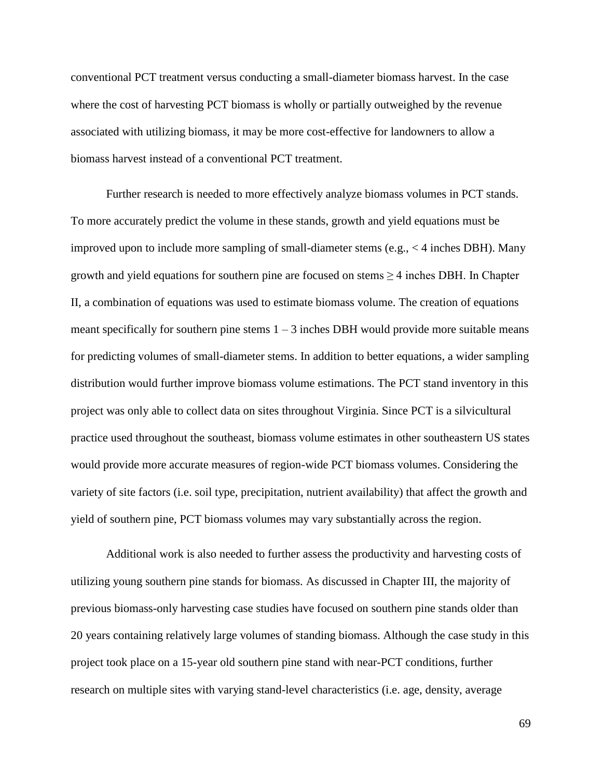conventional PCT treatment versus conducting a small-diameter biomass harvest. In the case where the cost of harvesting PCT biomass is wholly or partially outweighed by the revenue associated with utilizing biomass, it may be more cost-effective for landowners to allow a biomass harvest instead of a conventional PCT treatment.

Further research is needed to more effectively analyze biomass volumes in PCT stands. To more accurately predict the volume in these stands, growth and yield equations must be improved upon to include more sampling of small-diameter stems (e.g., < 4 inches DBH). Many growth and yield equations for southern pine are focused on stems  $\geq$  4 inches DBH. In Chapter II, a combination of equations was used to estimate biomass volume. The creation of equations meant specifically for southern pine stems  $1 - 3$  inches DBH would provide more suitable means for predicting volumes of small-diameter stems. In addition to better equations, a wider sampling distribution would further improve biomass volume estimations. The PCT stand inventory in this project was only able to collect data on sites throughout Virginia. Since PCT is a silvicultural practice used throughout the southeast, biomass volume estimates in other southeastern US states would provide more accurate measures of region-wide PCT biomass volumes. Considering the variety of site factors (i.e. soil type, precipitation, nutrient availability) that affect the growth and yield of southern pine, PCT biomass volumes may vary substantially across the region.

Additional work is also needed to further assess the productivity and harvesting costs of utilizing young southern pine stands for biomass. As discussed in Chapter III, the majority of previous biomass-only harvesting case studies have focused on southern pine stands older than 20 years containing relatively large volumes of standing biomass. Although the case study in this project took place on a 15-year old southern pine stand with near-PCT conditions, further research on multiple sites with varying stand-level characteristics (i.e. age, density, average

69